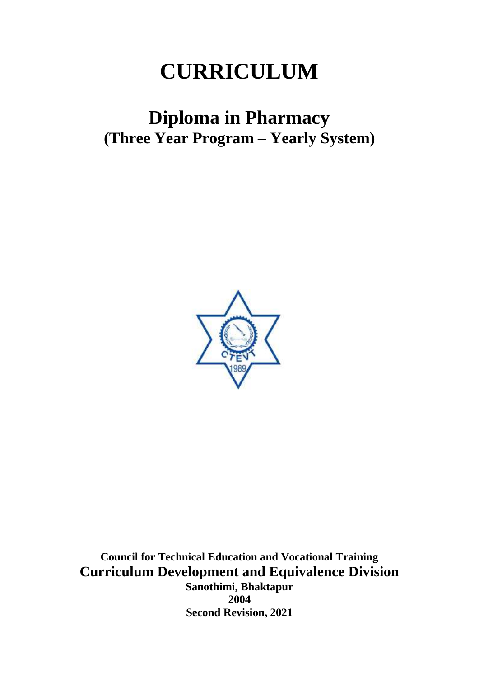# **CURRICULUM**

# **Diploma in Pharmacy (Three Year Program – Yearly System)**



**Council for Technical Education and Vocational Training Curriculum Development and Equivalence Division Sanothimi, Bhaktapur 2004 Second Revision, 2021**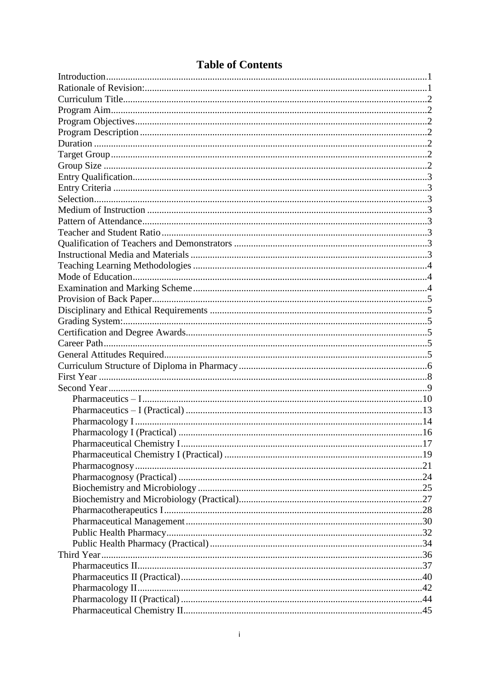# **Table of Contents**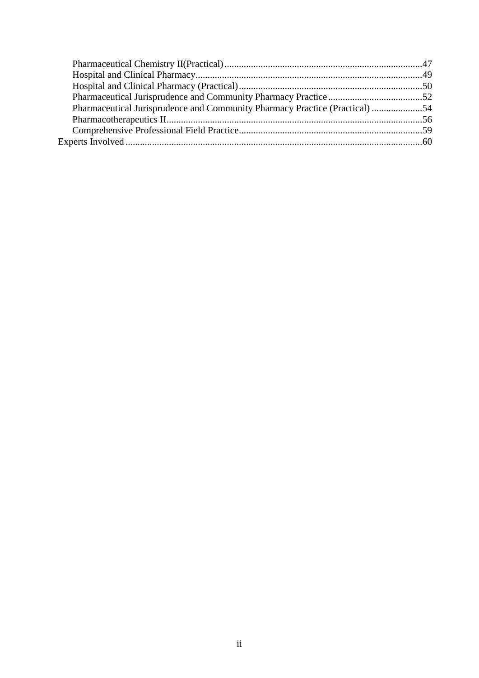| Pharmaceutical Jurisprudence and Community Pharmacy Practice (Practical) 54 |  |
|-----------------------------------------------------------------------------|--|
|                                                                             |  |
|                                                                             |  |
|                                                                             |  |
|                                                                             |  |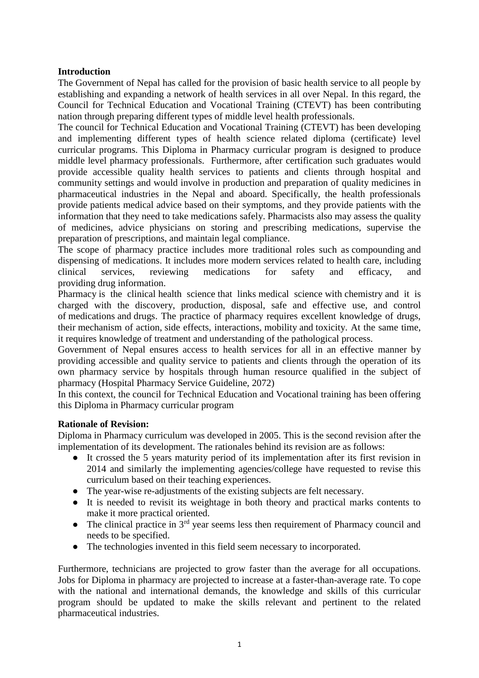### <span id="page-3-0"></span>**Introduction**

The Government of Nepal has called for the provision of basic health service to all people by establishing and expanding a network of health services in all over Nepal. In this regard, the Council for Technical Education and Vocational Training (CTEVT) has been contributing nation through preparing different types of middle level health professionals.

The council for Technical Education and Vocational Training (CTEVT) has been developing and implementing different types of health science related diploma (certificate) level curricular programs. This Diploma in Pharmacy curricular program is designed to produce middle level pharmacy professionals. Furthermore, after certification such graduates would provide accessible quality health services to patients and clients through hospital and community settings and would involve in production and preparation of quality medicines in pharmaceutical industries in the Nepal and aboard. Specifically, the health professionals provide patients medical advice based on their symptoms, and they provide patients with the information that they need to take medications safely. Pharmacists also may assess the quality of medicines, advice physicians on storing and prescribing medications, supervise the preparation of prescriptions, and maintain legal compliance.

The scope of pharmacy practice includes more traditional roles such as [compounding](https://en.wikipedia.org/wiki/Compounding) and dispensing of medications. It includes more modern services related to [health care,](https://en.wikipedia.org/wiki/Health_care) including clinical services, reviewing medications for safety and efficacy, and providing [drug](https://en.wikipedia.org/wiki/Drug) information.

Pharmacy is the clinical [health science](https://en.wikipedia.org/wiki/Health_science) that links [medical science](https://en.wikipedia.org/wiki/Medicine) with [chemistry](https://en.wikipedia.org/wiki/Chemistry) and it is charged with the discovery, production, disposal, safe and effective use, and control of [medications](https://en.wikipedia.org/wiki/Medication) and [drugs.](https://en.wikipedia.org/wiki/Drug) The practice of pharmacy requires excellent knowledge of drugs, their [mechanism of action,](https://en.wikipedia.org/wiki/Mechanism_of_action) [side effects,](https://en.wikipedia.org/wiki/Side_effects) interactions, [mobility](https://en.wikipedia.org/wiki/Pharmacokinetics) and [toxicity.](https://en.wikipedia.org/wiki/Toxicity) At the same time, it requires knowledge of treatment and understanding of the [pathological](https://en.wikipedia.org/wiki/Pathology) process.

Government of Nepal ensures access to health services for all in an effective manner by providing accessible and quality service to patients and clients through the operation of its own pharmacy service by hospitals through human resource qualified in the subject of pharmacy (Hospital Pharmacy Service Guideline, 2072)

In this context, the council for Technical Education and Vocational training has been offering this Diploma in Pharmacy curricular program

#### <span id="page-3-1"></span>**Rationale of Revision:**

Diploma in Pharmacy curriculum was developed in 2005. This is the second revision after the implementation of its development. The rationales behind its revision are as follows:

- It crossed the 5 years maturity period of its implementation after its first revision in 2014 and similarly the implementing agencies/college have requested to revise this curriculum based on their teaching experiences.
- The year-wise re-adjustments of the existing subjects are felt necessary.
- It is needed to revisit its weightage in both theory and practical marks contents to make it more practical oriented.
- The clinical practice in  $3<sup>rd</sup>$  year seems less then requirement of Pharmacy council and needs to be specified.
- The technologies invented in this field seem necessary to incorporated.

Furthermore, technicians are projected to grow faster than the average for all occupations. Jobs for Diploma in pharmacy are projected to increase at a faster-than-average rate. To cope with the national and international demands, the knowledge and skills of this curricular program should be updated to make the skills relevant and pertinent to the related pharmaceutical industries.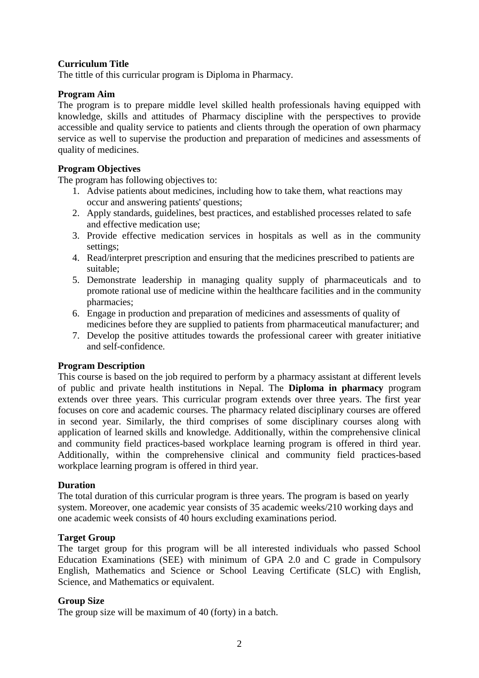#### <span id="page-4-0"></span>**Curriculum Title**

The tittle of this curricular program is Diploma in Pharmacy.

#### <span id="page-4-1"></span>**Program Aim**

The program is to prepare middle level skilled health professionals having equipped with knowledge, skills and attitudes of Pharmacy discipline with the perspectives to provide accessible and quality service to patients and clients through the operation of own pharmacy service as well to supervise the production and preparation of medicines and assessments of quality of medicines.

#### <span id="page-4-2"></span>**Program Objectives**

The program has following objectives to:

- 1. Advise patients about medicines, including how to take them, what reactions may occur and answering patients' questions;
- 2. Apply standards, guidelines, best practices, and established processes related to safe and effective medication use;
- 3. Provide effective medication services in hospitals as well as in the community settings;
- 4. Read/interpret prescription and ensuring that the medicines prescribed to patients are suitable;
- 5. Demonstrate leadership in managing quality supply of pharmaceuticals and to promote rational use of medicine within the healthcare facilities and in the community pharmacies;
- 6. Engage in production and preparation of medicines and assessments of quality of medicines before they are supplied to patients from pharmaceutical manufacturer; and
- 7. Develop the positive attitudes towards the professional career with greater initiative and self-confidence.

#### <span id="page-4-3"></span>**Program Description**

This course is based on the job required to perform by a pharmacy assistant at different levels of public and private health institutions in Nepal. The **Diploma in pharmacy** program extends over three years. This curricular program extends over three years. The first year focuses on core and academic courses. The pharmacy related disciplinary courses are offered in second year. Similarly, the third comprises of some disciplinary courses along with application of learned skills and knowledge. Additionally, within the comprehensive clinical and community field practices-based workplace learning program is offered in third year. Additionally, within the comprehensive clinical and community field practices-based workplace learning program is offered in third year.

#### <span id="page-4-4"></span>**Duration**

The total duration of this curricular program is three years. The program is based on yearly system. Moreover, one academic year consists of 35 academic weeks/210 working days and one academic week consists of 40 hours excluding examinations period.

#### <span id="page-4-5"></span>**Target Group**

The target group for this program will be all interested individuals who passed School Education Examinations (SEE) with minimum of GPA 2.0 and C grade in Compulsory English, Mathematics and Science or School Leaving Certificate (SLC) with English, Science, and Mathematics or equivalent.

#### <span id="page-4-6"></span>**Group Size**

The group size will be maximum of 40 (forty) in a batch.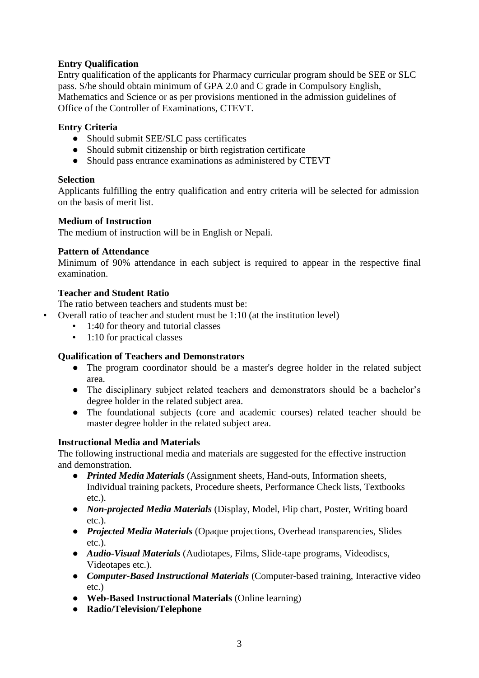# <span id="page-5-0"></span>**Entry Qualification**

Entry qualification of the applicants for Pharmacy curricular program should be SEE or SLC pass. S/he should obtain minimum of GPA 2.0 and C grade in Compulsory English, Mathematics and Science or as per provisions mentioned in the admission guidelines of Office of the Controller of Examinations, CTEVT.

#### <span id="page-5-1"></span>**Entry Criteria**

- Should submit SEE/SLC pass certificates
- Should submit citizenship or birth registration certificate
- Should pass entrance examinations as administered by CTEVT

#### <span id="page-5-2"></span>**Selection**

Applicants fulfilling the entry qualification and entry criteria will be selected for admission on the basis of merit list.

#### <span id="page-5-3"></span>**Medium of Instruction**

The medium of instruction will be in English or Nepali.

#### <span id="page-5-4"></span>**Pattern of Attendance**

Minimum of 90% attendance in each subject is required to appear in the respective final examination.

#### <span id="page-5-5"></span>**Teacher and Student Ratio**

The ratio between teachers and students must be:

- Overall ratio of teacher and student must be 1:10 (at the institution level)
	- 1:40 for theory and tutorial classes
	- 1:10 for practical classes

### <span id="page-5-6"></span>**Qualification of Teachers and Demonstrators**

- The program coordinator should be a master's degree holder in the related subject area.
- The disciplinary subject related teachers and demonstrators should be a bachelor's degree holder in the related subject area.
- The foundational subjects (core and academic courses) related teacher should be master degree holder in the related subject area.

### <span id="page-5-7"></span>**Instructional Media and Materials**

The following instructional media and materials are suggested for the effective instruction and demonstration.

- *Printed Media Materials* (Assignment sheets, Hand-outs, Information sheets, Individual training packets, Procedure sheets, Performance Check lists, Textbooks etc.).
- *Non-projected Media Materials* (Display, Model, Flip chart, Poster, Writing board etc.).
- *Projected Media Materials* (Opaque projections, Overhead transparencies, Slides etc.).
- *Audio-Visual Materials* (Audiotapes, Films, Slide-tape programs, Videodiscs, Videotapes etc.).
- *Computer-Based Instructional Materials* (Computer-based training, Interactive video etc.)
- **Web-Based Instructional Materials** (Online learning)
- **Radio/Television/Telephone**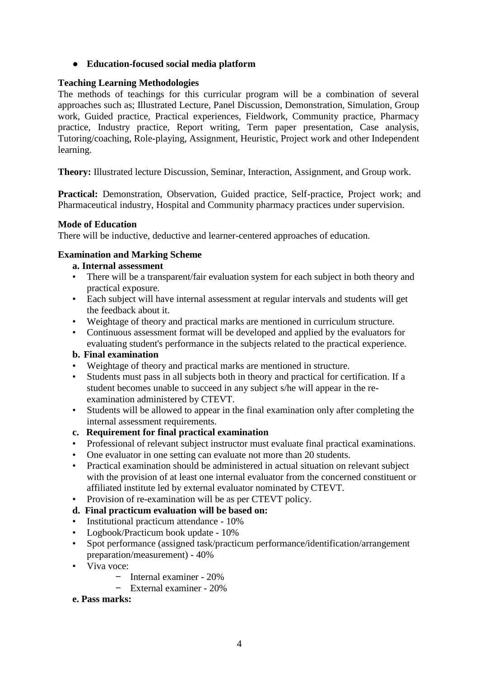# ● **Education-focused social media platform**

### <span id="page-6-0"></span>**Teaching Learning Methodologies**

The methods of teachings for this curricular program will be a combination of several approaches such as; Illustrated Lecture, Panel Discussion, Demonstration, Simulation, Group work, Guided practice, Practical experiences, Fieldwork, Community practice, Pharmacy practice, Industry practice, Report writing, Term paper presentation, Case analysis, Tutoring/coaching, Role-playing, Assignment, Heuristic, Project work and other Independent learning.

**Theory:** Illustrated lecture Discussion, Seminar, Interaction, Assignment, and Group work.

Practical: Demonstration, Observation, Guided practice, Self-practice, Project work; and Pharmaceutical industry, Hospital and Community pharmacy practices under supervision.

#### <span id="page-6-1"></span>**Mode of Education**

There will be inductive, deductive and learner-centered approaches of education.

#### <span id="page-6-2"></span>**Examination and Marking Scheme**

#### **a. Internal assessment**

- There will be a transparent/fair evaluation system for each subject in both theory and practical exposure.
- Each subject will have internal assessment at regular intervals and students will get the feedback about it.
- Weightage of theory and practical marks are mentioned in curriculum structure.
- Continuous assessment format will be developed and applied by the evaluators for evaluating student's performance in the subjects related to the practical experience.

### **b. Final examination**

- Weightage of theory and practical marks are mentioned in structure.
- Students must pass in all subjects both in theory and practical for certification. If a student becomes unable to succeed in any subject s/he will appear in the reexamination administered by CTEVT.
- Students will be allowed to appear in the final examination only after completing the internal assessment requirements.

#### **c. Requirement for final practical examination**

- Professional of relevant subject instructor must evaluate final practical examinations.
- One evaluator in one setting can evaluate not more than 20 students.
- Practical examination should be administered in actual situation on relevant subject with the provision of at least one internal evaluator from the concerned constituent or affiliated institute led by external evaluator nominated by CTEVT.
- Provision of re-examination will be as per CTEVT policy.

### **d. Final practicum evaluation will be based on:**

- Institutional practicum attendance 10%
- Logbook/Practicum book update 10%
- Spot performance (assigned task/practicum performance/identification/arrangement preparation/measurement) - 40%
- Viva voce:
	- Internal examiner 20%
	- External examiner 20%

#### **e. Pass marks:**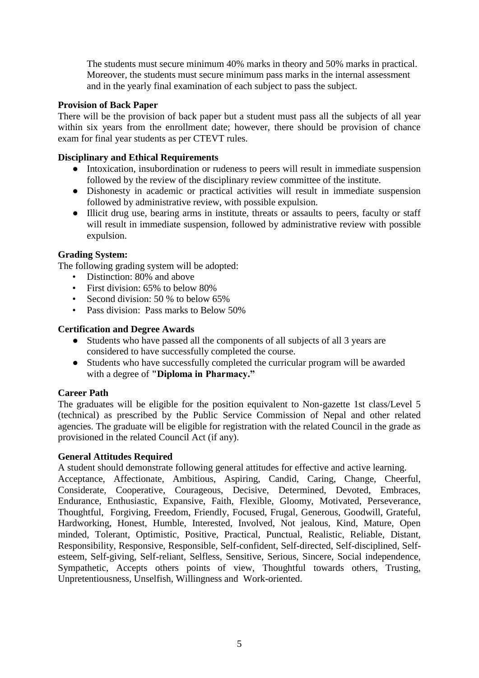The students must secure minimum 40% marks in theory and 50% marks in practical. Moreover, the students must secure minimum pass marks in the internal assessment and in the yearly final examination of each subject to pass the subject.

#### <span id="page-7-0"></span>**Provision of Back Paper**

There will be the provision of back paper but a student must pass all the subjects of all year within six years from the enrollment date; however, there should be provision of chance exam for final year students as per CTEVT rules.

#### <span id="page-7-1"></span>**Disciplinary and Ethical Requirements**

- Intoxication, insubordination or rudeness to peers will result in immediate suspension followed by the review of the disciplinary review committee of the institute.
- Dishonesty in academic or practical activities will result in immediate suspension followed by administrative review, with possible expulsion.
- Illicit drug use, bearing arms in institute, threats or assaults to peers, faculty or staff will result in immediate suspension, followed by administrative review with possible expulsion.

#### <span id="page-7-2"></span>**Grading System:**

The following grading system will be adopted:

- Distinction: 80% and above
- First division: 65% to below 80%
- Second division: 50 % to below 65%
- Pass division: Pass marks to Below 50%

#### <span id="page-7-3"></span>**Certification and Degree Awards**

- Students who have passed all the components of all subjects of all 3 years are considered to have successfully completed the course.
- Students who have successfully completed the curricular program will be awarded with a degree of **"Diploma in Pharmacy."**

#### <span id="page-7-4"></span>**Career Path**

The graduates will be eligible for the position equivalent to Non-gazette 1st class/Level 5 (technical) as prescribed by the Public Service Commission of Nepal and other related agencies. The graduate will be eligible for registration with the related Council in the grade as provisioned in the related Council Act (if any).

#### <span id="page-7-5"></span>**General Attitudes Required**

A student should demonstrate following general attitudes for effective and active learning.

Acceptance, Affectionate, Ambitious, Aspiring, Candid, Caring, Change, Cheerful, Considerate, Cooperative, Courageous, Decisive, Determined, Devoted, Embraces, Endurance, Enthusiastic, Expansive, Faith, Flexible, Gloomy, Motivated, Perseverance, Thoughtful, Forgiving, Freedom, Friendly, Focused, Frugal, Generous, Goodwill, Grateful, Hardworking, Honest, Humble, Interested, Involved, Not jealous, Kind, Mature, Open minded, Tolerant, Optimistic, Positive, Practical, Punctual, Realistic, Reliable, Distant, Responsibility, Responsive, Responsible, Self-confident, Self-directed, Self-disciplined, Selfesteem, Self-giving, Self-reliant, Selfless, Sensitive, Serious, Sincere, Social independence, Sympathetic, Accepts others points of view, Thoughtful towards others, Trusting, Unpretentiousness, Unselfish, Willingness and Work-oriented.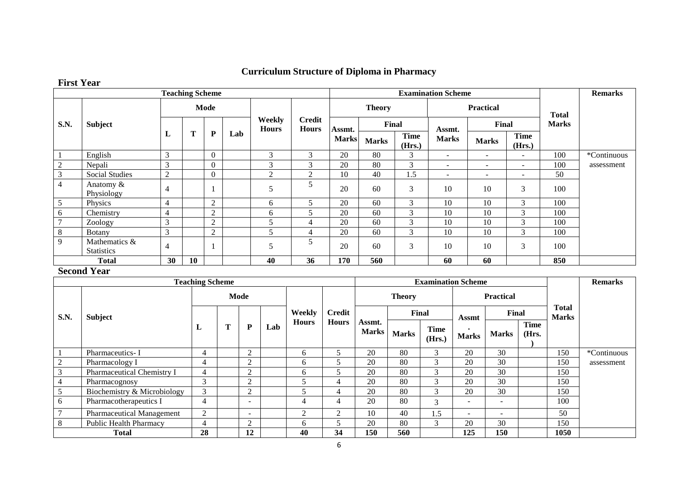# **Curriculum Structure of Diploma in Pharmacy**

# **First Year**

|                |                                    | <b>Teaching Scheme</b> |    |                |     |                        |                        | <b>Examination Scheme</b> |               |                       |                          | <b>Remarks</b>           |                          |              |             |
|----------------|------------------------------------|------------------------|----|----------------|-----|------------------------|------------------------|---------------------------|---------------|-----------------------|--------------------------|--------------------------|--------------------------|--------------|-------------|
|                |                                    |                        |    | Mode           |     |                        |                        |                           | <b>Theory</b> |                       |                          | <b>Practical</b>         |                          | <b>Total</b> |             |
| <b>S.N.</b>    | <b>Subject</b>                     |                        |    |                |     | Weekly<br><b>Hours</b> | Credit<br><b>Hours</b> | Assmt.                    | Final         |                       | Assmt.                   | Final                    |                          | <b>Marks</b> |             |
|                |                                    | ப                      | T  | $\mathbf P$    | Lab |                        |                        | <b>Marks</b>              | <b>Marks</b>  | <b>Time</b><br>(Hrs.) | <b>Marks</b>             | <b>Marks</b>             | <b>Time</b><br>(Hrs.)    |              |             |
|                | English                            | $\mathfrak{Z}$         |    | $\Omega$       |     | 3                      | 3                      | 20                        | 80            | 3                     | $\sim$                   | $\overline{\phantom{a}}$ | $\overline{\phantom{a}}$ | 100          | *Continuous |
|                | Nepali                             | $\mathfrak{Z}$         |    | $\Omega$       |     | 3                      | $\sim$<br>$\Delta$     | 20                        | 80            | 3                     | $\overline{\phantom{a}}$ | $\overline{\phantom{a}}$ | $\overline{\phantom{a}}$ | 100          | assessment  |
| 3              | <b>Social Studies</b>              | $\overline{2}$         |    | $\Omega$       |     | $\overline{c}$         | $\mathfrak{D}$         | 10                        | 40            | 1.5                   | $\overline{\phantom{a}}$ | $\overline{\phantom{a}}$ | $\overline{\phantom{a}}$ | 50           |             |
| 4              | Anatomy &<br>Physiology            | $\overline{4}$         |    |                |     | 5                      |                        | 20                        | 60            | 3                     | 10                       | 10                       | 3                        | 100          |             |
| 5              | Physics                            | $\overline{4}$         |    | $\overline{2}$ |     | 6                      | 5                      | 20                        | 60            | 3                     | 10                       | 10                       | 3                        | 100          |             |
| 6              | Chemistry                          | $\overline{4}$         |    | $\overline{2}$ |     | 6                      | 5                      | 20                        | 60            | 3                     | 10                       | 10                       | 3                        | 100          |             |
| $\overline{ }$ | Zoology                            | $\mathfrak{Z}$         |    | $\overline{2}$ |     | 5                      | 4                      | 20                        | 60            | 3                     | 10                       | 10                       | 3                        | 100          |             |
| 8              | <b>Botany</b>                      | 3                      |    | $\overline{2}$ |     | 5                      | 4                      | 20                        | 60            | 3                     | 10                       | 10                       | 3                        | 100          |             |
| 9              | Mathematics &<br><b>Statistics</b> | $\overline{4}$         |    |                |     | 5                      |                        | 20                        | 60            | 3                     | 10                       | 10                       | 3                        | 100          |             |
|                | <b>Total</b>                       | 30                     | 10 |                |     | 40                     | 36                     | 170                       | 560           |                       | 60                       | 60                       |                          | 850          |             |

#### <span id="page-8-0"></span>**Second Year**

|      |                                  | <b>Teaching Scheme</b> |      |                          |     |                |               |                        |               |                             | <b>Examination Scheme</b> |                          |               |                              | <b>Remarks</b> |
|------|----------------------------------|------------------------|------|--------------------------|-----|----------------|---------------|------------------------|---------------|-----------------------------|---------------------------|--------------------------|---------------|------------------------------|----------------|
|      |                                  |                        | Mode |                          |     |                |               |                        | <b>Theory</b> |                             | <b>Practical</b>          |                          |               |                              |                |
| S.N. | <b>Subject</b>                   |                        |      |                          |     | Weekly         | <b>Credit</b> |                        |               | Final                       | Assmt                     | Final                    |               | <b>Total</b><br><b>Marks</b> |                |
|      |                                  | ப                      | m    | ${\bf P}$                | Lab | <b>Hours</b>   | <b>Hours</b>  | Assmt.<br><b>Marks</b> | <b>Marks</b>  | Time<br>(Hrs.)              | <b>Marks</b>              | <b>Marks</b>             | Time<br>(Hrs. |                              |                |
|      | Pharmaceutics-I                  | 4                      |      | $\overline{2}$           |     | 6              |               | 20                     | 80            | 3                           | 20                        | 30                       |               | 150                          | *Continuous    |
| 2    | Pharmacology I                   | 4                      |      | 2                        |     | 6              |               | 20                     | 80            | $\sim$                      | 20                        | 30                       |               | 150                          | assessment     |
| 3    | Pharmaceutical Chemistry I       | 4                      |      | $\overline{2}$           |     | 6              | ∍             | 20                     | 80            | $\sim$<br>$\mathbf{\hat{}}$ | 20                        | 30                       |               | 150                          |                |
|      | Pharmacognosy                    | 3                      |      | 2                        |     |                |               | 20                     | 80            | $\sim$                      | 20                        | 30                       |               | 150                          |                |
|      | Biochemistry & Microbiology      | 3                      |      | $\overline{2}$           |     |                | 4             | 20                     | 80            | $\sim$                      | 20                        | 30                       |               | 150                          |                |
| 6    | Pharmacotherapeutics I           | $\overline{4}$         |      | $\overline{\phantom{0}}$ |     | $\overline{4}$ | 4             | 20                     | 80            | $\sim$                      | -                         | -                        |               | 100                          |                |
|      | <b>Pharmaceutical Management</b> | $\overline{2}$         |      | $\sim$                   |     | 2              | 2             | 10                     | 40            | 1.5                         | -                         | $\overline{\phantom{a}}$ |               | 50                           |                |
| 8    | <b>Public Health Pharmacy</b>    | 4                      |      | ി                        |     | 6              |               | 20                     | 80            | $\mathcal{R}$               | 20                        | 30                       |               | 150                          |                |
|      | <b>Total</b>                     | 28                     |      | 12                       |     | 40             | 34            | 150                    | 560           |                             | 125                       | 150                      |               | 1050                         |                |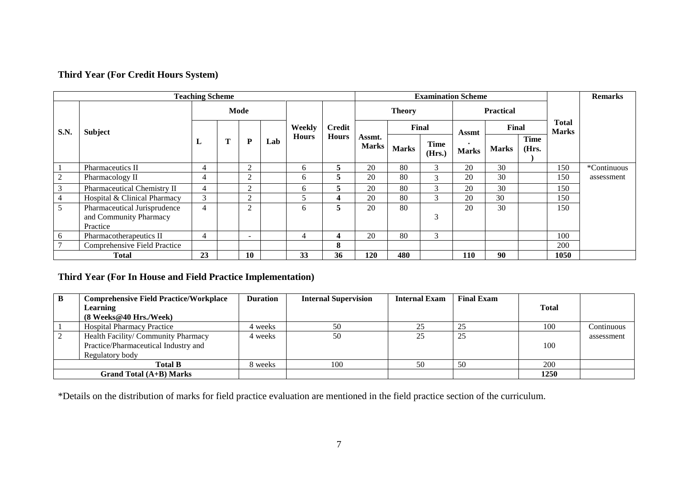# **Third Year (For Credit Hours System)**

|             | <b>Teaching Scheme</b>                                             |                |   |                          |     |              |               | <b>Examination Scheme</b> |               |                       |              | <b>Remarks</b>   |                      |                       |             |
|-------------|--------------------------------------------------------------------|----------------|---|--------------------------|-----|--------------|---------------|---------------------------|---------------|-----------------------|--------------|------------------|----------------------|-----------------------|-------------|
|             |                                                                    |                |   | Mode                     |     |              |               |                           | <b>Theory</b> |                       |              | <b>Practical</b> |                      |                       |             |
| <b>S.N.</b> | <b>Subject</b>                                                     |                |   |                          |     | Weekly       | <b>Credit</b> |                           |               | Final                 | Assmt        | Final            |                      | Total<br><b>Marks</b> |             |
|             |                                                                    | ப              | Т | P                        | Lab | <b>Hours</b> | <b>Hours</b>  | Assmt.<br><b>Marks</b>    | <b>Marks</b>  | <b>Time</b><br>(Hrs.) | <b>Marks</b> | <b>Marks</b>     | <b>Time</b><br>(Hrs. |                       |             |
|             | Pharmaceutics II                                                   | 4              |   | $\overline{2}$           |     | 6            | 5             | 20                        | 80            | 3                     | 20           | 30               |                      | 150                   | *Continuous |
|             | Pharmacology II                                                    | 4              |   | $\overline{2}$           |     | 6            | 5.            | 20                        | 80            | 3                     | 20           | 30               |                      | 150                   | assessment  |
| 3           | Pharmaceutical Chemistry II                                        | 4              |   | $\overline{2}$           |     | 6            | 5.            | 20                        | 80            | $\mathcal{R}$         | 20           | 30               |                      | 150                   |             |
|             | Hospital & Clinical Pharmacy                                       | 3              |   | $\mathcal{L}$            |     | 5            | 4             | 20                        | 80            | 3                     | 20           | 30               |                      | 150                   |             |
| 5           | Pharmaceutical Jurisprudence<br>and Community Pharmacy<br>Practice | $\overline{4}$ |   | $\overline{2}$           |     | 6            | 5             | 20                        | 80            | 3                     | 20           | 30               |                      | 150                   |             |
| 6           | Pharmacotherapeutics II                                            | 4              |   | $\overline{\phantom{a}}$ |     | 4            | 4             | 20                        | 80            | 3                     |              |                  |                      | 100                   |             |
|             | Comprehensive Field Practice                                       |                |   |                          |     |              | 8             |                           |               |                       |              |                  |                      | 200                   |             |
|             | <b>Total</b>                                                       | 23             |   | 10                       |     | 33           | 36            | 120                       | 480           |                       | 110          | 90               |                      | 1050                  |             |

# **Third Year (For In House and Field Practice Implementation)**

| <b>Comprehensive Field Practice/Workplace</b> | <b>Duration</b> | <b>Internal Supervision</b> | <b>Internal Exam</b> | <b>Final Exam</b> |              |            |
|-----------------------------------------------|-----------------|-----------------------------|----------------------|-------------------|--------------|------------|
| Learning                                      |                 |                             |                      |                   | <b>Total</b> |            |
| $(8$ Weeks@40 Hrs./Week)                      |                 |                             |                      |                   |              |            |
| <b>Hospital Pharmacy Practice</b>             | 4 weeks         | 50                          | 25                   | 25                | 100          | Continuous |
| Health Facility/ Community Pharmacy           | 4 weeks         | 50                          | 25                   | 25                |              | assessment |
| Practice/Pharmaceutical Industry and          |                 |                             |                      |                   | 100          |            |
| Regulatory body                               |                 |                             |                      |                   |              |            |
| <b>Total B</b>                                | 8 weeks         | 100                         | 50                   | 50                | 200          |            |
| Grand Total $(A+B)$ Marks                     |                 |                             |                      |                   | 1250         |            |

\*Details on the distribution of marks for field practice evaluation are mentioned in the field practice section of the curriculum.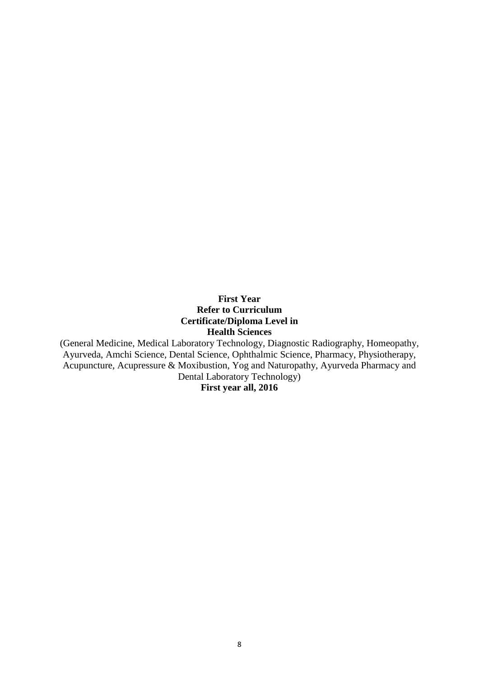#### **First Year Refer to Curriculum Certificate/Diploma Level in Health Sciences**

<span id="page-10-0"></span>(General Medicine, Medical Laboratory Technology, Diagnostic Radiography, Homeopathy, Ayurveda, Amchi Science, Dental Science, Ophthalmic Science, Pharmacy, Physiotherapy, Acupuncture, Acupressure & Moxibustion, Yog and Naturopathy, Ayurveda Pharmacy and Dental Laboratory Technology) **First year all, 2016**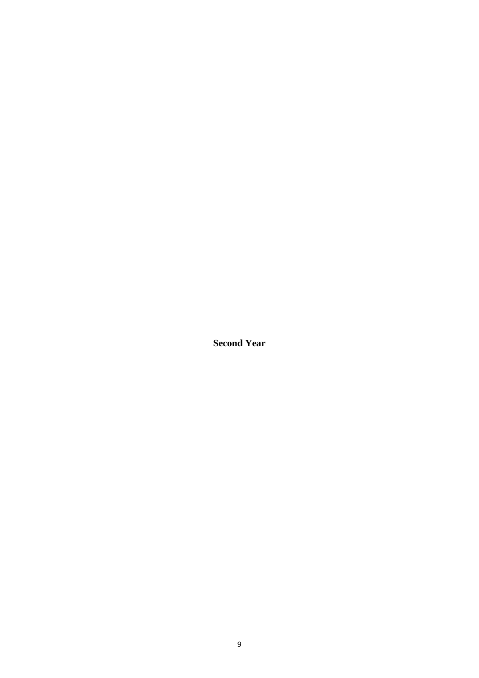<span id="page-11-0"></span>**Second Year**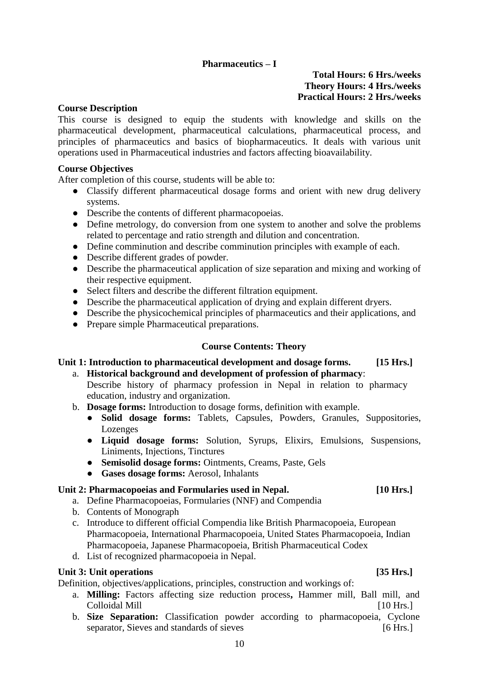### **Pharmaceutics – I**

#### **Total Hours: 6 Hrs./weeks Theory Hours: 4 Hrs./weeks Practical Hours: 2 Hrs./weeks**

#### <span id="page-12-0"></span>**Course Description**

This course is designed to equip the students with knowledge and skills on the pharmaceutical development, pharmaceutical calculations, pharmaceutical process, and principles of pharmaceutics and basics of biopharmaceutics. It deals with various unit operations used in Pharmaceutical industries and factors affecting bioavailability.

#### **Course Objectives**

After completion of this course, students will be able to:

- Classify different pharmaceutical dosage forms and orient with new drug delivery systems.
- Describe the contents of different pharmacopoeias.
- Define metrology, do conversion from one system to another and solve the problems related to percentage and ratio strength and dilution and concentration.
- Define comminution and describe comminution principles with example of each.
- Describe different grades of powder.
- Describe the pharmaceutical application of size separation and mixing and working of their respective equipment.
- Select filters and describe the different filtration equipment.
- Describe the pharmaceutical application of drying and explain different dryers.
- Describe the physicochemical principles of pharmaceutics and their applications, and
- Prepare simple Pharmaceutical preparations.

#### **Course Contents: Theory**

# **Unit 1: Introduction to pharmaceutical development and dosage forms. [15 Hrs.]**

- a. **Historical background and development of profession of pharmacy**: Describe history of pharmacy profession in Nepal in relation to pharmacy education, industry and organization.
- b. **Dosage forms:** Introduction to dosage forms, definition with example.
	- **Solid dosage forms:** Tablets, Capsules, Powders, Granules, Suppositories, Lozenges
	- **Liquid dosage forms:** Solution, Syrups, Elixirs, Emulsions, Suspensions, Liniments, Injections, Tinctures
	- **Semisolid dosage forms:** Ointments, Creams, Paste, Gels
	- **Gases dosage forms:** Aerosol, Inhalants

#### **Unit 2: Pharmacopoeias and Formularies used in Nepal. [10 Hrs.]**

- a. Define Pharmacopoeias, Formularies (NNF) and Compendia
- b. Contents of Monograph
- c. Introduce to different official Compendia like British Pharmacopoeia, European Pharmacopoeia, International Pharmacopoeia, United States Pharmacopoeia, Indian Pharmacopoeia, Japanese Pharmacopoeia, British Pharmaceutical Codex
- d. List of recognized pharmacopoeia in Nepal.

#### Unit 3: Unit operations *SIS* Hrs.]

Definition, objectives/applications, principles, construction and workings of:

- a. **Milling:** Factors affecting size reduction process**,** Hammer mill, Ball mill, and Colloidal Mill **Exercise 110** Hrs. 110 Hrs. 1
- b. **Size Separation:** Classification powder according to pharmacopoeia, Cyclone separator, Sieves and standards of sieves [6 Hrs.]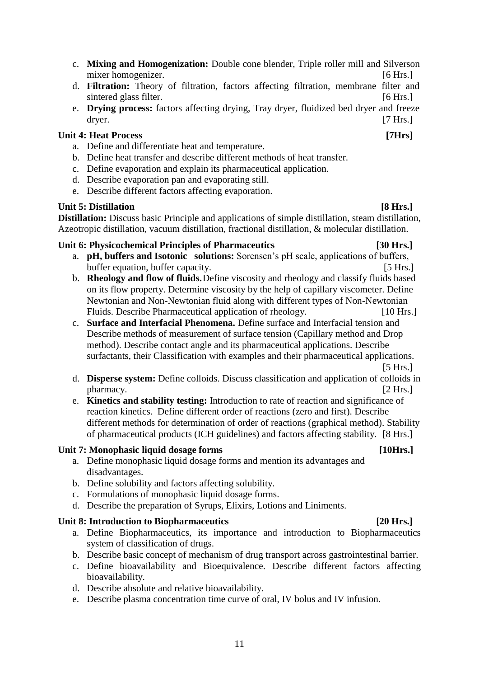- c. **Mixing and Homogenization:** Double cone blender, Triple roller mill and Silverson mixer homogenizer. [6 Hrs.]
- d. **Filtration:** Theory of filtration, factors affecting filtration, membrane filter and sintered glass filter. [6 Hrs.]
- e. **Drying process:** factors affecting drying, Tray dryer, fluidized bed dryer and freeze dryer. [7 Hrs.]

#### **Unit 4: Heat Process** *Process Process PHrs*

- a. Define and differentiate heat and temperature.
- b. Define heat transfer and describe different methods of heat transfer.
- c. Define evaporation and explain its pharmaceutical application.
- d. Describe evaporation pan and evaporating still.
- e. Describe different factors affecting evaporation.

#### Unit 5: Distillation **[8 Hrs.] Distillation:** Discuss basic Principle and applications of simple distillation, steam distillation,

# Azeotropic distillation, vacuum distillation, fractional distillation, & molecular distillation. **Unit 6: Physicochemical Principles of Pharmaceutics [30 Hrs.]**

- a. **pH, buffers and Isotonic solutions:** Sorensen's pH scale, applications of buffers, buffer equation, buffer capacity. [5 Hrs.]
- b. **Rheology and flow of fluids.**Define viscosity and rheology and classify fluids based on its flow property. Determine viscosity by the help of capillary viscometer. Define Newtonian and Non-Newtonian fluid along with different types of Non-Newtonian Fluids. Describe Pharmaceutical application of rheology. [10 Hrs.]
- c. **Surface and Interfacial Phenomena.** Define surface and Interfacial tension and Describe methods of measurement of surface tension (Capillary method and Drop method). Describe contact angle and its pharmaceutical applications. Describe surfactants, their Classification with examples and their pharmaceutical applications. [5 Hrs.]

d. **Disperse system:** Define colloids. Discuss classification and application of colloids in pharmacy. [2 Hrs.]

e. **Kinetics and stability testing:** Introduction to rate of reaction and significance of reaction kinetics. Define different order of reactions (zero and first). Describe different methods for determination of order of reactions (graphical method). Stability of pharmaceutical products (ICH guidelines) and factors affecting stability. [8 Hrs.]

#### Unit 7: Monophasic liquid dosage forms [10Hrs.]

- a. Define monophasic liquid dosage forms and mention its advantages and disadvantages.
- b. Define solubility and factors affecting solubility.
- c. Formulations of monophasic liquid dosage forms.
- d. Describe the preparation of Syrups, Elixirs, Lotions and Liniments.

#### Unit 8: Introduction to Biopharmaceutics [20 Hrs.]

- a. Define Biopharmaceutics, its importance and introduction to Biopharmaceutics system of classification of drugs.
- b. Describe basic concept of mechanism of drug transport across gastrointestinal barrier.
- c. Define bioavailability and Bioequivalence. Describe different factors affecting bioavailability.
- d. Describe absolute and relative bioavailability.
- e. Describe plasma concentration time curve of oral, IV bolus and IV infusion.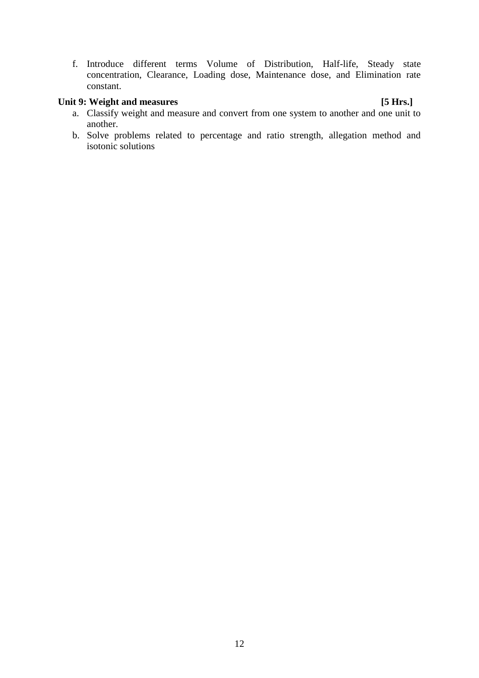f. Introduce different terms Volume of Distribution, Half-life, Steady state concentration, Clearance, Loading dose, Maintenance dose, and Elimination rate constant.

### Unit 9: Weight and measures **[5 Hrs.]**

- a. Classify weight and measure and convert from one system to another and one unit to another.
- b. Solve problems related to percentage and ratio strength, allegation method and isotonic solutions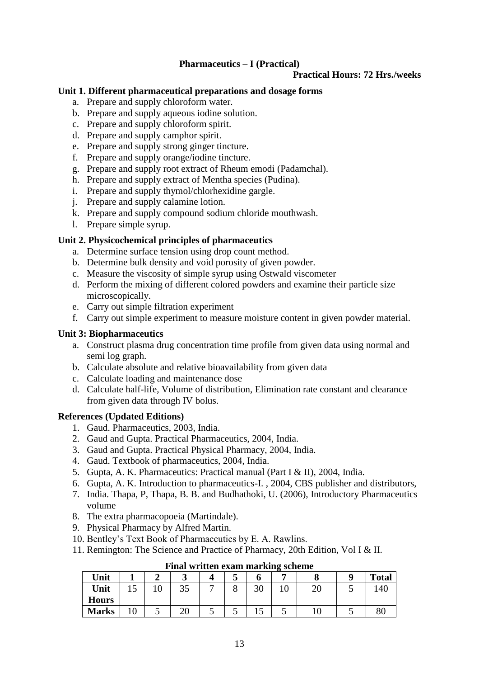# **Pharmaceutics – I (Practical)**

#### **Practical Hours: 72 Hrs./weeks**

#### <span id="page-15-0"></span>**Unit 1. Different pharmaceutical preparations and dosage forms**

- a. Prepare and supply chloroform water.
- b. Prepare and supply aqueous iodine solution.
- c. Prepare and supply chloroform spirit.
- d. Prepare and supply camphor spirit.
- e. Prepare and supply strong ginger tincture.
- f. Prepare and supply orange/iodine tincture.
- g. Prepare and supply root extract of Rheum emodi (Padamchal).
- h. Prepare and supply extract of Mentha species (Pudina).
- i. Prepare and supply thymol/chlorhexidine gargle.
- j. Prepare and supply calamine lotion.
- k. Prepare and supply compound sodium chloride mouthwash.
- l. Prepare simple syrup.

#### **Unit 2. Physicochemical principles of pharmaceutics**

- a. Determine surface tension using drop count method.
- b. Determine bulk density and void porosity of given powder.
- c. Measure the viscosity of simple syrup using Ostwald viscometer
- d. Perform the mixing of different colored powders and examine their particle size microscopically.
- e. Carry out simple filtration experiment
- f. Carry out simple experiment to measure moisture content in given powder material.

#### **Unit 3: Biopharmaceutics**

- a. Construct plasma drug concentration time profile from given data using normal and semi log graph.
- b. Calculate absolute and relative bioavailability from given data
- c. Calculate loading and maintenance dose
- d. Calculate half-life, Volume of distribution, Elimination rate constant and clearance from given data through IV bolus.

#### **References (Updated Editions)**

- 1. Gaud. Pharmaceutics, 2003, India.
- 2. Gaud and Gupta. Practical Pharmaceutics, 2004, India.
- 3. Gaud and Gupta. Practical Physical Pharmacy, 2004, India.
- 4. Gaud. Textbook of pharmaceutics, 2004, India.
- 5. Gupta, A. K. Pharmaceutics: Practical manual (Part I & II), 2004, India.
- 6. Gupta, A. K. Introduction to pharmaceutics-I. , 2004, CBS publisher and distributors,
- 7. India. Thapa, P, Thapa, B. B. and Budhathoki, U. (2006), Introductory Pharmaceutics volume
- 8. The extra pharmacopoeia (Martindale).
- 9. Physical Pharmacy by Alfred Martin.
- 10. Bentley's Text Book of Pharmaceutics by E. A. Rawlins.
- 11. Remington: The Science and Practice of Pharmacy, 20th Edition, Vol I & II.

| Unit         |    |    | ັ  |   | ັ | U  | ື |    |   | <b>Total</b> |
|--------------|----|----|----|---|---|----|---|----|---|--------------|
| Unit         | ⊥୰ | ΙU | ЭJ | - | ο | 30 |   | ∠∪ |   | 140          |
| <b>Hours</b> |    |    |    |   |   |    |   |    |   |              |
| <b>Marks</b> |    | ັ  | ∠∪ | ັ | ັ | ⊥୰ | ັ | ⊥∪ | ັ | 80           |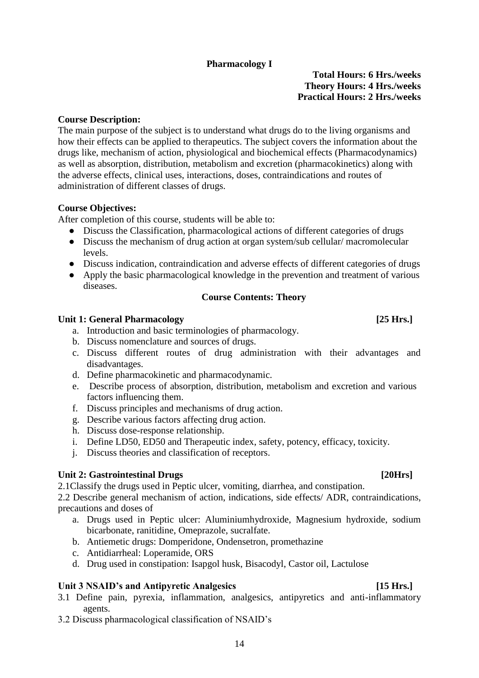# **Pharmacology I**

**Total Hours: 6 Hrs./weeks Theory Hours: 4 Hrs./weeks Practical Hours: 2 Hrs./weeks**

#### <span id="page-16-0"></span>**Course Description:**

The main purpose of the subject is to understand what drugs do to the living organisms and how their effects can be applied to therapeutics. The subject covers the information about the drugs like, mechanism of action, physiological and biochemical effects (Pharmacodynamics) as well as absorption, distribution, metabolism and excretion (pharmacokinetics) along with the adverse effects, clinical uses, interactions, doses, contraindications and routes of administration of different classes of drugs.

#### **Course Objectives:**

After completion of this course, students will be able to:

- **●** Discuss the Classification, pharmacological actions of different categories of drugs
- **●** Discuss the mechanism of drug action at organ system/sub cellular/ macromolecular levels.
- **●** Discuss indication, contraindication and adverse effects of different categories of drugs
- **●** Apply the basic pharmacological knowledge in the prevention and treatment of various diseases.

#### **Course Contents: Theory**

#### Unit 1: General Pharmacology **and Series 2018** [25 Hrs.]

- a. Introduction and basic terminologies of pharmacology.
- b. Discuss nomenclature and sources of drugs.
- c. Discuss different routes of drug administration with their advantages and disadvantages.
- d. Define pharmacokinetic and pharmacodynamic.
- e. Describe process of absorption, distribution, metabolism and excretion and various factors influencing them.
- f. Discuss principles and mechanisms of drug action.
- g. Describe various factors affecting drug action.
- h. Discuss dose-response relationship.
- i. Define LD50, ED50 and Therapeutic index, safety, potency, efficacy, toxicity.
- j. Discuss theories and classification of receptors.

#### **Unit 2: Gastrointestinal Drugs [20Hrs]** [20Hrs]

2.1Classify the drugs used in Peptic ulcer, vomiting, diarrhea, and constipation.

2.2 Describe general mechanism of action, indications, side effects/ ADR, contraindications, precautions and doses of

- a. Drugs used in Peptic ulcer: Aluminiumhydroxide, Magnesium hydroxide, sodium bicarbonate, ranitidine, Omeprazole, sucralfate.
- b. Antiemetic drugs: Domperidone, Ondensetron, promethazine
- c. Antidiarrheal: Loperamide, ORS
- d. Drug used in constipation: Isapgol husk, Bisacodyl, Castor oil, Lactulose

#### Unit 3 NSAID's and Antipyretic Analgesics [15 Hrs.]

- 3.1 Define pain, pyrexia, inflammation, analgesics, antipyretics and anti-inflammatory agents.
- 3.2 Discuss pharmacological classification of NSAID's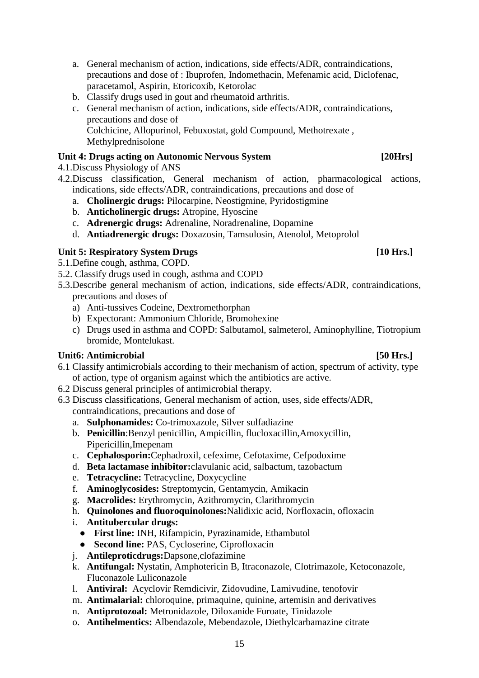precautions and dose of : Ibuprofen, Indomethacin, Mefenamic acid, Diclofenac, paracetamol, Aspirin, Etoricoxib, Ketorolac b. Classify drugs used in gout and rheumatoid arthritis.

a. General mechanism of action, indications, side effects/ADR, contraindications,

c. General mechanism of action, indications, side effects/ADR, contraindications, precautions and dose of Colchicine, Allopurinol, Febuxostat, gold Compound, Methotrexate , Methylprednisolone

# **Unit 4: Drugs acting on Autonomic Nervous System [20Hrs]**

4.1.Discuss Physiology of ANS

- 4.2.Discuss classification, General mechanism of action, pharmacological actions, indications, side effects/ADR, contraindications, precautions and dose of
	- a. **Cholinergic drugs:** Pilocarpine, Neostigmine, Pyridostigmine
	- b. **Anticholinergic drugs:** Atropine, Hyoscine
	- c. **Adrenergic drugs:** Adrenaline, Noradrenaline, Dopamine
	- d. **Antiadrenergic drugs:** Doxazosin, Tamsulosin, Atenolol, Metoprolol

#### Unit 5: Respiratory System Drugs [10 Hrs.]

- 5.1.Define cough, asthma, COPD.
- 5.2. Classify drugs used in cough, asthma and COPD
- 5.3.Describe general mechanism of action, indications, side effects/ADR, contraindications, precautions and doses of
	- a) Anti-tussives Codeine, Dextromethorphan
	- b) Expectorant: Ammonium Chloride, Bromohexine
	- c) Drugs used in asthma and COPD: Salbutamol, salmeterol, Aminophylline, Tiotropium bromide, Montelukast.

### Unit6: Antimicrobial [50 Hrs.]

- 6.1 Classify antimicrobials according to their mechanism of action, spectrum of activity, type of action, type of organism against which the antibiotics are active.
- 6.2 Discuss general principles of antimicrobial therapy.
- 6.3 Discuss classifications, General mechanism of action, uses, side effects/ADR, contraindications, precautions and dose of
	- a. **Sulphonamides:** Co-trimoxazole, Silver sulfadiazine
	- b. **Penicillin**:Benzyl penicillin, Ampicillin, flucloxacillin,Amoxycillin, Pipericillin,Imepenam
	- c. **Cephalosporin:**Cephadroxil, cefexime, Cefotaxime, Cefpodoxime
	- d. **Beta lactamase inhibitor:**clavulanic acid, salbactum, tazobactum
	- e. **Tetracycline:** Tetracycline, Doxycycline
	- f. **Aminoglycosides:** Streptomycin, Gentamycin, Amikacin
	- g. **Macrolides:** Erythromycin, Azithromycin, Clarithromycin
	- h. **Quinolones and fluoroquinolones:**Nalidixic acid, Norfloxacin, ofloxacin
	- i. **Antitubercular drugs:** 
		- **First line:** INH, Rifampicin, Pyrazinamide, Ethambutol
		- **Second line:** PAS, Cycloserine, Ciprofloxacin
	- j. **Antileproticdrugs:**Dapsone,clofazimine
	- k. **Antifungal:** Nystatin, Amphotericin B, Itraconazole, Clotrimazole, Ketoconazole, Fluconazole Luliconazole
	- l. **Antiviral:** Acyclovir Remdicivir, Zidovudine, Lamivudine, tenofovir
	- m. **Antimalarial:** chloroquine, primaquine, quinine, artemisin and derivatives
	- n. **Antiprotozoal:** Metronidazole, Diloxanide Furoate, Tinidazole
	- o. **Antihelmentics:** Albendazole, Mebendazole, Diethylcarbamazine citrate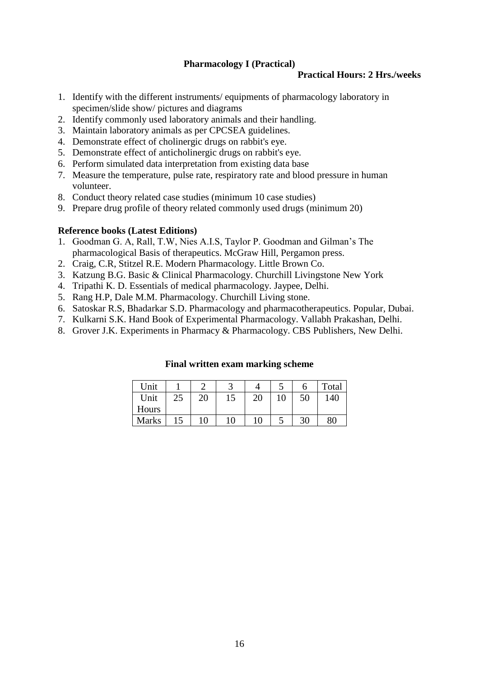### **Pharmacology I (Practical)**

#### **Practical Hours: 2 Hrs./weeks**

- <span id="page-18-0"></span>1. Identify with the different instruments/ equipments of pharmacology laboratory in specimen/slide show/ pictures and diagrams
- 2. Identify commonly used laboratory animals and their handling.
- 3. Maintain laboratory animals as per CPCSEA guidelines.
- 4. Demonstrate effect of cholinergic drugs on rabbit's eye.
- 5. Demonstrate effect of anticholinergic drugs on rabbit's eye.
- 6. Perform simulated data interpretation from existing data base
- 7. Measure the temperature, pulse rate, respiratory rate and blood pressure in human volunteer.
- 8. Conduct theory related case studies (minimum 10 case studies)
- 9. Prepare drug profile of theory related commonly used drugs (minimum 20)

#### **Reference books (Latest Editions)**

- 1. Goodman G. A, Rall, T.W, Nies A.I.S, Taylor P. Goodman and Gilman's The pharmacological Basis of therapeutics. McGraw Hill, Pergamon press.
- 2. Craig, C.R, Stitzel R.E. Modern Pharmacology. Little Brown Co.
- 3. Katzung B.G. Basic & Clinical Pharmacology. Churchill Livingstone New York
- 4. Tripathi K. D. Essentials of medical pharmacology. Jaypee, Delhi.
- 5. Rang H.P, Dale M.M. Pharmacology. Churchill Living stone.
- 6. Satoskar R.S, Bhadarkar S.D. Pharmacology and pharmacotherapeutics. Popular, Dubai.
- 7. Kulkarni S.K. Hand Book of Experimental Pharmacology. Vallabh Prakashan, Delhi.
- 8. Grover J.K. Experiments in Pharmacy & Pharmacology. CBS Publishers, New Delhi.

| Unit         |    |    |    |    | a. |    | Total |
|--------------|----|----|----|----|----|----|-------|
| Unit         | 25 | 20 | 15 | 20 | 10 | 50 | 140   |
| Hours        |    |    |    |    |    |    |       |
| <b>Marks</b> |    | 10 | 10 | 10 | ັ  | 30 | 80    |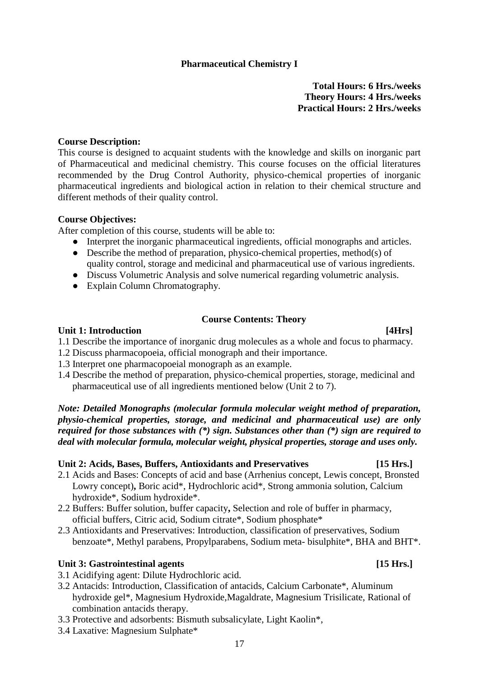# **Pharmaceutical Chemistry I**

#### **Total Hours: 6 Hrs./weeks Theory Hours: 4 Hrs./weeks Practical Hours: 2 Hrs./weeks**

#### <span id="page-19-0"></span>**Course Description:**

This course is designed to acquaint students with the knowledge and skills on inorganic part of Pharmaceutical and medicinal chemistry. This course focuses on the official literatures recommended by the Drug Control Authority, physico-chemical properties of inorganic pharmaceutical ingredients and biological action in relation to their chemical structure and different methods of their quality control.

#### **Course Objectives:**

After completion of this course, students will be able to:

- Interpret the inorganic pharmaceutical ingredients, official monographs and articles.
- Describe the method of preparation, physico-chemical properties, method(s) of quality control, storage and medicinal and pharmaceutical use of various ingredients.
- Discuss Volumetric Analysis and solve numerical regarding volumetric analysis.
- Explain Column Chromatography.

### **Course Contents: Theory**

#### Unit 1: Introduction [4Hrs]

1.1 Describe the importance of inorganic drug molecules as a whole and focus to pharmacy.

- 1.2 Discuss pharmacopoeia, official monograph and their importance.
- 1.3 Interpret one pharmacopoeial monograph as an example.
- 1.4 Describe the method of preparation, physico-chemical properties, storage, medicinal and pharmaceutical use of all ingredients mentioned below (Unit 2 to 7).

*Note: Detailed Monographs (molecular formula molecular weight method of preparation, physio-chemical properties, storage, and medicinal and pharmaceutical use) are only required for those substances with (\*) sign. Substances other than (\*) sign are required to deal with molecular formula, molecular weight, physical properties, storage and uses only.*

### **Unit 2: Acids, Bases, Buffers, Antioxidants and Preservatives [15 Hrs.]**

- 2.1 Acids and Bases: Concepts of acid and base (Arrhenius concept, Lewis concept, Bronsted Lowry concept)**,** Boric acid\*, Hydrochloric acid\*, Strong ammonia solution, Calcium hydroxide\*, Sodium hydroxide\*.
- 2.2 Buffers: Buffer solution, buffer capacity**,** Selection and role of buffer in pharmacy, official buffers, Citric acid, Sodium citrate\*, Sodium phosphate\*
- 2.3 Antioxidants and Preservatives: Introduction, classification of preservatives, Sodium benzoate\*, Methyl parabens, Propylparabens, Sodium meta- bisulphite\*, BHA and BHT\*.

#### Unit 3: Gastrointestinal agents [15 Hrs.]

- 3.1 Acidifying agent: Dilute Hydrochloric acid.
- 3.2 Antacids: Introduction, Classification of antacids, Calcium Carbonate\*, Aluminum hydroxide gel\*, Magnesium Hydroxide,Magaldrate, Magnesium Trisilicate, Rational of combination antacids therapy.
- 3.3 Protective and adsorbents: Bismuth subsalicylate, Light Kaolin\*,
- 3.4 Laxative: Magnesium Sulphate\*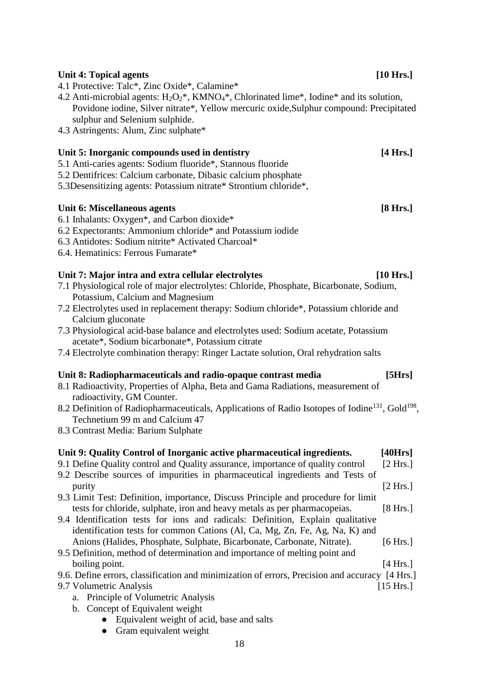#### 4.2 Anti-microbial agents:  $H_2O_2^*$ , KMN $O_4^*$ , Chlorinated lime<sup>\*</sup>, Iodine<sup>\*</sup> and its solution, Povidone iodine, Silver nitrate\*, Yellow mercuric oxide,Sulphur compound: Precipitated sulphur and Selenium sulphide.

4.3 Astringents: Alum, Zinc sulphate\*

# Unit 5: Inorganic compounds used in dentistry **[4 Hrs.]**

4.1 Protective: Talc\*, Zinc Oxide\*, Calamine\*

- 5.1 Anti-caries agents: Sodium fluoride\*, Stannous fluoride
- 5.2 Dentifrices: Calcium carbonate, Dibasic calcium phosphate
- 5.3Desensitizing agents: Potassium nitrate\* Strontium chloride\*,

### **Unit 6: Miscellaneous agents [8 Hrs.]**

- 6.1 Inhalants: Oxygen\*, and Carbon dioxide\*
- 6.2 Expectorants: Ammonium chloride\* and Potassium iodide
- 6.3 Antidotes: Sodium nitrite\* Activated Charcoal\*
- 6.4. Hematinics: Ferrous Fumarate\*

### **Unit 7: Major intra and extra cellular electrolytes [10 Hrs.]**

7.1 Physiological role of major electrolytes: Chloride, Phosphate, Bicarbonate, Sodium, Potassium, Calcium and Magnesium

Unit 4: Topical agents [10 Hrs.]

- 7.2 Electrolytes used in replacement therapy: Sodium chloride\*, Potassium chloride and Calcium gluconate
- 7.3 Physiological acid-base balance and electrolytes used: Sodium acetate, Potassium acetate\*, Sodium bicarbonate\*, Potassium citrate
- 7.4 Electrolyte combination therapy: Ringer Lactate solution, Oral rehydration salts

### **Unit 8: Radiopharmaceuticals and radio-opaque contrast media [5Hrs]**

- 8.1 Radioactivity, Properties of Alpha, Beta and Gama Radiations, measurement of radioactivity, GM Counter.
- 8.2 Definition of Radiopharmaceuticals, Applications of Radio Isotopes of Iodine<sup>131</sup>, Gold<sup>198</sup>, Technetium 99 m and Calcium 47
- 8.3 Contrast Media: Barium Sulphate

# **Unit 9: Quality Control of Inorganic active pharmaceutical ingredients. [40Hrs]** 9.1 Define Quality control and Quality assurance, importance of quality control [2 Hrs.] 9.2 Describe sources of impurities in pharmaceutical ingredients and Tests of

- purity [2 Hrs.] 9.3 Limit Test: Definition, importance, Discuss Principle and procedure for limit tests for chloride, sulphate, iron and heavy metals as per pharmacopeias. [8 Hrs.]
- 9.4 Identification tests for ions and radicals: Definition, Explain qualitative identification tests for common Cations (Al, Ca, Mg, Zn, Fe, Ag, Na, K) and Anions (Halides, Phosphate, Sulphate, Bicarbonate, Carbonate, Nitrate). [6 Hrs.]
- 9.5 Definition, method of determination and importance of melting point and boiling point. [4 Hrs.]

9.6. Define errors, classification and minimization of errors, Precision and accuracy [4 Hrs.]

- 9.7 Volumetric Analysis [15 Hrs.]
	- a. Principle of Volumetric Analysis
	- b. Concept of Equivalent weight
		- Equivalent weight of acid, base and salts
		- Gram equivalent weight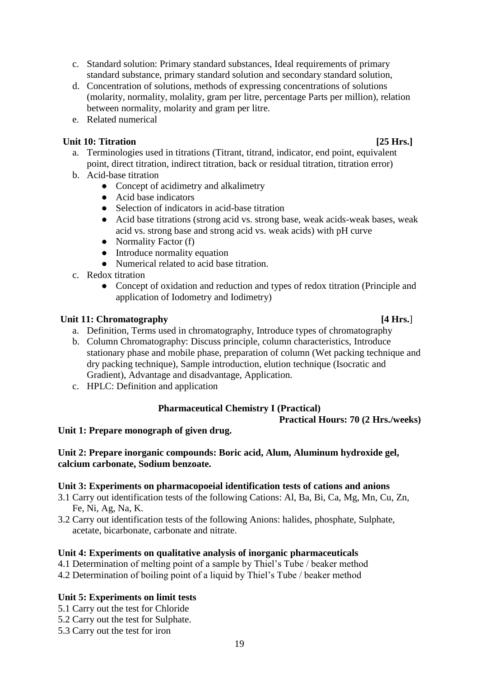- c. Standard solution: Primary standard substances, Ideal requirements of primary standard substance, primary standard solution and secondary standard solution,
- d. Concentration of solutions, methods of expressing concentrations of solutions (molarity, normality, molality, gram per litre, percentage Parts per million), relation between normality, molarity and gram per litre.
- e. Related numerical

# Unit 10: Titration [25 Hrs.]

- a. Terminologies used in titrations (Titrant, titrand, indicator, end point, equivalent point, direct titration, indirect titration, back or residual titration, titration error)
- b. Acid-base titration
	- **●** Concept of acidimetry and alkalimetry
	- **●** Acid base indicators
	- **●** Selection of indicators in acid-base titration
	- **●** Acid base titrations (strong acid vs. strong base, weak acids-weak bases, weak acid vs. strong base and strong acid vs. weak acids) with pH curve
	- **●** Normality Factor (f)
	- **●** Introduce normality equation
	- **●** Numerical related to acid base titration.
- c. Redox titration
	- Concept of oxidation and reduction and types of redox titration (Principle and application of Iodometry and Iodimetry)

### **Unit 11: Chromatography [4 Hrs.**]

- a. Definition, Terms used in chromatography, Introduce types of chromatography
- b. Column Chromatography: Discuss principle, column characteristics, Introduce stationary phase and mobile phase, preparation of column (Wet packing technique and dry packing technique), Sample introduction, elution technique (Isocratic and Gradient), Advantage and disadvantage, Application.
- c. HPLC: Definition and application

# **Pharmaceutical Chemistry I (Practical)**

### **Practical Hours: 70 (2 Hrs./weeks)**

<span id="page-21-0"></span>**Unit 1: Prepare monograph of given drug.**

### **Unit 2: Prepare inorganic compounds: Boric acid, Alum, Aluminum hydroxide gel, calcium carbonate, Sodium benzoate.**

### **Unit 3: Experiments on pharmacopoeial identification tests of cations and anions**

- 3.1 Carry out identification tests of the following Cations: Al, Ba, Bi, Ca, Mg, Mn, Cu, Zn, Fe, Ni, Ag, Na, K.
- 3.2 Carry out identification tests of the following Anions: halides, phosphate, Sulphate, acetate, bicarbonate, carbonate and nitrate.

### **Unit 4: Experiments on qualitative analysis of inorganic pharmaceuticals**

- 4.1 Determination of melting point of a sample by Thiel's Tube / beaker method
- 4.2 Determination of boiling point of a liquid by Thiel's Tube / beaker method

### **Unit 5: Experiments on limit tests**

- 5.1 Carry out the test for Chloride
- 5.2 Carry out the test for Sulphate.
- 5.3 Carry out the test for iron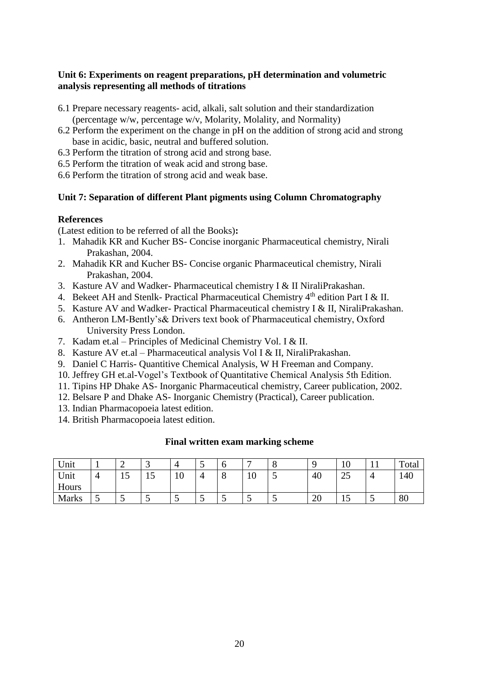#### **Unit 6: Experiments on reagent preparations, pH determination and volumetric analysis representing all methods of titrations**

- 6.1 Prepare necessary reagents- acid, alkali, salt solution and their standardization (percentage w/w, percentage w/v, Molarity, Molality, and Normality)
- 6.2 Perform the experiment on the change in pH on the addition of strong acid and strong base in acidic, basic, neutral and buffered solution.
- 6.3 Perform the titration of strong acid and strong base.
- 6.5 Perform the titration of weak acid and strong base.
- 6.6 Perform the titration of strong acid and weak base.

### **Unit 7: Separation of different Plant pigments using Column Chromatography**

#### **References**

(Latest edition to be referred of all the Books)**:**

- 1. Mahadik KR and Kucher BS- Concise inorganic Pharmaceutical chemistry, Nirali Prakashan, 2004.
- 2. Mahadik KR and Kucher BS- Concise organic Pharmaceutical chemistry, Nirali Prakashan, 2004.
- 3. Kasture AV and Wadker- Pharmaceutical chemistry I & II NiraliPrakashan.
- 4. Bekeet AH and Stenlk- Practical Pharmaceutical Chemistry 4<sup>th</sup> edition Part I & II.
- 5. Kasture AV and Wadker- Practical Pharmaceutical chemistry I & II, NiraliPrakashan.
- 6. Antheron LM-Bently's& Drivers text book of Pharmaceutical chemistry, Oxford University Press London.
- 7. Kadam et.al Principles of Medicinal Chemistry Vol. I & II.
- 8. Kasture AV et.al Pharmaceutical analysis Vol I & II, NiraliPrakashan.
- 9. Daniel C Harris- Quantitive Chemical Analysis, W H Freeman and Company.
- 10. Jeffrey GH et.al-Vogel's Textbook of Quantitative Chemical Analysis 5th Edition.
- 11. Tipins HP Dhake AS- Inorganic Pharmaceutical chemistry, Career publication, 2002.
- 12. Belsare P and Dhake AS- Inorganic Chemistry (Practical), Career publication.
- 13. Indian Pharmacopoeia latest edition.
- 14. British Pharmacopoeia latest edition.

| Unit         |   | ∽                              | ັ |    | ັ | v       | -  | $\Omega$<br>O | ◟                | ΙV                | . . | Total |
|--------------|---|--------------------------------|---|----|---|---------|----|---------------|------------------|-------------------|-----|-------|
| Unit         | 4 | $\overline{\phantom{0}}$<br>Îν |   | ΙV |   | $\circ$ | 10 | -<br>◡        | 40               | $\bigcap$<br>ں کے | 4   | 140   |
| Hours        |   |                                |   |    |   |         |    |               |                  |                   |     |       |
| <b>Marks</b> | ັ | ັ                              | ັ | ັ  | ັ | ັ       | ັ  | ັ             | $\Delta$ c<br>∠∪ | ⊥ັ                | ັ   | 80    |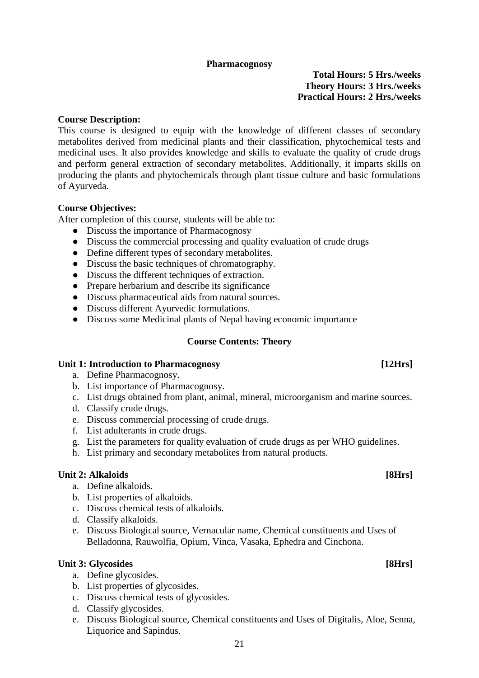#### **Pharmacognosy**

**Total Hours: 5 Hrs./weeks Theory Hours: 3 Hrs./weeks Practical Hours: 2 Hrs./weeks**

#### <span id="page-23-0"></span>**Course Description:**

This course is designed to equip with the knowledge of different classes of secondary metabolites derived from medicinal plants and their classification, phytochemical tests and medicinal uses. It also provides knowledge and skills to evaluate the quality of crude drugs and perform general extraction of secondary metabolites. Additionally, it imparts skills on producing the plants and phytochemicals through plant tissue culture and basic formulations of Ayurveda.

#### **Course Objectives:**

After completion of this course, students will be able to:

- Discuss the importance of Pharmacognosy
- Discuss the commercial processing and quality evaluation of crude drugs
- Define different types of secondary metabolites.
- Discuss the basic techniques of chromatography.
- Discuss the different techniques of extraction.
- Prepare herbarium and describe its significance
- Discuss pharmaceutical aids from natural sources.
- Discuss different Ayurvedic formulations.
- Discuss some Medicinal plants of Nepal having economic importance

#### **Course Contents: Theory**

#### Unit 1: Introduction to Pharmacognosy **Example 2018** [12Hrs]

- a. Define Pharmacognosy.
- b. List importance of Pharmacognosy.
- c. List drugs obtained from plant, animal, mineral, microorganism and marine sources.
- d. Classify crude drugs.
- e. Discuss commercial processing of crude drugs.
- f. List adulterants in crude drugs.
- g. List the parameters for quality evaluation of crude drugs as per WHO guidelines.
- h. List primary and secondary metabolites from natural products.

#### Unit 2: Alkaloids [8Hrs]

- a. Define alkaloids.
- b. List properties of alkaloids.
- c. Discuss chemical tests of alkaloids.
- d. Classify alkaloids.
- e. Discuss Biological source, Vernacular name, Chemical constituents and Uses of Belladonna, Rauwolfia, Opium, Vinca, Vasaka, Ephedra and Cinchona.

#### Unit 3: Glycosides [8Hrs]

- a. Define glycosides.
- b. List properties of glycosides.
- c. Discuss chemical tests of glycosides.
- d. Classify glycosides.
- e. Discuss Biological source, Chemical constituents and Uses of Digitalis, Aloe, Senna, Liquorice and Sapindus.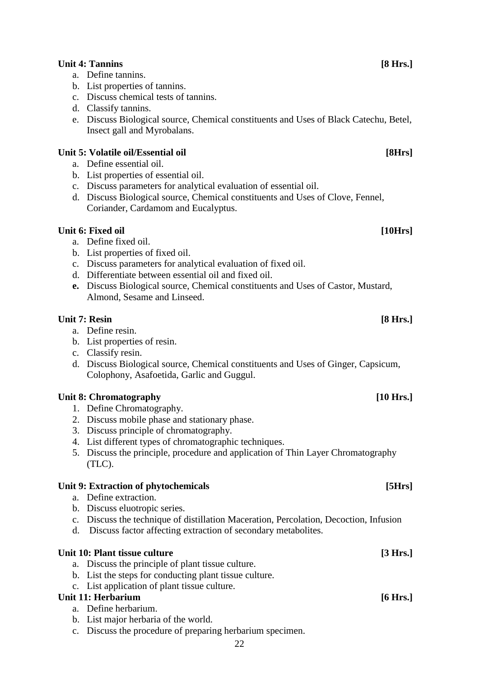### Unit 4: Tannins [8 Hrs.]

- a. Define tannins.
- b. List properties of tannins.
- c. Discuss chemical tests of tannins.
- d. Classify tannins.
- e. Discuss Biological source, Chemical constituents and Uses of Black Catechu, Betel, Insect gall and Myrobalans.

### Unit 5: Volatile oil/Essential oil **[8Hrs]**

- a. Define essential oil.
- b. List properties of essential oil.
- c. Discuss parameters for analytical evaluation of essential oil.
- d. Discuss Biological source, Chemical constituents and Uses of Clove, Fennel, Coriander, Cardamom and Eucalyptus.

#### Unit 6: Fixed oil [10Hrs]

- a. Define fixed oil.
- b. List properties of fixed oil.
- c. Discuss parameters for analytical evaluation of fixed oil.
- d. Differentiate between essential oil and fixed oil.
- **e.** Discuss Biological source, Chemical constituents and Uses of Castor, Mustard, Almond, Sesame and Linseed.

#### Unit 7: Resin [8 Hrs.]

- a. Define resin.
- b. List properties of resin.
- c. Classify resin.
- d. Discuss Biological source, Chemical constituents and Uses of Ginger, Capsicum, Colophony, Asafoetida, Garlic and Guggul.

### Unit 8: Chromatography **and in the set of the set of the set of the set of the set of the set of the set of the set of the set of the set of the set of the set of the set of the set of the set of the set of the set of the**

- 1. Define Chromatography.
- 2. Discuss mobile phase and stationary phase.
- 3. Discuss principle of chromatography.
- 4. List different types of chromatographic techniques.
- 5. Discuss the principle, procedure and application of Thin Layer Chromatography (TLC).

#### Unit 9: Extraction of phytochemicals [5Hrs]

- a. Define extraction.
- b. Discuss eluotropic series.
- c. Discuss the technique of distillation Maceration, Percolation, Decoction, Infusion
- d. Discuss factor affecting extraction of secondary metabolites.

#### Unit 10: Plant tissue culture **[3 Hrs.]**

- a. Discuss the principle of plant tissue culture.
- b. List the steps for conducting plant tissue culture.
- c. List application of plant tissue culture.

### Unit 11: Herbarium [6 Hrs.]

- a. Define herbarium.
- b. List major herbaria of the world.
- c. Discuss the procedure of preparing herbarium specimen.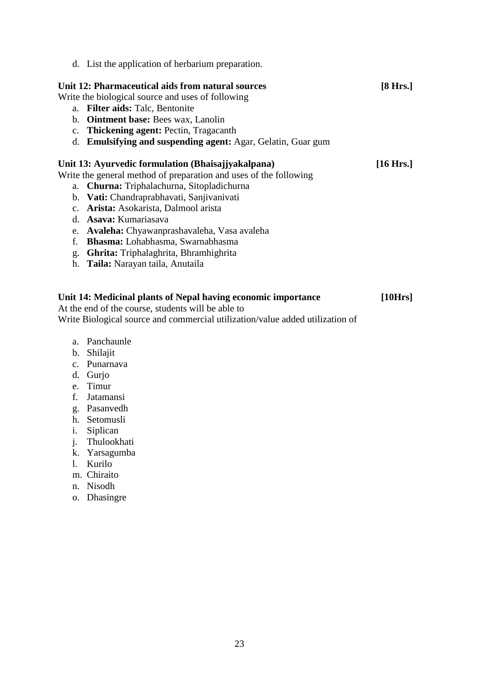d. List the application of herbarium preparation.

# Unit 12: Pharmaceutical aids from natural sources [8 Hrs.]

#### Write the biological source and uses of following

- a. **Filter aids:** Talc, Bentonite
- b. **Ointment base:** Bees wax, Lanolin
- c. **Thickening agent:** Pectin, Tragacanth
- d. **Emulsifying and suspending agent:** Agar, Gelatin, Guar gum

#### **Unit 13: Ayurvedic formulation (Bhaisajjyakalpana) [16 Hrs.]**

Write the general method of preparation and uses of the following

- a. **Churna:** Triphalachurna, Sitopladichurna
- b. **Vati:** Chandraprabhavati, Sanjivanivati
- c. **Arista:** Asokarista, Dalmool arista
- d. **Asava:** Kumariasava
- e. **Avaleha:** Chyawanprashavaleha, Vasa avaleha
- f. **Bhasma:** Lohabhasma, Swarnabhasma
- g. **Ghrita:** Triphalaghrita, Bhramhighrita
- h. **Taila:** Narayan taila, Anutaila

# **Unit 14: Medicinal plants of Nepal having economic importance [10Hrs]**

At the end of the course, students will be able to

Write Biological source and commercial utilization/value added utilization of

- a. Panchaunle
- b. Shilajit
- c. Punarnava
- d. Gurjo
- e. Timur
- f. Jatamansi
- g. Pasanvedh
- h. Setomusli
- i. Siplican
- j. Thulookhati
- k. Yarsagumba
- l. Kurilo
- m. Chiraito
- n. Nisodh
- o. Dhasingre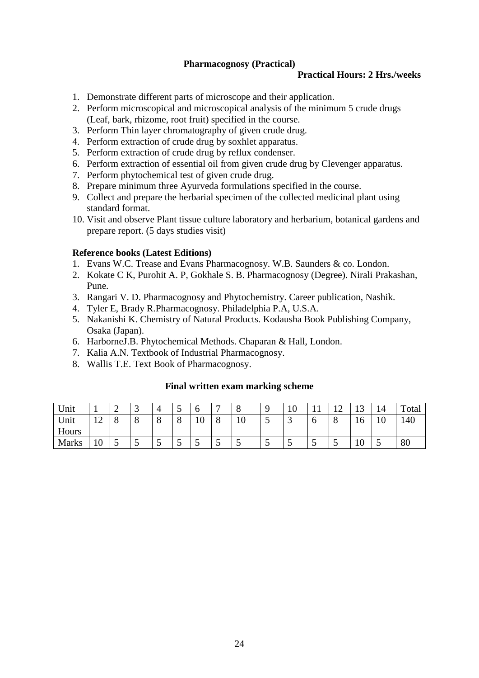### **Pharmacognosy (Practical)**

#### **Practical Hours: 2 Hrs./weeks**

- <span id="page-26-0"></span>1. Demonstrate different parts of microscope and their application.
- 2. Perform microscopical and microscopical analysis of the minimum 5 crude drugs (Leaf, bark, rhizome, root fruit) specified in the course.
- 3. Perform Thin layer chromatography of given crude drug.
- 4. Perform extraction of crude drug by soxhlet apparatus.
- 5. Perform extraction of crude drug by reflux condenser.
- 6. Perform extraction of essential oil from given crude drug by Clevenger apparatus.
- 7. Perform phytochemical test of given crude drug.
- 8. Prepare minimum three Ayurveda formulations specified in the course.
- 9. Collect and prepare the herbarial specimen of the collected medicinal plant using standard format.
- 10. Visit and observe Plant tissue culture laboratory and herbarium, botanical gardens and prepare report. (5 days studies visit)

#### **Reference books (Latest Editions)**

- 1. Evans W.C. Trease and Evans Pharmacognosy. W.B. Saunders & co. London.
- 2. Kokate C K, Purohit A. P, Gokhale S. B. Pharmacognosy (Degree). Nirali Prakashan, Pune.
- 3. Rangari V. D. Pharmacognosy and Phytochemistry. Career publication, Nashik.
- 4. Tyler E, Brady R.Pharmacognosy. Philadelphia P.A, U.S.A.
- 5. Nakanishi K. Chemistry of Natural Products. Kodausha Book Publishing Company, Osaka (Japan).
- 6. HarborneJ.B. Phytochemical Methods. Chaparan & Hall, London.
- 7. Kalia A.N. Textbook of Industrial Pharmacognosy.
- 8. Wallis T.E. Text Book of Pharmacognosy.

| Unit         |                 | ⌒<br>- | <u>ب</u> |   | ັ |              |   | U              |   | 1 U | $\mathbf{r}$ | $\sim$ | ຳ<br>⊥ັ | 14                    | Total |
|--------------|-----------------|--------|----------|---|---|--------------|---|----------------|---|-----|--------------|--------|---------|-----------------------|-------|
| Unit         | $\sim$          |        | v        | v | O | $\sim$<br>ιv | Ő | $\Omega$<br>10 | ັ |     | $\mathbf b$  | U      | 1 V     | 1 <sub>0</sub><br>1 V | 140   |
| Hours        |                 |        |          |   |   |              |   |                |   |     |              |        |         |                       |       |
| <b>Marks</b> | 10 <sup>1</sup> | ັ      | ັ        | ັ | ັ |              | ັ |                |   | ັ   | ັ            | ັ      | ΙV      | ັ                     | 80    |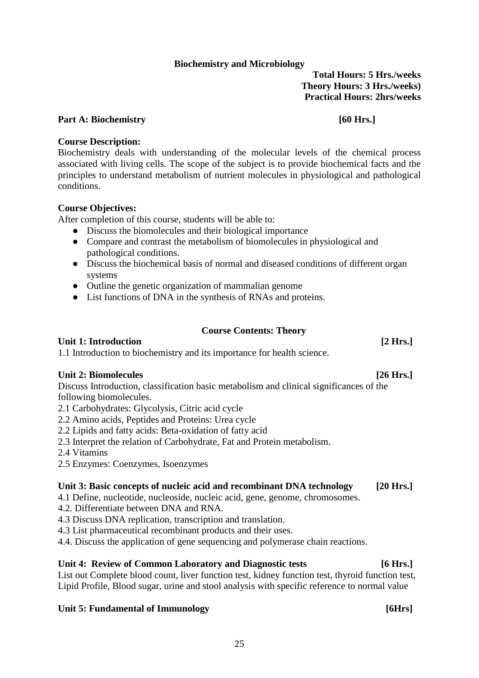# **Biochemistry and Microbiology**

**Total Hours: 5 Hrs./weeks Theory Hours: 3 Hrs./weeks) Practical Hours: 2hrs/weeks**

#### <span id="page-27-0"></span>Part A: Biochemistry *Following Part A: Biochemistry Following**<b>Following Following <i>Following**<b>Following Following Following Following <i>Following**<b>Following Following Following*

### **Course Description:**

Biochemistry deals with understanding of the molecular levels of the chemical process associated with living cells. The scope of the subject is to provide biochemical facts and the principles to understand metabolism of nutrient molecules in physiological and pathological conditions.

# **Course Objectives:**

After completion of this course, students will be able to:

- **●** Discuss the biomolecules and their biological importance
- **●** Compare and contrast the metabolism of biomolecules in physiological and pathological conditions.
- **●** Discuss the biochemical basis of normal and diseased conditions of different organ systems
- **●** Outline the genetic organization of mammalian genome
- **●** List functions of DNA in the synthesis of RNAs and proteins.

### **Course Contents: Theory**

# Unit 1: Introduction [2 Hrs.]

1.1 Introduction to biochemistry and its importance for health science.

# Unit 2: Biomolecules [26 Hrs.]

Discuss Introduction, classification basic metabolism and clinical significances of the following biomolecules.

- 2.1 Carbohydrates: Glycolysis, Citric acid cycle
- 2.2 Amino acids, Peptides and Proteins: Urea cycle
- 2.2 Lipids and fatty acids: Beta-oxidation of fatty acid
- 2.3 Interpret the relation of Carbohydrate, Fat and Protein metabolism.
- 2.4 Vitamins
- 2.5 Enzymes: Coenzymes, Isoenzymes

### **Unit 3: Basic concepts of nucleic acid and recombinant DNA technology [20 Hrs.]**

- 4.1 Define, nucleotide, nucleoside, nucleic acid, gene, genome, chromosomes.
- 4.2. Differentiate between DNA and RNA.
- 4.3 Discuss DNA replication, transcription and translation.
- 4.3 List pharmaceutical recombinant products and their uses.
- 4.4. Discuss the application of gene sequencing and polymerase chain reactions.

# **Unit 4: Review of Common Laboratory and Diagnostic tests [6 Hrs.]**

List out Complete blood count, liver function test, kidney function test, thyroid function test, Lipid Profile, Blood sugar, urine and stool analysis with specific reference to normal value

# Unit 5: Fundamental of Immunology **[6Hrs]**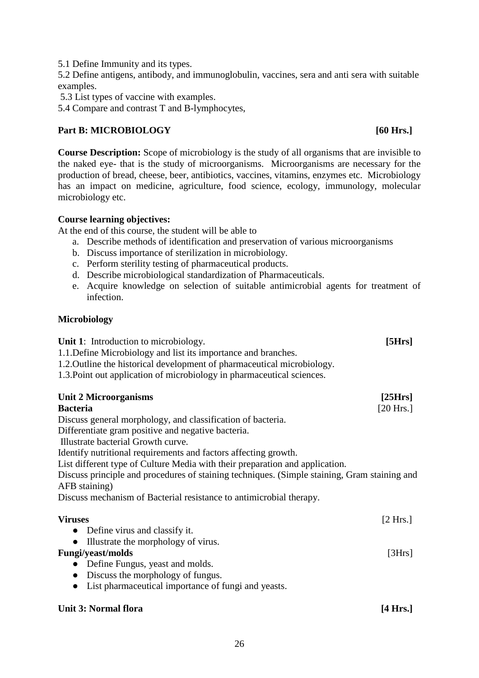5.2 Define antigens, antibody, and immunoglobulin, vaccines, sera and anti sera with suitable examples.

5.3 List types of vaccine with examples.

5.4 Compare and contrast T and B-lymphocytes,

#### Part B: MICROBIOLOGY [60 Hrs.]

#### **Course Description:** Scope of microbiology is the study of all organisms that are invisible to the naked eye- that is the study of microorganisms. Microorganisms are necessary for the production of bread, cheese, beer, antibiotics, vaccines, vitamins, enzymes etc. Microbiology has an impact on medicine, agriculture, food science, ecology, immunology, molecular microbiology etc.

#### **Course learning objectives:**

At the end of this course, the student will be able to

- a. Describe methods of identification and preservation of various microorganisms
- b. Discuss importance of sterilization in microbiology.
- c. Perform sterility testing of pharmaceutical products.
- d. Describe microbiological standardization of Pharmaceuticals.
- e. Acquire knowledge on selection of suitable antimicrobial agents for treatment of infection.

#### **Microbiology**

| <b>Unit 1:</b> Introduction to microbiology.                                                                  | [5Hrs]    |
|---------------------------------------------------------------------------------------------------------------|-----------|
| 1.1. Define Microbiology and list its importance and branches.                                                |           |
| 1.2. Outline the historical development of pharmaceutical microbiology.                                       |           |
| 1.3. Point out application of microbiology in pharmaceutical sciences.                                        |           |
| <b>Unit 2 Microorganisms</b>                                                                                  | [25Hrs]   |
| <b>Bacteria</b>                                                                                               | [20 Hrs.] |
| Discuss general morphology, and classification of bacteria.                                                   |           |
| Differentiate gram positive and negative bacteria.                                                            |           |
| Illustrate bacterial Growth curve.                                                                            |           |
| Identify nutritional requirements and factors affecting growth.                                               |           |
| List different type of Culture Media with their preparation and application.                                  |           |
| Discuss principle and procedures of staining techniques. (Simple staining, Gram staining and<br>AFB staining) |           |
| Discuss mechanism of Bacterial resistance to antimicrobial therapy.                                           |           |
| <b>Viruses</b>                                                                                                | [2 Hrs.]  |
| Define virus and classify it.                                                                                 |           |
| Illustrate the morphology of virus.                                                                           |           |
| <b>Fungi/yeast/molds</b>                                                                                      | [3Hrs]    |
| Define Fungus, yeast and molds.<br>$\bullet$                                                                  |           |
| Discuss the morphology of fungus.<br>$\bullet$                                                                |           |
| List pharmaceutical importance of fungi and yeasts.                                                           |           |
|                                                                                                               |           |

#### Unit 3: Normal flora **[4 Hrs.]**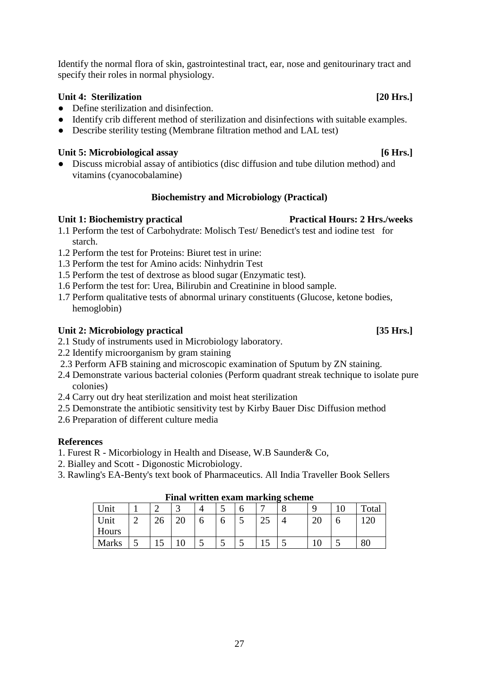Identify the normal flora of skin, gastrointestinal tract, ear, nose and genitourinary tract and specify their roles in normal physiology.

### Unit 4: Sterilization [20 Hrs.]

- Define sterilization and disinfection.
- Identify crib different method of sterilization and disinfections with suitable examples.
- Describe sterility testing (Membrane filtration method and LAL test)

#### Unit 5: Microbiological assay [6 Hrs.]

• Discuss microbial assay of antibiotics (disc diffusion and tube dilution method) and vitamins (cyanocobalamine)

#### **Biochemistry and Microbiology (Practical)**

#### <span id="page-29-0"></span>**Unit 1: Biochemistry practical Practical Practical Hours: 2 Hrs./weeks**

- 1.1 Perform the test of Carbohydrate: Molisch Test/ Benedict's test and iodine test for starch.
- 1.2 Perform the test for Proteins: Biuret test in urine:
- 1.3 Perform the test for Amino acids: Ninhydrin Test
- 1.5 Perform the test of dextrose as blood sugar (Enzymatic test).
- 1.6 Perform the test for: Urea, Bilirubin and Creatinine in blood sample.
- 1.7 Perform qualitative tests of abnormal urinary constituents (Glucose, ketone bodies, hemoglobin)

#### Unit 2: Microbiology practical [35 Hrs.]

- 2.1 Study of instruments used in Microbiology laboratory.
- 2.2 Identify microorganism by gram staining
- 2.3 Perform AFB staining and microscopic examination of Sputum by ZN staining.
- 2.4 Demonstrate various bacterial colonies (Perform quadrant streak technique to isolate pure colonies)
- 2.4 Carry out dry heat sterilization and moist heat sterilization
- 2.5 Demonstrate the antibiotic sensitivity test by Kirby Bauer Disc Diffusion method
- 2.6 Preparation of different culture media

#### **References**

- 1. Furest R Micorbiology in Health and Disease, W.B Saunder& Co,
- 2. Bialley and Scott Digonostic Microbiology.
- 3. Rawling's EA-Benty's text book of Pharmaceutics. All India Traveller Book Sellers

| Unit         |   |    |          |  | ັ        |   | -                         | O | a                |   | Total |  |  |  |
|--------------|---|----|----------|--|----------|---|---------------------------|---|------------------|---|-------|--|--|--|
| Unit         |   | 26 | ററ<br>ΖU |  | O        | ັ | $\Delta$ $\epsilon$<br>ر∠ |   | $\Delta r$<br>∠∪ | O | 120   |  |  |  |
| Hours        |   |    |          |  |          |   |                           |   |                  |   |       |  |  |  |
| <b>Marks</b> | ັ | ⊥ັ | 1 U      |  | <b>ب</b> | ັ | ⊥ັ                        | ◡ |                  | ◡ | 80    |  |  |  |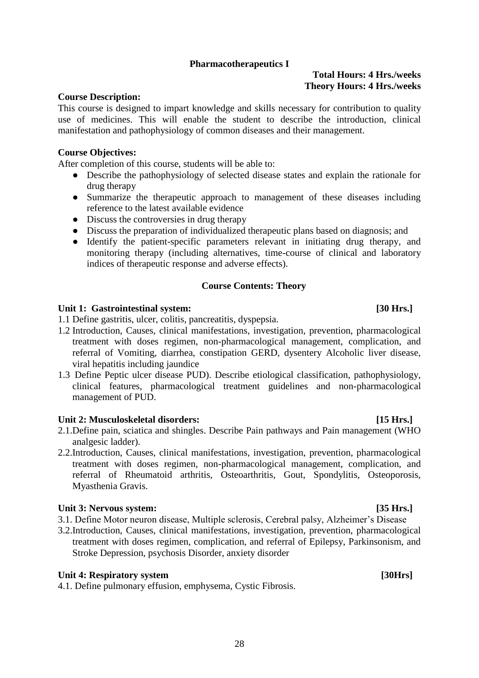#### **Pharmacotherapeutics I**

### **Total Hours: 4 Hrs./weeks Theory Hours: 4 Hrs./weeks**

#### <span id="page-30-0"></span>**Course Description:**

This course is designed to impart knowledge and skills necessary for contribution to quality use of medicines. This will enable the student to describe the introduction, clinical manifestation and pathophysiology of common diseases and their management.

#### **Course Objectives:**

After completion of this course, students will be able to:

- Describe the pathophysiology of selected disease states and explain the rationale for drug therapy
- Summarize the therapeutic approach to management of these diseases including reference to the latest available evidence
- Discuss the controversies in drug therapy
- Discuss the preparation of individualized therapeutic plans based on diagnosis; and
- Identify the patient-specific parameters relevant in initiating drug therapy, and monitoring therapy (including alternatives, time-course of clinical and laboratory indices of therapeutic response and adverse effects).

#### **Course Contents: Theory**

#### Unit 1: Gastrointestinal system: [30 Hrs.]

1.1 Define gastritis, ulcer, colitis, pancreatitis, dyspepsia.

- 1.2 Introduction, Causes, clinical manifestations, investigation, prevention, pharmacological treatment with doses regimen, non-pharmacological management, complication, and referral of Vomiting, diarrhea, constipation GERD, dysentery Alcoholic liver disease, viral hepatitis including jaundice
- 1.3 Define Peptic ulcer disease PUD). Describe etiological classification, pathophysiology, clinical features, pharmacological treatment guidelines and non-pharmacological management of PUD.

#### Unit 2: Musculoskeletal disorders: [15 Hrs.]

- 2.1.Define pain, sciatica and shingles. Describe Pain pathways and Pain management (WHO analgesic ladder).
- 2.2.Introduction, Causes, clinical manifestations, investigation, prevention, pharmacological treatment with doses regimen, non-pharmacological management, complication, and referral of Rheumatoid arthritis, Osteoarthritis, Gout, Spondylitis, Osteoporosis, Myasthenia Gravis.

#### Unit 3: Nervous system: *SIMP* **EXECUTE: EXECUTE: EXECUTE: EXECUTE: EXECUTE: EXECUTE: EXECUTE: EXECUTE: EXECUTE: EXECUTE: EXECUTE: EXECUTE: EXECUTE: EXECUTE: EXECUTE: EXECUTE: EXECUTE: E**

- 3.1. Define Motor neuron disease, Multiple sclerosis, Cerebral palsy, Alzheimer's Disease
- 3.2.Introduction, Causes, clinical manifestations, investigation, prevention, pharmacological treatment with doses regimen, complication, and referral of Epilepsy, Parkinsonism, and Stroke Depression, psychosis Disorder, anxiety disorder

#### Unit 4: Respiratory system [30Hrs]

4.1. Define pulmonary effusion, emphysema, Cystic Fibrosis.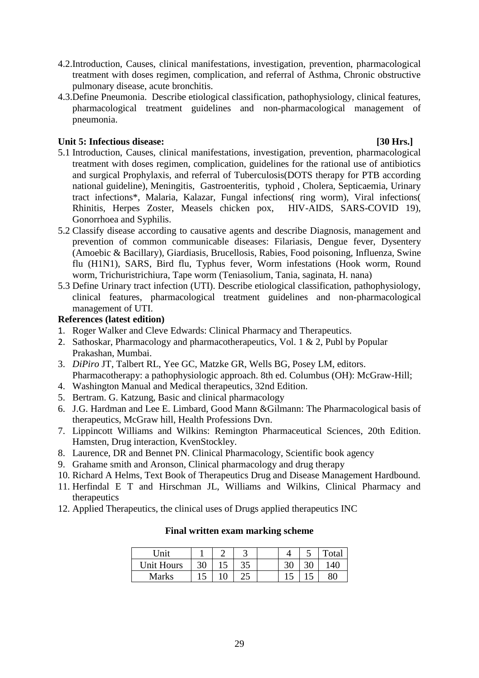- 4.2.Introduction, Causes, clinical manifestations, investigation, prevention, pharmacological treatment with doses regimen, complication, and referral of Asthma, Chronic obstructive pulmonary disease, acute bronchitis.
- 4.3.Define Pneumonia. Describe etiological classification, pathophysiology, clinical features, pharmacological treatment guidelines and non-pharmacological management of pneumonia.

#### Unit 5: Infectious disease: *a* **130 Hrs.**]

- 5.1 Introduction, Causes, clinical manifestations, investigation, prevention, pharmacological treatment with doses regimen, complication, guidelines for the rational use of antibiotics and surgical Prophylaxis, and referral of Tuberculosis(DOTS therapy for PTB according national guideline), Meningitis, Gastroenteritis, typhoid , Cholera, Septicaemia, Urinary tract infections\*, Malaria, Kalazar, Fungal infections( ring worm), Viral infections( Rhinitis, Herpes Zoster, Measels chicken pox, HIV-AIDS, SARS-COVID 19), Gonorrhoea and Syphilis.
- 5.2 Classify disease according to causative agents and describe Diagnosis, management and prevention of common communicable diseases: Filariasis, Dengue fever, Dysentery (Amoebic & Bacillary), Giardiasis, Brucellosis, Rabies, Food poisoning, Influenza, Swine flu (H1N1), SARS, Bird flu, Typhus fever, Worm infestations (Hook worm, Round worm, Trichuristrichiura, Tape worm (Teniasolium, Tania, saginata, H. nana)
- 5.3 Define Urinary tract infection (UTI). Describe etiological classification, pathophysiology, clinical features, pharmacological treatment guidelines and non-pharmacological management of UTI.

### **References (latest edition)**

- 1. Roger Walker and Cleve Edwards: Clinical Pharmacy and Therapeutics.
- 2. Sathoskar, Pharmacology and pharmacotherapeutics, Vol. 1 & 2, Publ by Popular Prakashan, Mumbai.
- 3. *DiPiro* JT, Talbert RL, Yee GC, Matzke GR, Wells BG, Posey LM, editors. Pharmacotherapy: a pathophysiologic approach. 8th ed. Columbus (OH): McGraw-Hill;
- 4. Washington Manual and Medical therapeutics, 32nd Edition.
- 5. Bertram. G. Katzung, Basic and clinical pharmacology
- 6. J.G. Hardman and Lee E. Limbard, Good Mann &Gilmann: The Pharmacological basis of therapeutics, McGraw hill, Health Professions Dvn.
- 7. Lippincott Williams and Wilkins: Remington Pharmaceutical Sciences, 20th Edition. Hamsten, Drug interaction, KvenStockley.
- 8. Laurence, DR and Bennet PN. Clinical Pharmacology, Scientific book agency
- 9. Grahame smith and Aronson, Clinical pharmacology and drug therapy
- 10. Richard A Helms, Text Book of Therapeutics Drug and Disease Management Hardbound.
- 11. Herfindal E T and Hirschman JL, Williams and Wilkins, Clinical Pharmacy and therapeutics
- 12. Applied Therapeutics, the clinical uses of Drugs applied therapeutics INC

| Unit       |     | ت   |    | ັ | otal |
|------------|-----|-----|----|---|------|
| Unit Hours | 30  | ت ب |    |   | 40   |
| Marks      | ⊥ J | ∠~  | ⊥⊷ |   |      |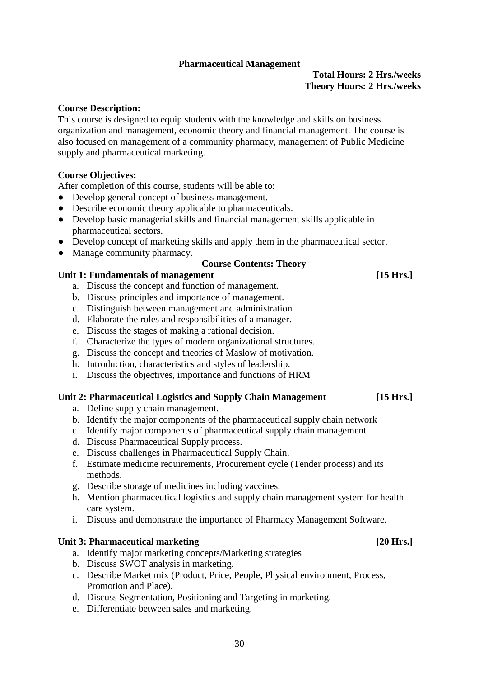#### **Pharmaceutical Management**

#### **Total Hours: 2 Hrs./weeks Theory Hours: 2 Hrs./weeks**

#### <span id="page-32-0"></span>**Course Description:**

This course is designed to equip students with the knowledge and skills on business organization and management, economic theory and financial management. The course is also focused on management of a community pharmacy, management of Public Medicine supply and pharmaceutical marketing.

#### **Course Objectives:**

After completion of this course, students will be able to:

- Develop general concept of business management.
- Describe economic theory applicable to pharmaceuticals.
- Develop basic managerial skills and financial management skills applicable in pharmaceutical sectors.
- Develop concept of marketing skills and apply them in the pharmaceutical sector.
- Manage community pharmacy.

#### **Course Contents: Theory**

#### Unit 1: Fundamentals of management **and a set of the set of the set of the set of the set of the set of the set of the set of the set of the set of the set of the set of the set of the set of the set of the set of the set**

- a. Discuss the concept and function of management.
- b. Discuss principles and importance of management.
- c. Distinguish between management and administration
- d. Elaborate the roles and responsibilities of a manager.
- e. Discuss the stages of making a rational decision.
- f. Characterize the types of modern organizational structures.
- g. Discuss the concept and theories of Maslow of motivation.
- h. Introduction, characteristics and styles of leadership.
- i. Discuss the objectives, importance and functions of HRM

#### **Unit 2: Pharmaceutical Logistics and Supply Chain Management [15 Hrs.]**

- a. Define supply chain management.
- b. Identify the major components of the pharmaceutical supply chain network
- c. Identify major components of pharmaceutical supply chain management
- d. Discuss Pharmaceutical Supply process.
- e. Discuss challenges in Pharmaceutical Supply Chain.
- f. Estimate medicine requirements, Procurement cycle (Tender process) and its methods.
- g. Describe storage of medicines including vaccines.
- h. Mention pharmaceutical logistics and supply chain management system for health care system.
- i. Discuss and demonstrate the importance of Pharmacy Management Software.

#### Unit 3: Pharmaceutical marketing *Lease Community 120 Hrs.*

- a. Identify major marketing concepts/Marketing strategies
- b. Discuss SWOT analysis in marketing.
- c. Describe Market mix (Product, Price, People, Physical environment, Process, Promotion and Place).
- d. Discuss Segmentation, Positioning and Targeting in marketing.
- e. Differentiate between sales and marketing.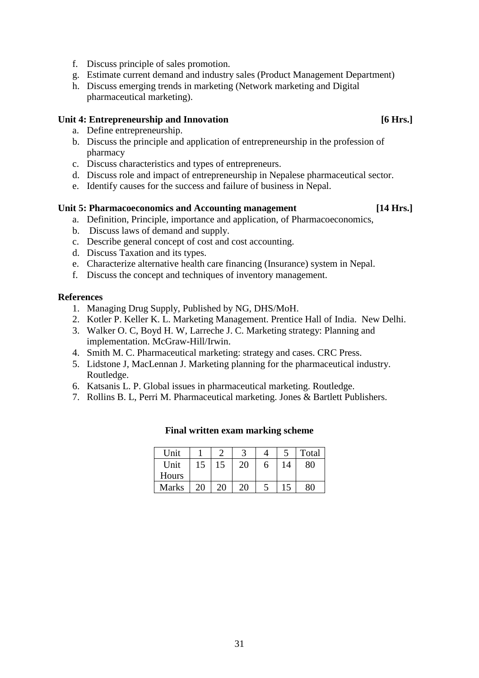- f. Discuss principle of sales promotion.
- g. Estimate current demand and industry sales (Product Management Department)
- h. Discuss emerging trends in marketing (Network marketing and Digital pharmaceutical marketing).

# Unit 4: Entrepreneurship and Innovation **1996 1997 1998 1998 1998 1998 1998 1998 1998 1999 1999 1999 1999 1999 1999 1999 1999 1999 1999 1999 1999 1999 1999 1999 1999 1999**

- a. Define entrepreneurship.
- b. Discuss the principle and application of entrepreneurship in the profession of pharmacy
- c. Discuss characteristics and types of entrepreneurs.
- d. Discuss role and impact of entrepreneurship in Nepalese pharmaceutical sector.
- e. Identify causes for the success and failure of business in Nepal.

### Unit 5: Pharmacoeconomics and Accounting management [14 Hrs.]

- a. Definition, Principle, importance and application, of Pharmacoeconomics,
- b. Discuss laws of demand and supply.
- c. Describe general concept of cost and cost accounting.
- d. Discuss Taxation and its types.
- e. Characterize alternative health care financing (Insurance) system in Nepal.
- f. Discuss the concept and techniques of inventory management.

### **References**

- 1. Managing Drug Supply, Published by NG, DHS/MoH.
- 2. Kotler P. Keller K. L. Marketing Management. Prentice Hall of India. New Delhi.
- 3. Walker O. C, Boyd H. W, Larreche J. C. Marketing strategy: Planning and implementation. McGraw-Hill/Irwin.
- 4. Smith M. C. Pharmaceutical marketing: strategy and cases. CRC Press.
- 5. Lidstone J, MacLennan J. Marketing planning for the pharmaceutical industry. Routledge.
- 6. Katsanis L. P. Global issues in pharmaceutical marketing. Routledge.
- 7. Rollins B. L, Perri M. Pharmaceutical marketing. Jones & Bartlett Publishers.

| Unit         |    |    |    |   |    | Total |
|--------------|----|----|----|---|----|-------|
| Unit         | 15 | 15 | 20 | 6 | 14 | 80    |
| Hours        |    |    |    |   |    |       |
| <b>Marks</b> | 20 | 20 | 20 |   | 15 | 80    |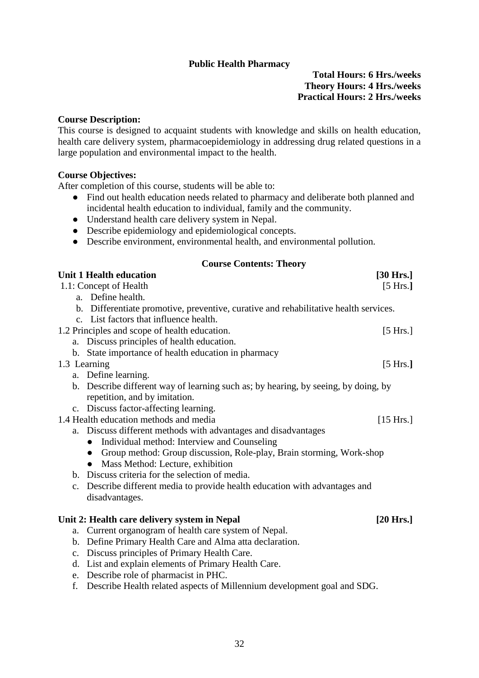#### **Public Health Pharmacy**

### **Total Hours: 6 Hrs./weeks Theory Hours: 4 Hrs./weeks Practical Hours: 2 Hrs./weeks**

#### <span id="page-34-0"></span>**Course Description:**

This course is designed to acquaint students with knowledge and skills on health education, health care delivery system, pharmacoepidemiology in addressing drug related questions in a large population and environmental impact to the health.

#### **Course Objectives:**

After completion of this course, students will be able to:

- Find out health education needs related to pharmacy and deliberate both planned and incidental health education to individual, family and the community.
- Understand health care delivery system in Nepal.
- Describe epidemiology and epidemiological concepts.
- Describe environment, environmental health, and environmental pollution.

### **Course Contents: Theory**

| <b>Unit 1 Health education</b>                                                       | $[30$ Hrs.]        |
|--------------------------------------------------------------------------------------|--------------------|
| 1.1: Concept of Health                                                               | [5 Hrs.]           |
| a. Define health.                                                                    |                    |
| b. Differentiate promotive, preventive, curative and rehabilitative health services. |                    |
| c. List factors that influence health.                                               |                    |
| 1.2 Principles and scope of health education.                                        | $[5 \text{ Hrs.}]$ |
| a. Discuss principles of health education.                                           |                    |
| b. State importance of health education in pharmacy                                  |                    |
| 1.3 Learning                                                                         | [5 Hrs.]           |
| a. Define learning.                                                                  |                    |
| b. Describe different way of learning such as; by hearing, by seeing, by doing, by   |                    |
| repetition, and by imitation.                                                        |                    |
| c. Discuss factor-affecting learning.                                                |                    |
| 1.4 Health education methods and media                                               | [15 Hrs.]          |
| a. Discuss different methods with advantages and disadvantages                       |                    |
| Individual method: Interview and Counseling<br>$\bullet$                             |                    |
| • Group method: Group discussion, Role-play, Brain storming, Work-shop               |                    |
| • Mass Method: Lecture, exhibition                                                   |                    |
| b. Discuss criteria for the selection of media.                                      |                    |
| c. Describe different media to provide health education with advantages and          |                    |
| disadvantages.                                                                       |                    |
|                                                                                      |                    |
| Unit 2: Health care delivery system in Nepal                                         | [20 Hrs.]          |
| Current organogram of health care system of Nepal.<br>a.                             |                    |
| b. Define Primary Health Care and Alma atta declaration.                             |                    |
| c. Discuss principles of Primary Health Care.                                        |                    |
| List and explain elements of Primary Health Care.<br>d.                              |                    |
| e. Describe role of pharmacist in PHC.                                               |                    |

f. Describe Health related aspects of Millennium development goal and SDG.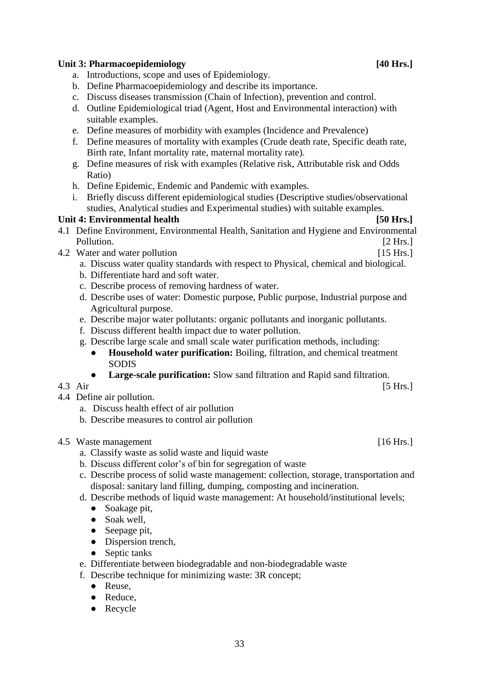### Unit 3: Pharmacoepidemiology [40 Hrs.]

- a. Introductions, scope and uses of Epidemiology.
- b. Define Pharmacoepidemiology and describe its importance.
- c. Discuss diseases transmission (Chain of Infection), prevention and control.
- d. Outline Epidemiological triad (Agent, Host and Environmental interaction) with suitable examples.
- e. Define measures of morbidity with examples (Incidence and Prevalence)
- f. Define measures of mortality with examples (Crude death rate, Specific death rate, Birth rate, Infant mortality rate, maternal mortality rate).
- g. Define measures of risk with examples (Relative risk, Attributable risk and Odds Ratio)
- h. Define Epidemic, Endemic and Pandemic with examples.
- i. Briefly discuss different epidemiological studies (Descriptive studies/observational studies, Analytical studies and Experimental studies) with suitable examples.

#### Unit 4: Environmental health **[50 Hrs.]**

- 4.1 Define Environment, Environmental Health, Sanitation and Hygiene and Environmental Pollution. [2 Hrs.]
- 4.2 Water and water pollution **and in the set of the set of the set of the set of the set of the set of the set of the set of the set of the set of the set of the set of the set of the set of the set of the set of the set** 
	- a. Discuss water quality standards with respect to Physical, chemical and biological.
	- b. Differentiate hard and soft water.
	- c. Describe process of removing hardness of water.
	- d. Describe uses of water: Domestic purpose, Public purpose, Industrial purpose and Agricultural purpose.
	- e. Describe major water pollutants: organic pollutants and inorganic pollutants.
	- f. Discuss different health impact due to water pollution.
	- g. Describe large scale and small scale water purification methods, including:
		- **Household water purification:** Boiling, filtration, and chemical treatment SODIS
		- **Large-scale purification:** Slow sand filtration and Rapid sand filtration.
- 4.3 Air [5 Hrs.]
- 4.4 Define air pollution.
	- a. Discuss health effect of air pollution
	- b. Describe measures to control air pollution
- 4.5 Waste management [16 Hrs.]
	- a. Classify waste as solid waste and liquid waste
	- b. Discuss different color's of bin for segregation of waste
	- c. Describe process of solid waste management: collection, storage, transportation and disposal: sanitary land filling, dumping, composting and incineration.
	- d. Describe methods of liquid waste management: At household/institutional levels;
		- Soakage pit.
		- Soak well,
		- Seepage pit,
		- Dispersion trench,
		- Septic tanks
	- e. Differentiate between biodegradable and non-biodegradable waste
	- f. Describe technique for minimizing waste: 3R concept;
		- Reuse,
		- Reduce.
		- Recycle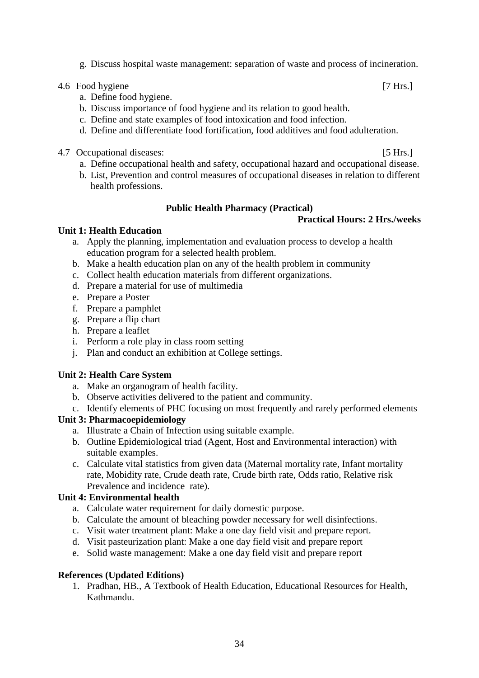g. Discuss hospital waste management: separation of waste and process of incineration.

#### 4.6 Food hygiene [7 Hrs.]

- a. Define food hygiene.
- b. Discuss importance of food hygiene and its relation to good health.
- c. Define and state examples of food intoxication and food infection.
- d. Define and differentiate food fortification, food additives and food adulteration.
- 4.7 Occupational diseases: [5 Hrs.]
	-
	- a. Define occupational health and safety, occupational hazard and occupational disease.
	- b. List, Prevention and control measures of occupational diseases in relation to different health professions.

### **Public Health Pharmacy (Practical)**

### **Practical Hours: 2 Hrs./weeks**

### <span id="page-36-0"></span>**Unit 1: Health Education**

- a. Apply the planning, implementation and evaluation process to develop a health education program for a selected health problem.
- b. Make a health education plan on any of the health problem in community
- c. Collect health education materials from different organizations.
- d. Prepare a material for use of multimedia
- e. Prepare a Poster
- f. Prepare a pamphlet
- g. Prepare a flip chart
- h. Prepare a leaflet
- i. Perform a role play in class room setting
- j. Plan and conduct an exhibition at College settings.

### **Unit 2: Health Care System**

- a. Make an organogram of health facility.
- b. Observe activities delivered to the patient and community.
- c. Identify elements of PHC focusing on most frequently and rarely performed elements

# **Unit 3: Pharmacoepidemiology**

- a. Illustrate a Chain of Infection using suitable example.
- b. Outline Epidemiological triad (Agent, Host and Environmental interaction) with suitable examples.
- c. Calculate vital statistics from given data (Maternal mortality rate, Infant mortality rate, Mobidity rate, Crude death rate, Crude birth rate, Odds ratio, Relative risk Prevalence and incidence rate).

### **Unit 4: Environmental health**

- a. Calculate water requirement for daily domestic purpose.
- b. Calculate the amount of bleaching powder necessary for well disinfections.
- c. Visit water treatment plant: Make a one day field visit and prepare report.
- d. Visit pasteurization plant: Make a one day field visit and prepare report
- e. Solid waste management: Make a one day field visit and prepare report

#### **References (Updated Editions)**

1. Pradhan, HB., A Textbook of Health Education, Educational Resources for Health, Kathmandu.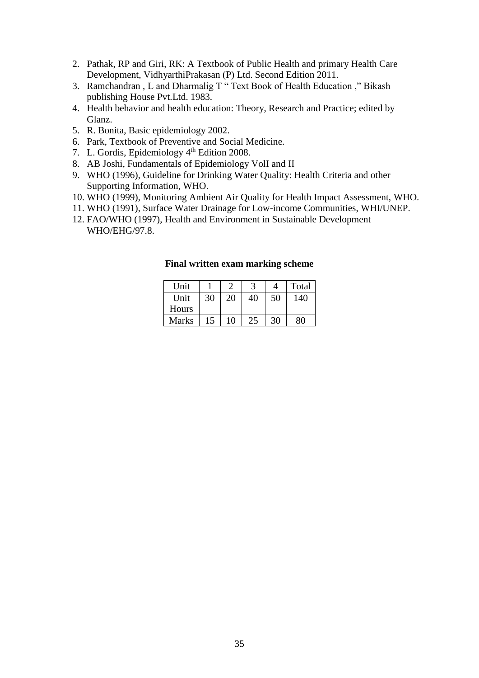- 2. Pathak, RP and Giri, RK: A Textbook of Public Health and primary Health Care Development, VidhyarthiPrakasan (P) Ltd. Second Edition 2011.
- 3. Ramchandran , L and Dharmalig T " Text Book of Health Education ," Bikash publishing House Pvt.Ltd. 1983.
- 4. Health behavior and health education: Theory, Research and Practice; edited by Glanz.
- 5. R. Bonita, Basic epidemiology 2002.
- 6. Park, Textbook of Preventive and Social Medicine.
- 7. L. Gordis, Epidemiology 4<sup>th</sup> Edition 2008.
- 8. AB Joshi, Fundamentals of Epidemiology VolI and II
- 9. WHO (1996), Guideline for Drinking Water Quality: Health Criteria and other Supporting Information, WHO.
- 10. WHO (1999), Monitoring Ambient Air Quality for Health Impact Assessment, WHO.
- 11. WHO (1991), Surface Water Drainage for Low-income Communities, WHI/UNEP.
- 12. FAO/WHO (1997), Health and Environment in Sustainable Development WHO/EHG/97.8.

| <b>Unit</b> |    | ◠  |    | 4  | Total |
|-------------|----|----|----|----|-------|
| Unit        | 30 | 20 | 40 | 50 | 140   |
| Hours       |    |    |    |    |       |
| Marks       | 15 | 10 | 25 | 30 | RΛ    |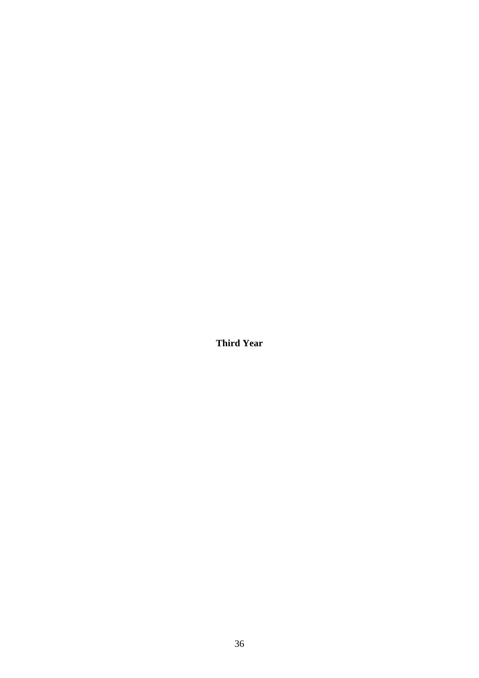<span id="page-38-0"></span>**Third Year**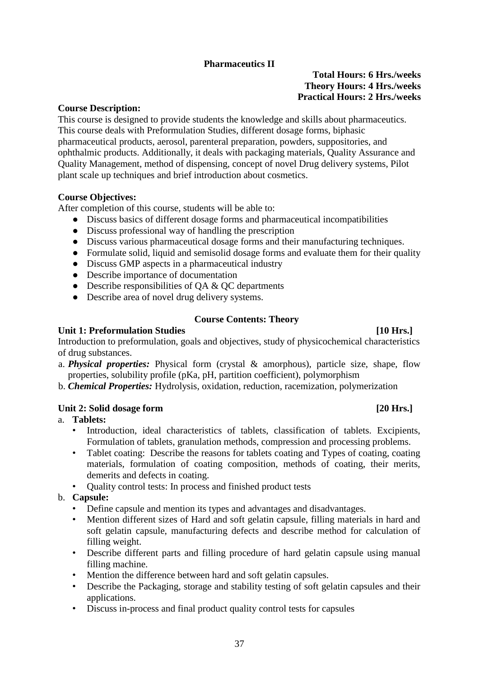# **Pharmaceutics II**

### **Total Hours: 6 Hrs./weeks Theory Hours: 4 Hrs./weeks Practical Hours: 2 Hrs./weeks**

#### <span id="page-39-0"></span>**Course Description:**

This course is designed to provide students the knowledge and skills about pharmaceutics. This course deals with Preformulation Studies, different dosage forms, biphasic pharmaceutical products, aerosol, parenteral preparation, powders, suppositories, and ophthalmic products. Additionally, it deals with packaging materials, Quality Assurance and Quality Management, method of dispensing, concept of novel Drug delivery systems, Pilot plant scale up techniques and brief introduction about cosmetics.

#### **Course Objectives:**

After completion of this course, students will be able to:

- Discuss basics of different dosage forms and pharmaceutical incompatibilities
- Discuss professional way of handling the prescription
- Discuss various pharmaceutical dosage forms and their manufacturing techniques.
- Formulate solid, liquid and semisolid dosage forms and evaluate them for their quality
- Discuss GMP aspects in a pharmaceutical industry
- Describe importance of documentation
- Describe responsibilities of  $QA & QC$  departments
- Describe area of novel drug delivery systems.

#### **Course Contents: Theory**

#### Unit 1: Preformulation Studies [10 Hrs.]

Introduction to preformulation, goals and objectives, study of physicochemical characteristics of drug substances.

- a. *Physical properties:* Physical form (crystal & amorphous), particle size, shape, flow properties, solubility profile (pKa, pH, partition coefficient), polymorphism
- b. *Chemical Properties:* Hydrolysis, oxidation, reduction, racemization, polymerization

#### Unit 2: Solid dosage form [20 Hrs.]

# a. **Tablets:**

- Introduction, ideal characteristics of tablets, classification of tablets. Excipients, Formulation of tablets, granulation methods, compression and processing problems.
- Tablet coating: Describe the reasons for tablets coating and Types of coating, coating materials, formulation of coating composition, methods of coating, their merits, demerits and defects in coating.
- Quality control tests: In process and finished product tests

#### b. **Capsule:**

- Define capsule and mention its types and advantages and disadvantages.
- Mention different sizes of Hard and soft gelatin capsule, filling materials in hard and soft gelatin capsule, manufacturing defects and describe method for calculation of filling weight.
- Describe different parts and filling procedure of hard gelatin capsule using manual filling machine.
- Mention the difference between hard and soft gelatin capsules.
- Describe the Packaging, storage and stability testing of soft gelatin capsules and their applications.
- Discuss in-process and final product quality control tests for capsules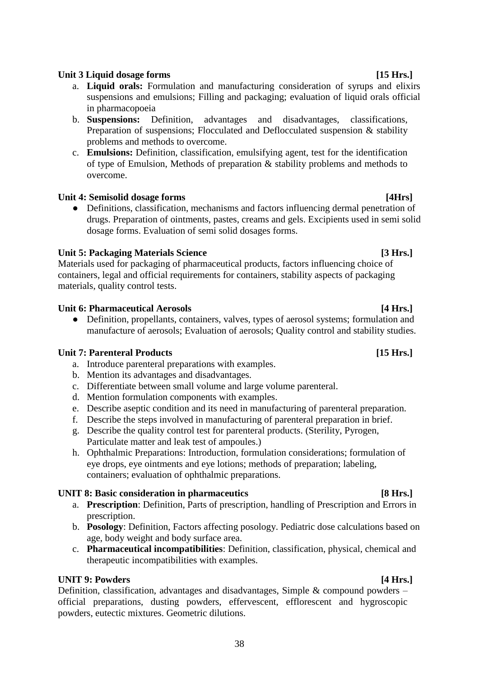# 38

# Unit 3 Liquid dosage forms [15 Hrs.]

- a. **Liquid orals:** Formulation and manufacturing consideration of syrups and elixirs suspensions and emulsions; Filling and packaging; evaluation of liquid orals official in pharmacopoeia
- b. **Suspensions:** Definition, advantages and disadvantages, classifications, Preparation of suspensions; Flocculated and Deflocculated suspension & stability problems and methods to overcome.
- c. **Emulsions:** Definition, classification, emulsifying agent, test for the identification of type of Emulsion, Methods of preparation & stability problems and methods to overcome.

### Unit 4: Semisolid dosage forms *a* **and** *u* is the semi-metric of the semi-metric of the semi-metric of the semi-metric of the semi-metric of the semi-metric of the semi-metric of the semi-metric of the semi-metric of the

● Definitions, classification, mechanisms and factors influencing dermal penetration of drugs. Preparation of ointments, pastes, creams and gels. Excipients used in semi solid dosage forms. Evaluation of semi solid dosages forms.

### Unit 5: Packaging Materials Science *Materials* Science **1996 1997 1998 1998 1998 1998 1998 1998 1999 1999 1999 1999 1999 1999 1999 1999 1999 1999 1999 1999 1999 1999 1999 19**

Materials used for packaging of pharmaceutical products, factors influencing choice of containers, legal and official requirements for containers, stability aspects of packaging materials, quality control tests.

#### Unit 6: Pharmaceutical Aerosols *Aerosols* **14 Hrs.**]

• Definition, propellants, containers, valves, types of aerosol systems; formulation and manufacture of aerosols; Evaluation of aerosols; Quality control and stability studies.

### Unit 7: Parenteral Products [15 Hrs.]

- a. Introduce parenteral preparations with examples.
- b. Mention its advantages and disadvantages.
- c. Differentiate between small volume and large volume parenteral.
- d. Mention formulation components with examples.
- e. Describe aseptic condition and its need in manufacturing of parenteral preparation.
- f. Describe the steps involved in manufacturing of parenteral preparation in brief.
- g. Describe the quality control test for parenteral products. (Sterility, Pyrogen, Particulate matter and leak test of ampoules.)
- h. Ophthalmic Preparations: Introduction, formulation considerations; formulation of eye drops, eye ointments and eye lotions; methods of preparation; labeling, containers; evaluation of ophthalmic preparations.

### **UNIT 8: Basic consideration in pharmaceutics** [8 Hrs.]

- a. **Prescription**: Definition, Parts of prescription, handling of Prescription and Errors in prescription.
- b. **Posology**: Definition, Factors affecting posology. Pediatric dose calculations based on age, body weight and body surface area.
- c. **Pharmaceutical incompatibilities**: Definition, classification, physical, chemical and therapeutic incompatibilities with examples.

### **UNIT 9: Powders** [4 Hrs.]

Definition, classification, advantages and disadvantages, Simple & compound powders – official preparations, dusting powders, effervescent, efflorescent and hygroscopic powders, eutectic mixtures. Geometric dilutions.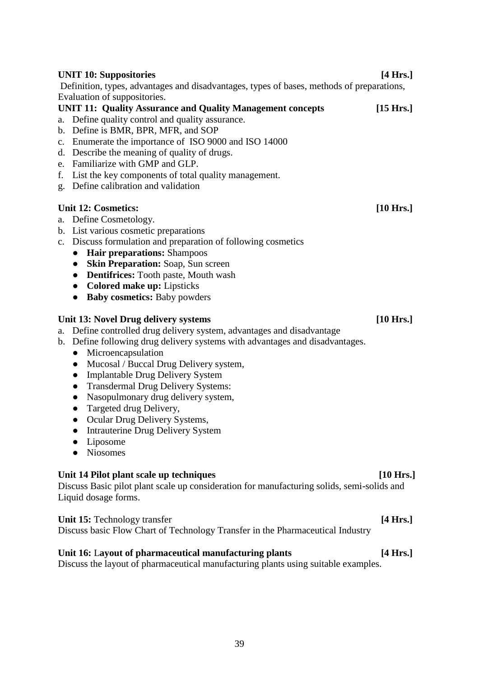#### **UNIT 10: Suppositories [4 Hrs.]**

Definition, types, advantages and disadvantages, types of bases, methods of preparations, Evaluation of suppositories.

#### **UNIT 11: Quality Assurance and Quality Management concepts [15 Hrs.]**

- a. Define quality control and quality assurance.
- b. Define is BMR, BPR, MFR, and SOP
- c. Enumerate the importance of ISO 9000 and ISO 14000
- d. Describe the meaning of quality of drugs.
- e. Familiarize with GMP and GLP.
- f. List the key components of total quality management.
- g. Define calibration and validation

#### Unit 12: Cosmetics: [10 Hrs.]

- a. Define Cosmetology.
- b. List various cosmetic preparations
- c. Discuss formulation and preparation of following cosmetics
	- **● Hair preparations:** Shampoos
	- **● Skin Preparation:** Soap, Sun screen
	- **● Dentifrices:** Tooth paste, Mouth wash
	- **● Colored make up:** Lipsticks
	- **● Baby cosmetics:** Baby powders

#### Unit 13: Novel Drug delivery systems [10 Hrs.]

- a. Define controlled drug delivery system, advantages and disadvantage
- b. Define following drug delivery systems with advantages and disadvantages.
	- Microencapsulation
	- Mucosal / Buccal Drug Delivery system,
	- Implantable Drug Delivery System
	- Transdermal Drug Delivery Systems:
	- Nasopulmonary drug delivery system,
	- Targeted drug Delivery,
	- Ocular Drug Delivery Systems,
	- Intrauterine Drug Delivery System
	- Liposome
	- Niosomes

#### Unit 14 Pilot plant scale up techniques **10 Figure 10 Hrs.**]

Discuss Basic pilot plant scale up consideration for manufacturing solids, semi-solids and Liquid dosage forms.

Unit 15: Technology transfer *a [4 Hrs.]* Discuss basic Flow Chart of Technology Transfer in the Pharmaceutical Industry

### Unit 16: Layout of pharmaceutical manufacturing plants [4 Hrs.]

Discuss the layout of pharmaceutical manufacturing plants using suitable examples.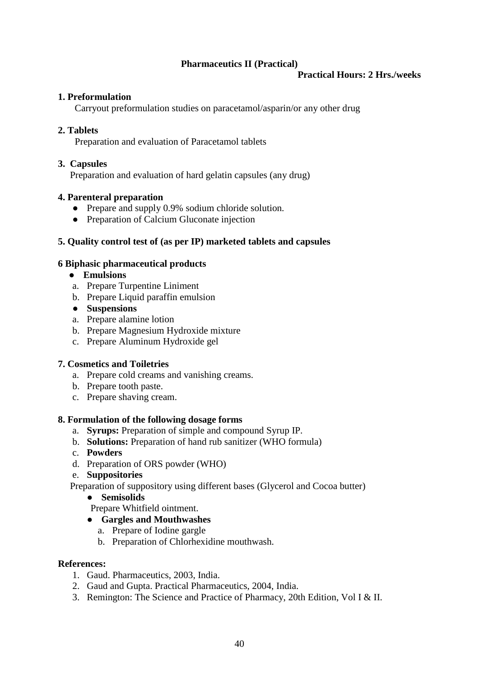# **Pharmaceutics II (Practical)**

#### **Practical Hours: 2 Hrs./weeks**

### <span id="page-42-0"></span>**1. Preformulation**

Carryout preformulation studies on paracetamol/asparin/or any other drug

#### **2. Tablets**

Preparation and evaluation of Paracetamol tablets

#### **3. Capsules**

Preparation and evaluation of hard gelatin capsules (any drug)

#### **4. Parenteral preparation**

- Prepare and supply 0.9% sodium chloride solution.
- Preparation of Calcium Gluconate injection

### **5. Quality control test of (as per IP) marketed tablets and capsules**

#### **6 Biphasic pharmaceutical products**

- **Emulsions**
- a. Prepare Turpentine Liniment
- b. Prepare Liquid paraffin emulsion
- **Suspensions**
- a. Prepare alamine lotion
- b. Prepare Magnesium Hydroxide mixture
- c. Prepare Aluminum Hydroxide gel

### **7. Cosmetics and Toiletries**

- a. Prepare cold creams and vanishing creams.
- b. Prepare tooth paste.
- c. Prepare shaving cream.

#### **8. Formulation of the following dosage forms**

- a. **Syrups:** Preparation of simple and compound Syrup IP.
- b. **Solutions:** Preparation of hand rub sanitizer (WHO formula)
- c. **Powders**
- d. Preparation of ORS powder (WHO)
- e. **Suppositories**

Preparation of suppository using different bases (Glycerol and Cocoa butter)

● **Semisolids**

Prepare Whitfield ointment.

#### ● **Gargles and Mouthwashes**

- a. Prepare of Iodine gargle
- b. Preparation of Chlorhexidine mouthwash.

#### **References:**

- 1. Gaud. Pharmaceutics, 2003, India.
- 2. Gaud and Gupta. Practical Pharmaceutics, 2004, India.
- 3. Remington: The Science and Practice of Pharmacy, 20th Edition, Vol I & II.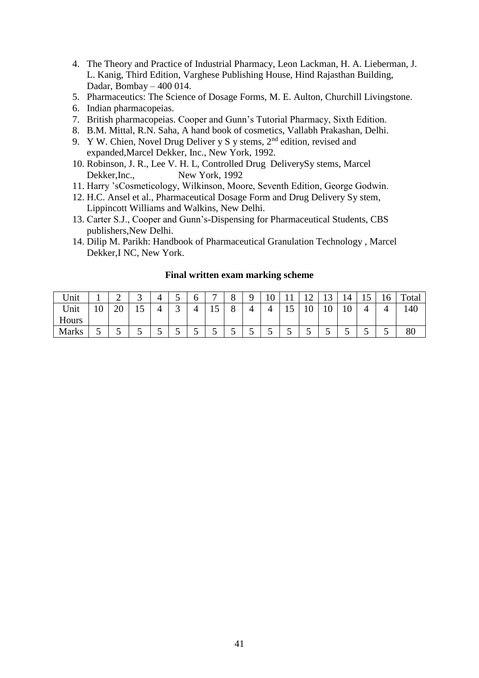- 4. The Theory and Practice of Industrial Pharmacy, Leon Lackman, H. A. Lieberman, J. L. Kanig, Third Edition, Varghese Publishing House, Hind Rajasthan Building, Dadar, Bombay – 400 014.
- 5. Pharmaceutics: The Science of Dosage Forms, M. E. Aulton, Churchill Livingstone.
- 6. Indian pharmacopeias.
- 7. British pharmacopeias. Cooper and Gunn's Tutorial Pharmacy, Sixth Edition.
- 8. B.M. Mittal, R.N. Saha, A hand book of cosmetics, Vallabh Prakashan, Delhi.
- 9. Y W. Chien, Novel Drug Deliver y S y stems,  $2<sup>nd</sup>$  edition, revised and expanded,Marcel Dekker, Inc., New York, 1992.
- 10. Robinson, J. R., Lee V. H. L, Controlled Drug DeliverySy stems, Marcel Dekker,Inc., New York, 1992
- 11. Harry 'sCosmeticology, Wilkinson, Moore, Seventh Edition, George Godwin.
- 12. H.C. Ansel et al., Pharmaceutical Dosage Form and Drug Delivery Sy stem, Lippincott Williams and Walkins, New Delhi.
- 13. Carter S.J., Cooper and Gunn's-Dispensing for Pharmaceutical Students, CBS publishers,New Delhi.
- 14. Dilip M. Parikh: Handbook of Pharmaceutical Granulation Technology , Marcel Dekker,I NC, New York.

| Unit         |    | -  |    |   |   |   | $\overline{ }$   | $\Omega$<br>0 |   | $\sim$<br>ν |    | $\sim$ | $\sim$<br>⊥ັ | 14                    | ∸ | ⊥ ∪ | Total |
|--------------|----|----|----|---|---|---|------------------|---------------|---|-------------|----|--------|--------------|-----------------------|---|-----|-------|
| Unit         | 10 | 20 | ⊥J |   | ⌒ |   | $\epsilon$<br>⊥J | $\Omega$<br>0 | 4 |             | ⊥J | ΙV     | ιv           | 1 <sub>0</sub><br>1 V |   |     | 140   |
| Hours        |    |    |    |   |   |   |                  |               |   |             |    |        |              |                       |   |     |       |
| <b>Marks</b> | ັ  | ັ  |    | ັ |   | ັ | ັ                | ັ             | ັ | ັ           | ັ  | ັ      |              | ັ                     | ັ | ັ   | 80    |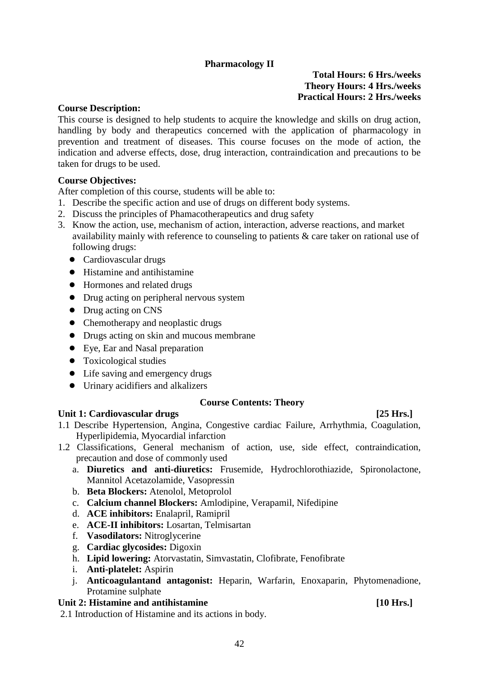# **Pharmacology II**

#### **Total Hours: 6 Hrs./weeks Theory Hours: 4 Hrs./weeks Practical Hours: 2 Hrs./weeks**

#### <span id="page-44-0"></span>**Course Description:**

This course is designed to help students to acquire the knowledge and skills on drug action, handling by body and therapeutics concerned with the application of pharmacology in prevention and treatment of diseases. This course focuses on the mode of action, the indication and adverse effects, dose, drug interaction, contraindication and precautions to be taken for drugs to be used.

#### **Course Objectives:**

After completion of this course, students will be able to:

- 1. Describe the specific action and use of drugs on different body systems.
- 2. Discuss the principles of Phamacotherapeutics and drug safety
- 3. Know the action, use, mechanism of action, interaction, adverse reactions, and market availability mainly with reference to counseling to patients & care taker on rational use of following drugs:
	- Cardiovascular drugs
	- Histamine and antihistamine
	- Hormones and related drugs
	- Drug acting on peripheral nervous system
	- Drug acting on CNS
	- Chemotherapy and neoplastic drugs
	- Drugs acting on skin and mucous membrane
	- Eye, Ear and Nasal preparation
	- Toxicological studies
	- Life saving and emergency drugs
	- Urinary acidifiers and alkalizers

#### **Course Contents: Theory**

#### Unit 1: Cardiovascular drugs [25 Hrs.]

- 1.1 Describe Hypertension, Angina, Congestive cardiac Failure, Arrhythmia, Coagulation, Hyperlipidemia, Myocardial infarction
- 1.2 Classifications, General mechanism of action, use, side effect, contraindication, precaution and dose of commonly used
	- a. **Diuretics and anti-diuretics:** Frusemide, Hydrochlorothiazide, Spironolactone, Mannitol Acetazolamide, Vasopressin
	- b. **Beta Blockers:** Atenolol, Metoprolol
	- c. **Calcium channel Blockers:** Amlodipine, Verapamil, Nifedipine
	- d. **ACE inhibitors:** Enalapril, Ramipril
	- e. **ACE-II inhibitors:** Losartan, Telmisartan
	- f. **Vasodilators:** Nitroglycerine
	- g. **Cardiac glycosides:** Digoxin
	- h. **Lipid lowering:** Atorvastatin, Simvastatin, Clofibrate, Fenofibrate
	- i. **Anti-platelet:** Aspirin
	- j. **Anticoagulantand antagonist:** Heparin, Warfarin, Enoxaparin, Phytomenadione, Protamine sulphate

#### Unit 2: Histamine and antihistamine **[10 Hrs.]**

2.1 Introduction of Histamine and its actions in body.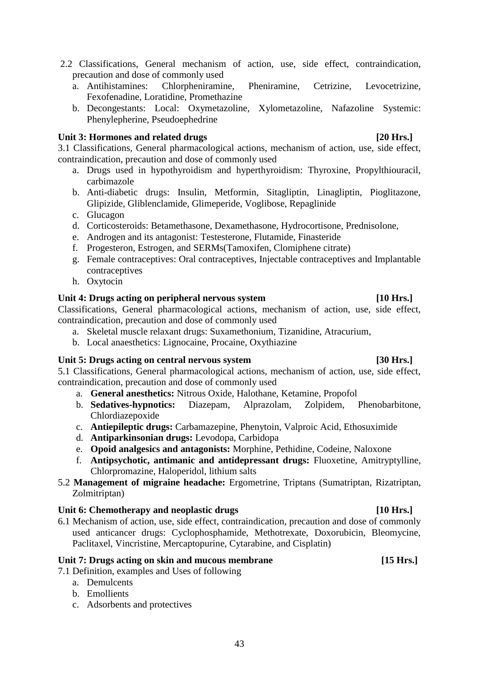- 2.2 Classifications, General mechanism of action, use, side effect, contraindication, precaution and dose of commonly used
	- a. Antihistamines: Chlorpheniramine, Pheniramine, Cetrizine, Levocetrizine, Fexofenadine, Loratidine, Promethazine
	- b. Decongestants: Local: Oxymetazoline, Xylometazoline, Nafazoline Systemic: Phenylepherine, Pseudoephedrine

#### Unit 3: Hormones and related drugs [20 Hrs.]

3.1 Classifications, General pharmacological actions, mechanism of action, use, side effect, contraindication, precaution and dose of commonly used

- a. Drugs used in hypothyroidism and hyperthyroidism: Thyroxine, Propylthiouracil, carbimazole
- b. Anti-diabetic drugs: Insulin, Metformin, Sitagliptin, Linagliptin, Pioglitazone, Glipizide, Gliblenclamide, Glimeperide, Voglibose, Repaglinide
- c. Glucagon
- d. Corticosteroids: Betamethasone, Dexamethasone, Hydrocortisone, Prednisolone,
- e. Androgen and its antagonist: Testesterone, Flutamide, Finasteride
- f. Progesteron, Estrogen, and SERMs(Tamoxifen, Clomiphene citrate)
- g. Female contraceptives: Oral contraceptives, Injectable contraceptives and Implantable contraceptives
- h. Oxytocin

#### Unit 4: Drugs acting on peripheral nervous system **[10 Hrs.]**

Classifications, General pharmacological actions, mechanism of action, use, side effect, contraindication, precaution and dose of commonly used

- a. Skeletal muscle relaxant drugs: Suxamethonium, Tizanidine, Atracurium,
- b. Local anaesthetics: Lignocaine, Procaine, Oxythiazine

### Unit 5: Drugs acting on central nervous system [30 Hrs.]

5.1 Classifications, General pharmacological actions, mechanism of action, use, side effect, contraindication, precaution and dose of commonly used

- a. **General anesthetics:** Nitrous Oxide, Halothane, Ketamine, Propofol
- b. **Sedatives-hypnotics:** Diazepam, Alprazolam, Zolpidem, Phenobarbitone, Chlordiazepoxide
- c. **Antiepileptic drugs:** Carbamazepine, Phenytoin, Valproic Acid, Ethosuximide
- d. **Antiparkinsonian drugs:** Levodopa, Carbidopa
- e. **Opoid analgesics and antagonists:** Morphine, Pethidine, Codeine, Naloxone
- f. **Antipsychotic, antimanic and antidepressant drugs:** Fluoxetine, Amitryptylline, Chlorpromazine, Haloperidol, lithium salts
- 5.2 **Management of migraine headache:** Ergometrine, Triptans (Sumatriptan, Rizatriptan, Zolmitriptan)

### Unit 6: Chemotherapy and neoplastic drugs [10 Hrs.]

6.1 Mechanism of action, use, side effect, contraindication, precaution and dose of commonly used anticancer drugs: Cyclophosphamide, Methotrexate, Doxorubicin, Bleomycine, Paclitaxel, Vincristine, Mercaptopurine, Cytarabine, and Cisplatin)

### Unit 7: Drugs acting on skin and mucous membrane **[15 Hrs.]**

7.1 Definition, examples and Uses of following

- a. Demulcents
- b. Emollients
- c. Adsorbents and protectives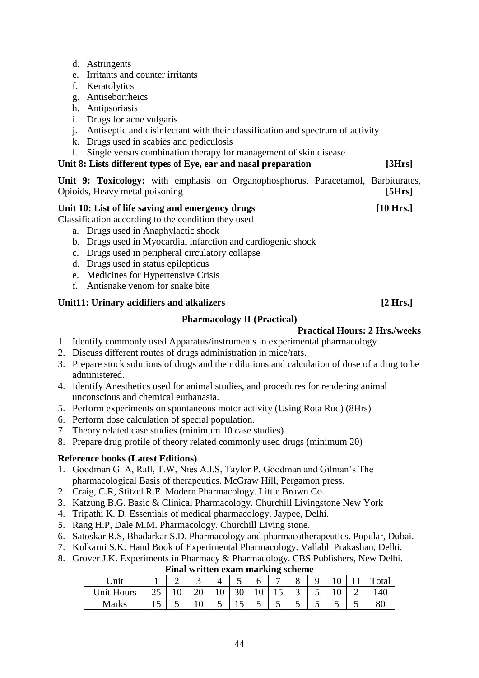- d. Astringents
- e. Irritants and counter irritants
- f. Keratolytics
- g. Antiseborrheics
- h. Antipsoriasis
- i. Drugs for acne vulgaris
- j. Antiseptic and disinfectant with their classification and spectrum of activity
- k. Drugs used in scabies and pediculosis
- l. Single versus combination therapy for management of skin disease
- **Unit 8: Lists different types of Eye, ear and nasal preparation [3Hrs]**

**Unit 9: Toxicology:** with emphasis on Organophosphorus, Paracetamol, Barbiturates, Opioids, Heavy metal poisoning [**5Hrs]**

#### Unit 10: List of life saving and emergency drugs **[10 Hrs.]**

Classification according to the condition they used

- a. Drugs used in Anaphylactic shock
- b. Drugs used in Myocardial infarction and cardiogenic shock
- c. Drugs used in peripheral circulatory collapse
- d. Drugs used in status epilepticus
- e. Medicines for Hypertensive Crisis
- f. Antisnake venom for snake bite

### <span id="page-46-0"></span>Unit11: Urinary acidifiers and alkalizers [2 Hrs.]

#### **Pharmacology II (Practical)**

#### **Practical Hours: 2 Hrs./weeks**

- 1. Identify commonly used Apparatus/instruments in experimental pharmacology
- 2. Discuss different routes of drugs administration in mice/rats.
- 3. Prepare stock solutions of drugs and their dilutions and calculation of dose of a drug to be administered.
- 4. Identify Anesthetics used for animal studies, and procedures for rendering animal unconscious and chemical euthanasia.
- 5. Perform experiments on spontaneous motor activity (Using Rota Rod) (8Hrs)
- 6. Perform dose calculation of special population.
- 7. Theory related case studies (minimum 10 case studies)
- 8. Prepare drug profile of theory related commonly used drugs (minimum 20)

### **Reference books (Latest Editions)**

- 1. Goodman G. A, Rall, T.W, Nies A.I.S, Taylor P. Goodman and Gilman's The pharmacological Basis of therapeutics. McGraw Hill, Pergamon press.
- 2. Craig, C.R, Stitzel R.E. Modern Pharmacology. Little Brown Co.
- 3. Katzung B.G. Basic & Clinical Pharmacology. Churchill Livingstone New York
- 4. Tripathi K. D. Essentials of medical pharmacology. Jaypee, Delhi.
- 5. Rang H.P, Dale M.M. Pharmacology. Churchill Living stone.
- 6. Satoskar R.S, Bhadarkar S.D. Pharmacology and pharmacotherapeutics. Popular, Dubai.
- 7. Kulkarni S.K. Hand Book of Experimental Pharmacology. Vallabh Prakashan, Delhi.
- 8. Grover J.K. Experiments in Pharmacy & Pharmacology. CBS Publishers, New Delhi.

| Final written exam marking scheme |  |    |   |  |  |     |   |  |  |  |  |    |
|-----------------------------------|--|----|---|--|--|-----|---|--|--|--|--|----|
| <sup>J</sup> nit                  |  |    | ັ |  |  |     | – |  |  |  |  |    |
| <b>Unit Hours</b>                 |  | ιv |   |  |  |     |   |  |  |  |  | 40 |
| Marks                             |  |    |   |  |  | . . |   |  |  |  |  |    |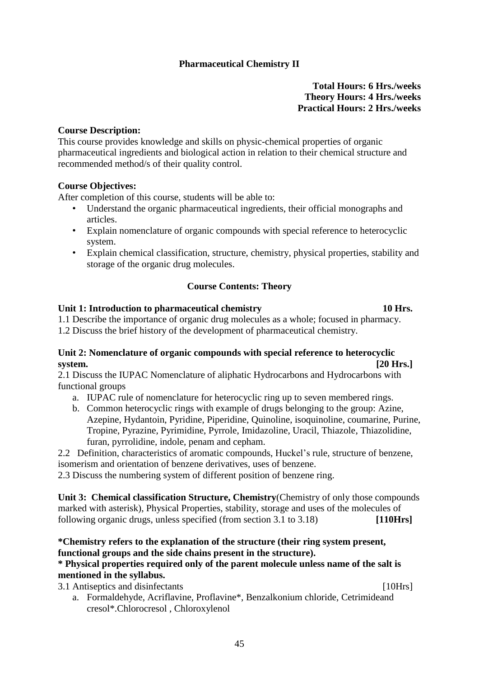# **Pharmaceutical Chemistry II**

**Total Hours: 6 Hrs./weeks Theory Hours: 4 Hrs./weeks Practical Hours: 2 Hrs./weeks**

#### <span id="page-47-0"></span>**Course Description:**

This course provides knowledge and skills on physic-chemical properties of organic pharmaceutical ingredients and biological action in relation to their chemical structure and recommended method/s of their quality control.

#### **Course Objectives:**

After completion of this course, students will be able to:

- Understand the organic pharmaceutical ingredients, their official monographs and articles.
- Explain nomenclature of organic compounds with special reference to heterocyclic system.
- Explain chemical classification, structure, chemistry, physical properties, stability and storage of the organic drug molecules.

#### **Course Contents: Theory**

#### **Unit 1: Introduction to pharmaceutical chemistry 10 Hrs.**

1.1 Describe the importance of organic drug molecules as a whole; focused in pharmacy. 1.2 Discuss the brief history of the development of pharmaceutical chemistry.

#### **Unit 2: Nomenclature of organic compounds with special reference to heterocyclic system. [20 Hrs.]**

2.1 Discuss the IUPAC Nomenclature of aliphatic Hydrocarbons and Hydrocarbons with functional groups

- a. IUPAC rule of nomenclature for heterocyclic ring up to seven membered rings.
- b. Common heterocyclic rings with example of drugs belonging to the group: Azine, Azepine, Hydantoin, Pyridine, Piperidine, Quinoline, isoquinoline, coumarine, Purine, Tropine, Pyrazine, Pyrimidine, Pyrrole, Imidazoline, Uracil, Thiazole, Thiazolidine, furan, pyrrolidine, indole, penam and cepham.
- 2.2 Definition, characteristics of aromatic compounds, Huckel's rule, structure of benzene, isomerism and orientation of benzene derivatives, uses of benzene.

2.3 Discuss the numbering system of different position of benzene ring.

**Unit 3: Chemical classification Structure, Chemistry**(Chemistry of only those compounds marked with asterisk), Physical Properties, stability, storage and uses of the molecules of following organic drugs, unless specified (from section 3.1 to 3.18) **[110Hrs]**

### **\*Chemistry refers to the explanation of the structure (their ring system present, functional groups and the side chains present in the structure).**

#### **\* Physical properties required only of the parent molecule unless name of the salt is mentioned in the syllabus.**

a. Formaldehyde, Acriflavine, Proflavine\*, Benzalkonium chloride, Cetrimideand

3.1 Antiseptics and disinfectants [10Hrs]

cresol\*.Chlorocresol , Chloroxylenol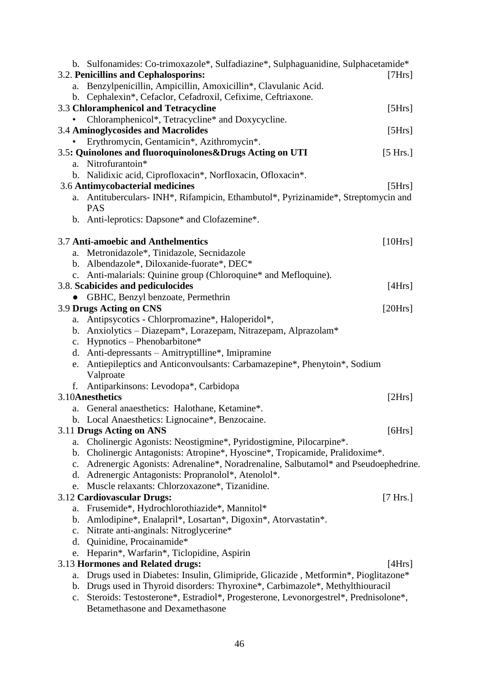|                | b. Sulfonamides: Co-trimoxazole*, Sulfadiazine*, Sulphaguanidine, Sulphacetamide*     |          |
|----------------|---------------------------------------------------------------------------------------|----------|
|                | 3.2. Penicillins and Cephalosporins:                                                  | [7Hrs]   |
| a.             | Benzylpenicillin, Ampicillin, Amoxicillin*, Clavulanic Acid.                          |          |
|                | b. Cephalexin*, Cefaclor, Cefadroxil, Cefixime, Ceftriaxone.                          |          |
|                | 3.3 Chloramphenicol and Tetracycline                                                  | [5Hrs]   |
|                | Chloramphenicol*, Tetracycline* and Doxycycline.                                      |          |
|                | 3.4 Aminoglycosides and Macrolides                                                    | [5Hrs]   |
|                | Erythromycin, Gentamicin*, Azithromycin*.                                             |          |
|                | 3.5: Quinolones and fluoroquinolones&Drugs Acting on UTI                              | [5 Hrs.] |
|                | a. Nitrofurantoin*                                                                    |          |
|                | b. Nalidixic acid, Ciprofloxacin*, Norfloxacin, Ofloxacin*.                           |          |
|                | 3.6 Antimycobacterial medicines                                                       | [5Hrs]   |
|                | a. Antituberculars- INH*, Rifampicin, Ethambutol*, Pyrizinamide*, Streptomycin and    |          |
|                | <b>PAS</b>                                                                            |          |
|                | b. Anti-leprotics: Dapsone* and Clofazemine*.                                         |          |
|                | 3.7 Anti-amoebic and Anthelmentics                                                    | [10Hrs]  |
| a.             | Metronidazole*, Tinidazole, Secnidazole                                               |          |
|                | b. Albendazole*, Diloxanide-fuorate*, DEC*                                            |          |
|                | c. Anti-malarials: Quinine group (Chloroquine* and Mefloquine).                       |          |
|                | 3.8. Scabicides and pediculocides                                                     | [4Hrs]   |
|                | GBHC, Benzyl benzoate, Permethrin                                                     |          |
|                | 3.9 Drugs Acting on CNS                                                               | [20Hrs]  |
| a.             | Antipsycotics - Chlorpromazine*, Haloperidol*,                                        |          |
|                | b. Anxiolytics - Diazepam*, Lorazepam, Nitrazepam, Alprazolam*                        |          |
|                | c. Hypnotics - Phenobarbitone*                                                        |          |
|                | d. Anti-depressants - Amitryptilline*, Imipramine                                     |          |
| e.             | Antiepileptics and Anticonvoulsants: Carbamazepine*, Phenytoin*, Sodium               |          |
|                | Valproate                                                                             |          |
| f.             | Antiparkinsons: Levodopa*, Carbidopa                                                  |          |
|                | 3.10Anesthetics                                                                       | [2Hrs]   |
|                | a. General anaesthetics: Halothane, Ketamine*.                                        |          |
|                | b. Local Anaesthetics: Lignocaine*, Benzocaine.                                       |          |
|                | 3.11 Drugs Acting on ANS                                                              | [6Hrs]   |
| a.             | Cholinergic Agonists: Neostigmine*, Pyridostigmine, Pilocarpine*.                     |          |
|                | b. Cholinergic Antagonists: Atropine*, Hyoscine*, Tropicamide, Pralidoxime*.          |          |
| $C_{\bullet}$  | Adrenergic Agonists: Adrenaline*, Noradrenaline, Salbutamol* and Pseudoephedrine.     |          |
| d.             | Adrenergic Antagonists: Propranolol*, Atenolol*.                                      |          |
|                | e. Muscle relaxants: Chlorzoxazone*, Tizanidine.                                      |          |
|                | 3.12 Cardiovascular Drugs:                                                            | [7 Hrs.] |
| a.             | Frusemide*, Hydrochlorothiazide*, Mannitol*                                           |          |
| $\mathbf{b}$ . | Amlodipine*, Enalapril*, Losartan*, Digoxin*, Atorvastatin*.                          |          |
| $C_{\bullet}$  | Nitrate anti-anginals: Nitroglycerine*                                                |          |
| d.             | Quinidine, Procainamide*                                                              |          |
| e.             | Heparin*, Warfarin*, Ticlopidine, Aspirin                                             |          |
|                | 3.13 Hormones and Related drugs:                                                      | [4Hrs]   |
| a.             | Drugs used in Diabetes: Insulin, Glimipride, Glicazide, Metformin*, Pioglitazone*     |          |
|                | b. Drugs used in Thyroid disorders: Thyroxine*, Carbimazole*, Methylthiouracil        |          |
|                | c. Steroids: Testosterone*, Estradiol*, Progesterone, Levonorgestrel*, Prednisolone*, |          |
|                | Betamethasone and Dexamethasone                                                       |          |
|                |                                                                                       |          |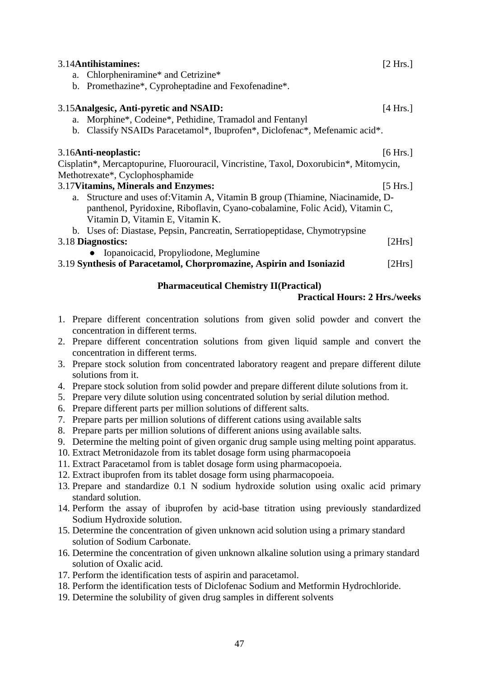| 3.14 Antihistamines:                                                                   | [2 Hrs.]           |
|----------------------------------------------------------------------------------------|--------------------|
| a. Chlorpheniramine* and Cetrizine*                                                    |                    |
| Promethazine*, Cyproheptadine and Fexofenadine*.<br>$\mathbf{b}$ .                     |                    |
| 3.15 Analgesic, Anti-pyretic and NSAID:                                                | $[4 \text{ Hrs.}]$ |
| Morphine*, Codeine*, Pethidine, Tramadol and Fentanyl<br>a.                            |                    |
| b. Classify NSAIDs Paracetamol*, Ibuprofen*, Diclofenac*, Mefenamic acid*.             |                    |
| 3.16Anti-neoplastic:                                                                   | [6 Hrs.]           |
| Cisplatin*, Mercaptopurine, Fluorouracil, Vincristine, Taxol, Doxorubicin*, Mitomycin, |                    |
| Methotrexate*, Cyclophosphamide                                                        |                    |
| 3.17 Vitamins, Minerals and Enzymes:                                                   | [5 Hrs.]           |
| Structure and uses of: Vitamin A, Vitamin B group (Thiamine, Niacinamide, D-<br>a.     |                    |
| panthenol, Pyridoxine, Riboflavin, Cyano-cobalamine, Folic Acid), Vitamin C,           |                    |
| Vitamin D, Vitamin E, Vitamin K.                                                       |                    |
| b. Uses of: Diastase, Pepsin, Pancreatin, Serratiopeptidase, Chymotrypsine             |                    |
| 3.18 Diagnostics:                                                                      | [2Hrs]             |
| Iopanoicacid, Propyliodone, Meglumine                                                  |                    |
| 3.19 Synthesis of Paracetamol, Chorpromazine, Aspirin and Isoniazid                    | [2Hrs]             |
|                                                                                        |                    |

# **Pharmaceutical Chemistry II(Practical)**

### **Practical Hours: 2 Hrs./weeks**

- <span id="page-49-0"></span>1. Prepare different concentration solutions from given solid powder and convert the concentration in different terms.
- 2. Prepare different concentration solutions from given liquid sample and convert the concentration in different terms.
- 3. Prepare stock solution from concentrated laboratory reagent and prepare different dilute solutions from it.
- 4. Prepare stock solution from solid powder and prepare different dilute solutions from it.
- 5. Prepare very dilute solution using concentrated solution by serial dilution method.
- 6. Prepare different parts per million solutions of different salts.
- 7. Prepare parts per million solutions of different cations using available salts
- 8. Prepare parts per million solutions of different anions using available salts.
- 9. Determine the melting point of given organic drug sample using melting point apparatus.
- 10. Extract Metronidazole from its tablet dosage form using pharmacopoeia
- 11. Extract Paracetamol from is tablet dosage form using pharmacopoeia.
- 12. Extract ibuprofen from its tablet dosage form using pharmacopoeia.
- 13. Prepare and standardize 0.1 N sodium hydroxide solution using oxalic acid primary standard solution.
- 14. Perform the assay of ibuprofen by acid-base titration using previously standardized Sodium Hydroxide solution.
- 15. Determine the concentration of given unknown acid solution using a primary standard solution of Sodium Carbonate.
- 16. Determine the concentration of given unknown alkaline solution using a primary standard solution of Oxalic acid.
- 17. Perform the identification tests of aspirin and paracetamol.
- 18. Perform the identification tests of Diclofenac Sodium and Metformin Hydrochloride.
- 19. Determine the solubility of given drug samples in different solvents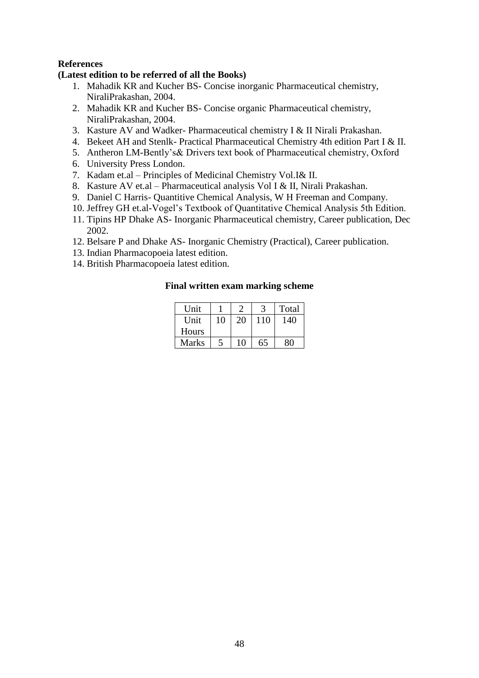# **References**

#### **(Latest edition to be referred of all the Books)**

- 1. Mahadik KR and Kucher BS- Concise inorganic Pharmaceutical chemistry, NiraliPrakashan, 2004.
- 2. Mahadik KR and Kucher BS- Concise organic Pharmaceutical chemistry, NiraliPrakashan, 2004.
- 3. Kasture AV and Wadker- Pharmaceutical chemistry I & II Nirali Prakashan.
- 4. Bekeet AH and Stenlk- Practical Pharmaceutical Chemistry 4th edition Part I & II.
- 5. Antheron LM-Bently's& Drivers text book of Pharmaceutical chemistry, Oxford
- 6. University Press London.
- 7. Kadam et.al Principles of Medicinal Chemistry Vol.I& II.
- 8. Kasture AV et.al Pharmaceutical analysis Vol I & II, Nirali Prakashan.
- 9. Daniel C Harris- Quantitive Chemical Analysis, W H Freeman and Company.
- 10. Jeffrey GH et.al-Vogel's Textbook of Quantitative Chemical Analysis 5th Edition.
- 11. Tipins HP Dhake AS- Inorganic Pharmaceutical chemistry, Career publication, Dec 2002.
- 12. Belsare P and Dhake AS- Inorganic Chemistry (Practical), Career publication.
- 13. Indian Pharmacopoeia latest edition.
- 14. British Pharmacopoeia latest edition.

| Unit         |    |    |     | Total |
|--------------|----|----|-----|-------|
| Unit         | 10 | 20 | 110 | 140   |
| Hours        |    |    |     |       |
| <b>Marks</b> |    | 10 | 65  |       |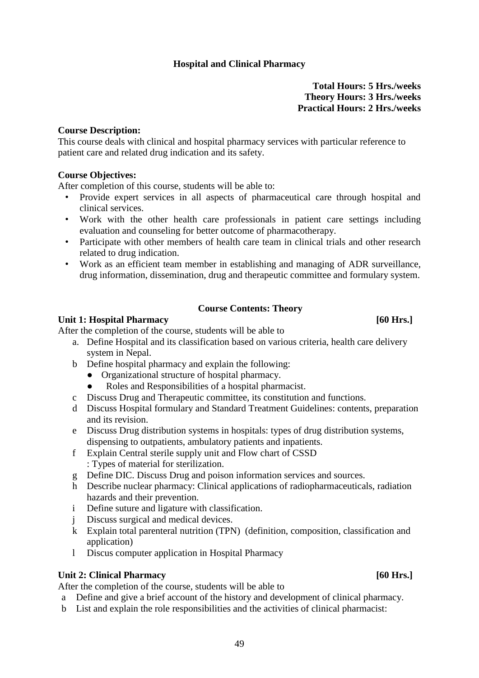#### **Hospital and Clinical Pharmacy**

**Total Hours: 5 Hrs./weeks Theory Hours: 3 Hrs./weeks Practical Hours: 2 Hrs./weeks**

#### <span id="page-51-0"></span>**Course Description:**

This course deals with clinical and hospital pharmacy services with particular reference to patient care and related drug indication and its safety.

#### **Course Objectives:**

After completion of this course, students will be able to:

- Provide expert services in all aspects of pharmaceutical care through hospital and clinical services.
- Work with the other health care professionals in patient care settings including evaluation and counseling for better outcome of pharmacotherapy.
- Participate with other members of health care team in clinical trials and other research related to drug indication.
- Work as an efficient team member in establishing and managing of ADR surveillance, drug information, dissemination, drug and therapeutic committee and formulary system.

#### **Course Contents: Theory**

#### Unit 1: Hospital Pharmacy [60 Hrs.]

After the completion of the course, students will be able to

- a. Define Hospital and its classification based on various criteria, health care delivery system in Nepal.
- b Define hospital pharmacy and explain the following:
	- **●** Organizational structure of hospital pharmacy.
	- **●** Roles and Responsibilities of a hospital pharmacist.
- c Discuss Drug and Therapeutic committee, its constitution and functions.
- d Discuss Hospital formulary and Standard Treatment Guidelines: contents, preparation and its revision.
- e Discuss Drug distribution systems in hospitals: types of drug distribution systems, dispensing to outpatients, ambulatory patients and inpatients.
- f Explain Central sterile supply unit and Flow chart of CSSD : Types of material for sterilization.
- g Define DIC. Discuss Drug and poison information services and sources.
- h Describe nuclear pharmacy: Clinical applications of radiopharmaceuticals, radiation hazards and their prevention.
- i Define suture and ligature with classification.
- j Discuss surgical and medical devices.
- k Explain total parenteral nutrition (TPN) (definition, composition, classification and application)
- l Discus computer application in Hospital Pharmacy

#### Unit 2: Clinical Pharmacy [60 Hrs.]

After the completion of the course, students will be able to

- a Define and give a brief account of the history and development of clinical pharmacy.
- b List and explain the role responsibilities and the activities of clinical pharmacist: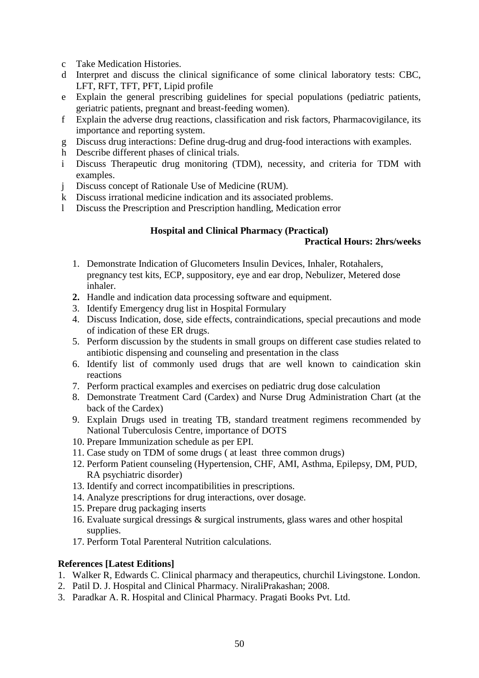- c Take Medication Histories.
- d Interpret and discuss the clinical significance of some clinical laboratory tests: CBC, LFT, RFT, TFT, PFT, Lipid profile
- e Explain the general prescribing guidelines for special populations (pediatric patients, geriatric patients, pregnant and breast-feeding women).
- f Explain the adverse drug reactions, classification and risk factors, Pharmacovigilance, its importance and reporting system.
- g Discuss drug interactions: Define drug-drug and drug-food interactions with examples.
- h Describe different phases of clinical trials.
- i Discuss Therapeutic drug monitoring (TDM), necessity, and criteria for TDM with examples.
- j Discuss concept of Rationale Use of Medicine (RUM).
- k Discuss irrational medicine indication and its associated problems.
- <span id="page-52-0"></span>l Discuss the Prescription and Prescription handling, Medication error

### **Hospital and Clinical Pharmacy (Practical)**

#### **Practical Hours: 2hrs/weeks**

- 1. Demonstrate Indication of Glucometers Insulin Devices, Inhaler, Rotahalers, pregnancy test kits, ECP, suppository, eye and ear drop, Nebulizer, Metered dose inhaler.
- **2.** Handle and indication data processing software and equipment.
- 3. Identify Emergency drug list in Hospital Formulary
- 4. Discuss Indication, dose, side effects, contraindications, special precautions and mode of indication of these ER drugs.
- 5. Perform discussion by the students in small groups on different case studies related to antibiotic dispensing and counseling and presentation in the class
- 6. Identify list of commonly used drugs that are well known to caindication skin reactions
- 7. Perform practical examples and exercises on pediatric drug dose calculation
- 8. Demonstrate Treatment Card (Cardex) and Nurse Drug Administration Chart (at the back of the Cardex)
- 9. Explain Drugs used in treating TB, standard treatment regimens recommended by National Tuberculosis Centre, importance of DOTS
- 10. Prepare Immunization schedule as per EPI.
- 11. Case study on TDM of some drugs ( at least three common drugs)
- 12. Perform Patient counseling (Hypertension, CHF, AMI, Asthma, Epilepsy, DM, PUD, RA psychiatric disorder)
- 13. Identify and correct incompatibilities in prescriptions.
- 14. Analyze prescriptions for drug interactions, over dosage.
- 15. Prepare drug packaging inserts
- 16. Evaluate surgical dressings & surgical instruments, glass wares and other hospital supplies.
- 17. Perform Total Parenteral Nutrition calculations.

### **References [Latest Editions]**

- 1. Walker R, Edwards C. Clinical pharmacy and therapeutics, churchil Livingstone. London.
- 2. Patil D. J. Hospital and Clinical Pharmacy. NiraliPrakashan; 2008.
- 3. Paradkar A. R. Hospital and Clinical Pharmacy. Pragati Books Pvt. Ltd.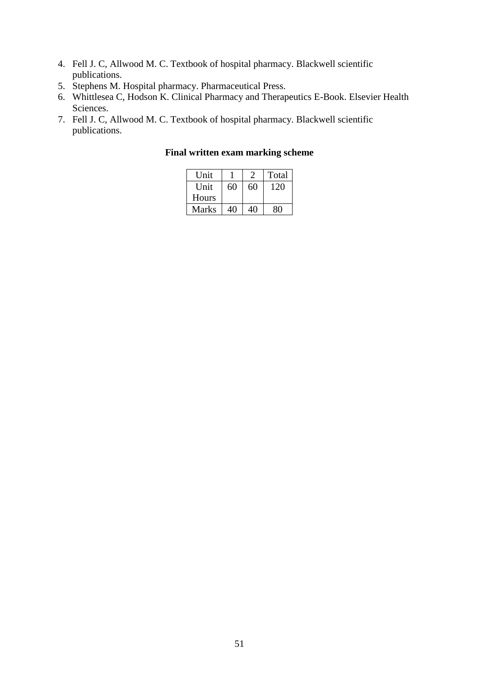- 4. Fell J. C, Allwood M. C. Textbook of hospital pharmacy. Blackwell scientific publications.
- 5. Stephens M. Hospital pharmacy. Pharmaceutical Press.
- 6. Whittlesea C, Hodson K. Clinical Pharmacy and Therapeutics E-Book. Elsevier Health Sciences.
- 7. Fell J. C, Allwood M. C. Textbook of hospital pharmacy. Blackwell scientific publications.

| Unit  |    |    | Total |
|-------|----|----|-------|
| Unit. | 60 | 60 | 120   |
| Hours |    |    |       |
| Marks | 40 | 40 | 80    |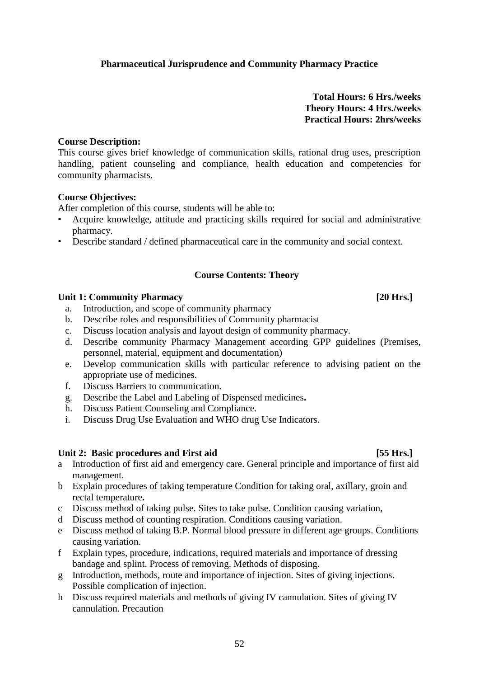# <span id="page-54-0"></span>**Pharmaceutical Jurisprudence and Community Pharmacy Practice**

**Total Hours: 6 Hrs./weeks Theory Hours: 4 Hrs./weeks Practical Hours: 2hrs/weeks**

#### **Course Description:**

This course gives brief knowledge of communication skills, rational drug uses, prescription handling, patient counseling and compliance, health education and competencies for community pharmacists.

#### **Course Objectives:**

After completion of this course, students will be able to:

- Acquire knowledge, attitude and practicing skills required for social and administrative pharmacy.
- Describe standard / defined pharmaceutical care in the community and social context.

### **Course Contents: Theory**

#### Unit 1: Community Pharmacy *Lating Series 20 Hrs. CO Hrs. CO Hrs.*

- a. Introduction, and scope of community pharmacy
- b. Describe roles and responsibilities of Community pharmacist
- c. Discuss location analysis and layout design of community pharmacy.
- d. Describe community Pharmacy Management according GPP guidelines (Premises, personnel, material, equipment and documentation)
- e. Develop communication skills with particular reference to advising patient on the appropriate use of medicines.
- f. Discuss Barriers to communication.
- g. Describe the Label and Labeling of Dispensed medicines**.**
- h. Discuss Patient Counseling and Compliance.
- i. Discuss Drug Use Evaluation and WHO drug Use Indicators.

### Unit 2: Basic procedures and First aid [55 Hrs.]

- a Introduction of first aid and emergency care. General principle and importance of first aid management.
- b Explain procedures of taking temperature Condition for taking oral, axillary, groin and rectal temperature**.**
- c Discuss method of taking pulse. Sites to take pulse. Condition causing variation,
- d Discuss method of counting respiration. Conditions causing variation.
- e Discuss method of taking B.P. Normal blood pressure in different age groups. Conditions causing variation.
- f Explain types, procedure, indications, required materials and importance of dressing bandage and splint. Process of removing. Methods of disposing.
- g Introduction, methods, route and importance of injection. Sites of giving injections. Possible complication of injection.
- h Discuss required materials and methods of giving IV cannulation. Sites of giving IV cannulation. Precaution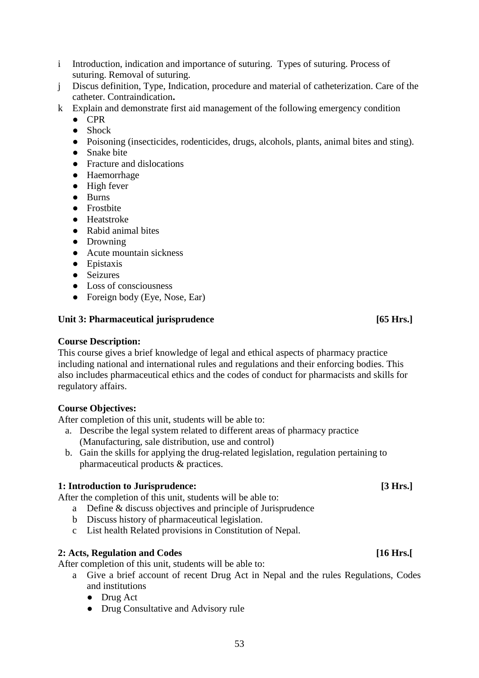- i Introduction, indication and importance of suturing. Types of suturing. Process of suturing. Removal of suturing.
- j Discus definition, Type, Indication, procedure and material of catheterization. Care of the catheter. Contraindication**.**
- k Explain and demonstrate first aid management of the following emergency condition
	- **●** CPR
	- **●** Shock
	- **●** Poisoning (insecticides, rodenticides, drugs, alcohols, plants, animal bites and sting).
	- **●** Snake bite
	- **●** Fracture and dislocations
	- **●** Haemorrhage
	- **●** High fever
	- **●** Burns
	- **●** Frostbite
	- **●** Heatstroke
	- **●** Rabid animal bites
	- **●** Drowning
	- **●** Acute mountain sickness
	- **●** Epistaxis
	- **●** Seizures
	- **●** Loss of consciousness
	- **●** Foreign body (Eye, Nose, Ear)

### Unit 3: Pharmaceutical jurisprudence [65 Hrs.]

# **Course Description:**

This course gives a brief knowledge of legal and ethical aspects of pharmacy practice including national and international rules and regulations and their enforcing bodies. This also includes pharmaceutical ethics and the codes of conduct for pharmacists and skills for regulatory affairs.

### **Course Objectives:**

After completion of this unit, students will be able to:

- a. Describe the legal system related to different areas of pharmacy practice (Manufacturing, sale distribution, use and control)
- b. Gain the skills for applying the drug-related legislation, regulation pertaining to pharmaceutical products & practices.

# **1: Introduction to Jurisprudence:** [3 Hrs.]

After the completion of this unit, students will be able to:

- a Define & discuss objectives and principle of Jurisprudence
- b Discuss history of pharmaceutical legislation.
- c List health Related provisions in Constitution of Nepal.

# **2: Acts, Regulation and Codes [16 Hrs.[**

After completion of this unit, students will be able to:

- a Give a brief account of recent Drug Act in Nepal and the rules Regulations, Codes and institutions
	- **●** Drug Act
	- **●** Drug Consultative and Advisory rule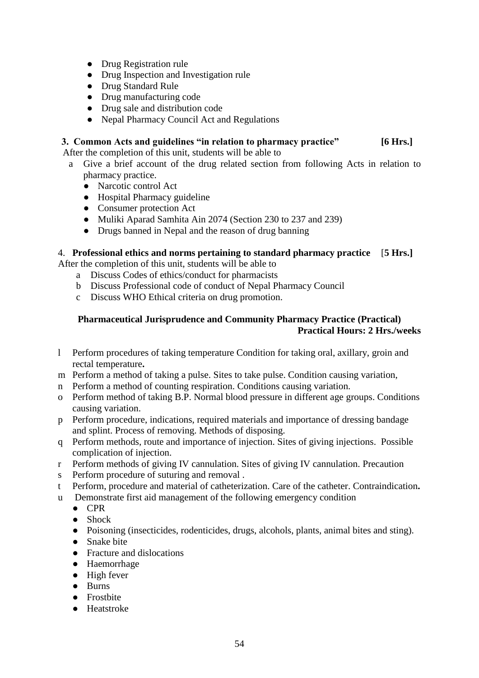- **●** Drug Registration rule
- **●** Drug Inspection and Investigation rule
- **●** Drug Standard Rule
- **●** Drug manufacturing code
- **●** Drug sale and distribution code
- **●** Nepal Pharmacy Council Act and Regulations

# **3. Common Acts and guidelines "in relation to pharmacy practice" [6 Hrs.]**

After the completion of this unit, students will be able to

- a Give a brief account of the drug related section from following Acts in relation to pharmacy practice.
	- **●** Narcotic control Act
	- **●** Hospital Pharmacy guideline
	- **●** Consumer protection Act
	- **●** Muliki Aparad Samhita Ain 2074 (Section 230 to 237 and 239)
	- **●** Drugs banned in Nepal and the reason of drug banning

### 4. **Professional ethics and norms pertaining to standard pharmacy practice** [**5 Hrs.]**

After the completion of this unit, students will be able to

- a Discuss Codes of ethics/conduct for pharmacists
- b Discuss Professional code of conduct of Nepal Pharmacy Council
- c Discuss WHO Ethical criteria on drug promotion.

# <span id="page-56-0"></span>**Pharmaceutical Jurisprudence and Community Pharmacy Practice (Practical) Practical Hours: 2 Hrs./weeks**

- l Perform procedures of taking temperature Condition for taking oral, axillary, groin and rectal temperature**.**
- m Perform a method of taking a pulse. Sites to take pulse. Condition causing variation,
- n Perform a method of counting respiration. Conditions causing variation.
- o Perform method of taking B.P. Normal blood pressure in different age groups. Conditions causing variation.
- p Perform procedure, indications, required materials and importance of dressing bandage and splint. Process of removing. Methods of disposing.
- q Perform methods, route and importance of injection. Sites of giving injections. Possible complication of injection.
- r Perform methods of giving IV cannulation. Sites of giving IV cannulation. Precaution
- s Perform procedure of suturing and removal .
- t Perform, procedure and material of catheterization. Care of the catheter. Contraindication**.**
- u Demonstrate first aid management of the following emergency condition
	- **●** CPR
	- **●** Shock
	- **●** Poisoning (insecticides, rodenticides, drugs, alcohols, plants, animal bites and sting).
	- **●** Snake bite
	- **●** Fracture and dislocations
	- **●** Haemorrhage
	- **●** High fever
	- **●** Burns
	- **●** Frostbite
	- **●** Heatstroke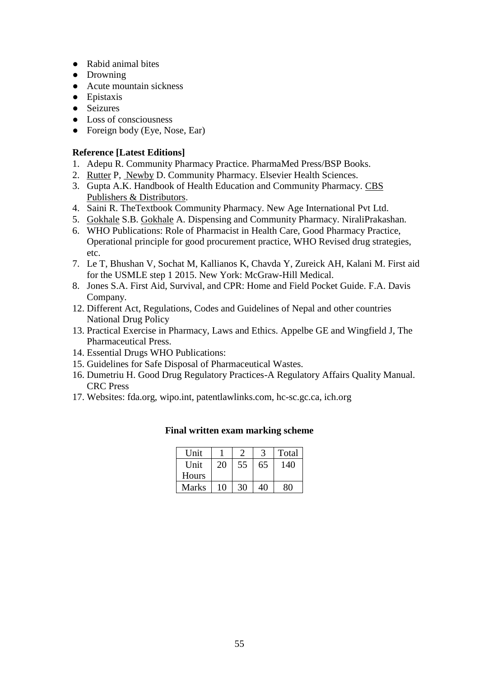- **●** Rabid animal bites
- **●** Drowning
- **●** Acute mountain sickness
- **●** Epistaxis
- **●** Seizures
- **●** Loss of consciousness
- **●** Foreign body (Eye, Nose, Ear)

# **Reference [Latest Editions]**

- 1. Adepu R. Community Pharmacy Practice. PharmaMed Press/BSP Books.
- 2. [Rutter](https://www.google.com.np/search?tbo=p&tbm=bks&q=inauthor:%22Paul+Rutter%22) P, [Newby](https://www.google.com.np/search?tbo=p&tbm=bks&q=inauthor:%22David+Newby%22) D. Community Pharmacy. Elsevier Health Sciences.
- 3. Gupta A.K. Handbook of Health Education and Community Pharmacy. [CBS](https://www.sapnaonline.com/shop/Publisher/Cbs%20Publishers%20&%20Distributors)  [Publishers & Distributors.](https://www.sapnaonline.com/shop/Publisher/Cbs%20Publishers%20&%20Distributors)
- 4. Saini R. TheTextbook Community Pharmacy. New Age International Pvt Ltd.
- 5. [Gokhale](https://www.amazon.in/s/ref=dp_byline_sr_book_1?ie=UTF8&field-author=S+B+Gokhale&search-alias=stripbooks) S.B. [Gokhale](https://www.amazon.in/s/ref=dp_byline_sr_book_2?ie=UTF8&field-author=A+Gokhale&search-alias=stripbooks) A. Dispensing and Community Pharmacy. NiraliPrakashan.
- 6. WHO Publications: Role of Pharmacist in Health Care, Good Pharmacy Practice, Operational principle for good procurement practice, WHO Revised drug strategies, etc.
- 7. Le T, Bhushan V, Sochat M, Kallianos K, Chavda Y, Zureick AH, Kalani M. First aid for the USMLE step 1 2015. New York: McGraw-Hill Medical.
- 8. Jones S.A. First Aid, Survival, and CPR: Home and Field Pocket Guide. F.A. Davis Company.
- 12. Different Act, Regulations, Codes and Guidelines of Nepal and other countries National Drug Policy
- 13. Practical Exercise in Pharmacy, Laws and Ethics. Appelbe GE and Wingfield J, The Pharmaceutical Press.
- 14. Essential Drugs WHO Publications:
- 15. Guidelines for Safe Disposal of Pharmaceutical Wastes.
- 16. Dumetriu H. Good Drug Regulatory Practices-A Regulatory Affairs Quality Manual. CRC Press
- 17. Websites: fda.org, wipo.int, patentlawlinks.com, hc-sc.gc.ca, ich.org

| Unit  |    |    |    | Total |
|-------|----|----|----|-------|
| Unit  | 20 | 55 | 65 | 140   |
| Hours |    |    |    |       |
| Marks | 10 | 30 | 40 | 30    |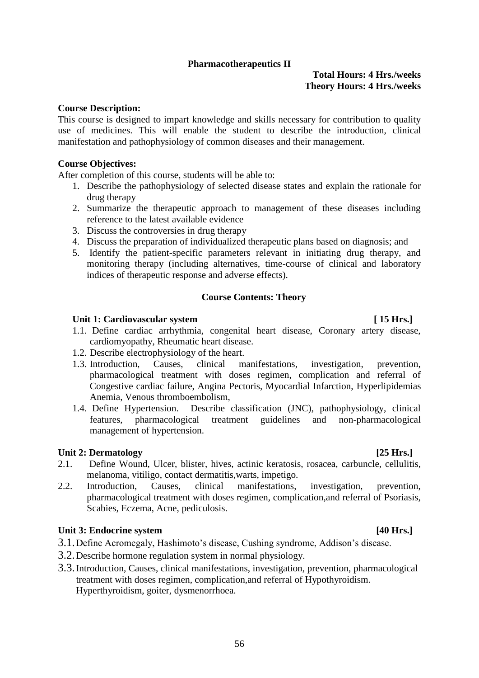#### After completion of this course, students will be able to:

- 1. Describe the pathophysiology of selected disease states and explain the rationale for drug therapy
- 2. Summarize the therapeutic approach to management of these diseases including reference to the latest available evidence
- 3. Discuss the controversies in drug therapy
- 4. Discuss the preparation of individualized therapeutic plans based on diagnosis; and
- 5. Identify the patient-specific parameters relevant in initiating drug therapy, and monitoring therapy (including alternatives, time-course of clinical and laboratory indices of therapeutic response and adverse effects).

#### **Course Contents: Theory**

#### Unit 1: Cardiovascular system **[ 15 Hrs.]**

- 1.1. Define cardiac arrhythmia, congenital heart disease, Coronary artery disease, cardiomyopathy, Rheumatic heart disease.
- 1.2. Describe electrophysiology of the heart.
- 1.3. Introduction, Causes, clinical manifestations, investigation, prevention, pharmacological treatment with doses regimen, complication and referral of Congestive cardiac failure, Angina Pectoris, Myocardial Infarction, Hyperlipidemias Anemia, Venous thromboembolism,
- 1.4. Define Hypertension. Describe classification (JNC), pathophysiology, clinical features, pharmacological treatment guidelines and non-pharmacological management of hypertension.

#### Unit 2: Dermatology [25 Hrs.]

<span id="page-58-0"></span>**Course Description:**

**Course Objectives:**

- 2.1. Define Wound, Ulcer, blister, hives, actinic keratosis, rosacea, carbuncle, cellulitis, melanoma, vitiligo, contact dermatitis,warts, impetigo.
- 2.2. Introduction, Causes, clinical manifestations, investigation, prevention, pharmacological treatment with doses regimen, complication,and referral of Psoriasis, Scabies, Eczema, Acne, pediculosis.

#### Unit 3: Endocrine system [40 Hrs.]

- 3.1.Define Acromegaly, Hashimoto's disease, Cushing syndrome, Addison's disease.
- 3.2.Describe hormone regulation system in normal physiology.
- 3.3.Introduction, Causes, clinical manifestations, investigation, prevention, pharmacological treatment with doses regimen, complication,and referral of Hypothyroidism. Hyperthyroidism, goiter, dysmenorrhoea.

This course is designed to impart knowledge and skills necessary for contribution to quality use of medicines. This will enable the student to describe the introduction, clinical

manifestation and pathophysiology of common diseases and their management.

**Pharmacotherapeutics II**

**Total Hours: 4 Hrs./weeks Theory Hours: 4 Hrs./weeks**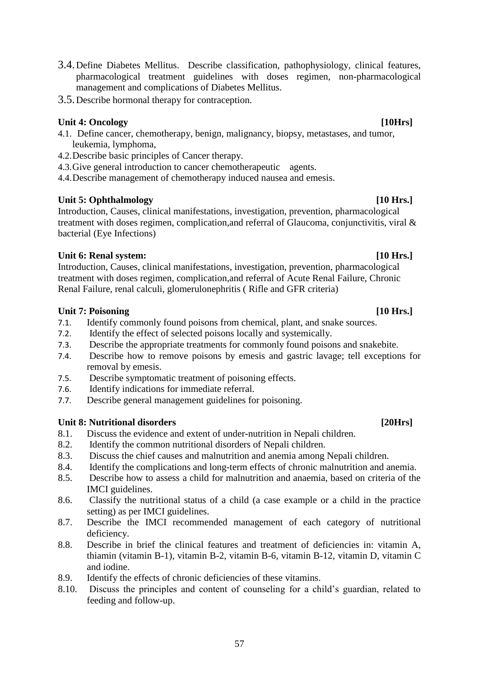- 3.4.Define Diabetes Mellitus. Describe classification, pathophysiology, clinical features, pharmacological treatment guidelines with doses regimen, non-pharmacological management and complications of Diabetes Mellitus.
- 3.5.Describe hormonal therapy for contraception.

#### Unit 4: Oncology *Unit 4:* Oncology *Physics Physics Physics* **<b>***Physics Physics Physics Physics**Physics* **<b>***Physics Physics Physics Physics Physics Physics Physics Physic*

- 4.1. Define cancer, chemotherapy, benign, malignancy, biopsy, metastases, and tumor, leukemia, lymphoma,
- 4.2.Describe basic principles of Cancer therapy.
- 4.3.Give general introduction to cancer chemotherapeutic agents.

4.4.Describe management of chemotherapy induced nausea and emesis.

#### Unit 5: Ophthalmology **[10 Hrs.]**

Introduction, Causes, clinical manifestations, investigation, prevention, pharmacological treatment with doses regimen, complication,and referral of Glaucoma, conjunctivitis, viral & bacterial (Eye Infections)

#### **Unit 6: Renal system: [10 Hrs.]**

Introduction, Causes, clinical manifestations, investigation, prevention, pharmacological treatment with doses regimen, complication,and referral of Acute Renal Failure, Chronic Renal Failure, renal calculi, glomerulonephritis ( Rifle and GFR criteria)

#### Unit 7: Poisoning **Internal Contract Contract Contract Contract Contract Contract Contract Contract Contract Contract Contract Contract Contract Contract Contract Contract Contract Contract Contract Contract Contract Contr**

- 7.1. Identify commonly found poisons from chemical, plant, and snake sources.
- 7.2. Identify the effect of selected poisons locally and systemically.
- 7.3. Describe the appropriate treatments for commonly found poisons and snakebite.
- 7.4. Describe how to remove poisons by emesis and gastric lavage; tell exceptions for removal by emesis.
- 7.5. Describe symptomatic treatment of poisoning effects.
- 7.6. Identify indications for immediate referral.
- 7.7. Describe general management guidelines for poisoning.

#### Unit 8: Nutritional disorders *Lating Series* **Example 2014 COL**

- 8.1. Discuss the evidence and extent of under-nutrition in Nepali children.
- 8.2. Identify the common nutritional disorders of Nepali children.
- 8.3. Discuss the chief causes and malnutrition and anemia among Nepali children.
- 8.4. Identify the complications and long-term effects of chronic malnutrition and anemia.
- 8.5. Describe how to assess a child for malnutrition and anaemia, based on criteria of the IMCI guidelines.
- 8.6. Classify the nutritional status of a child (a case example or a child in the practice setting) as per IMCI guidelines.
- 8.7. Describe the IMCI recommended management of each category of nutritional deficiency.
- 8.8. Describe in brief the clinical features and treatment of deficiencies in: vitamin A, thiamin (vitamin B-1), vitamin B-2, vitamin B-6, vitamin B-12, vitamin D, vitamin C and iodine.
- 8.9. Identify the effects of chronic deficiencies of these vitamins.
- 8.10. Discuss the principles and content of counseling for a child's guardian, related to feeding and follow-up.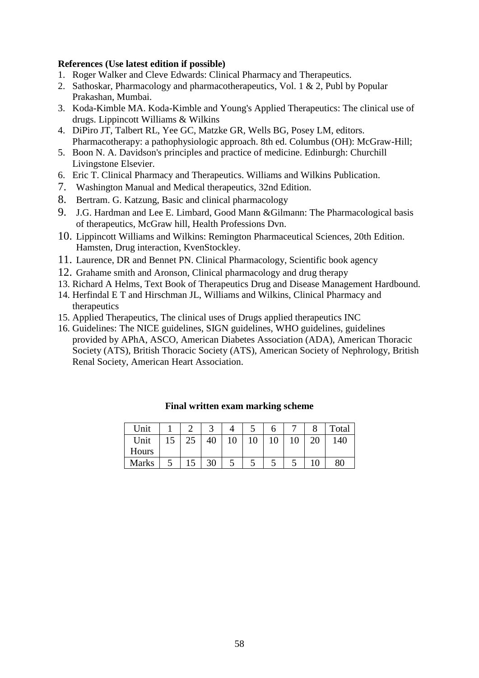#### **References (Use latest edition if possible)**

- 1. Roger Walker and Cleve Edwards: Clinical Pharmacy and Therapeutics.
- 2. Sathoskar, Pharmacology and pharmacotherapeutics, Vol. 1 & 2, Publ by Popular Prakashan, Mumbai.
- 3. Koda-Kimble MA. Koda-Kimble and Young's Applied Therapeutics: The clinical use of drugs. Lippincott Williams & Wilkins
- 4. DiPiro JT, Talbert RL, Yee GC, Matzke GR, Wells BG, Posey LM, editors. Pharmacotherapy: a pathophysiologic approach. 8th ed. Columbus (OH): McGraw-Hill;
- 5. Boon N. A. Davidson's principles and practice of medicine. Edinburgh: Churchill Livingstone Elsevier.
- 6. Eric T. Clinical Pharmacy and Therapeutics. Williams and Wilkins Publication.
- 7. Washington Manual and Medical therapeutics, 32nd Edition.
- 8. Bertram. G. Katzung, Basic and clinical pharmacology
- 9. J.G. Hardman and Lee E. Limbard, Good Mann &Gilmann: The Pharmacological basis of therapeutics, McGraw hill, Health Professions Dvn.
- 10. Lippincott Williams and Wilkins: Remington Pharmaceutical Sciences, 20th Edition. Hamsten, Drug interaction, KvenStockley.
- 11. Laurence, DR and Bennet PN. Clinical Pharmacology, Scientific book agency
- 12. Grahame smith and Aronson, Clinical pharmacology and drug therapy
- 13. Richard A Helms, Text Book of Therapeutics Drug and Disease Management Hardbound.
- 14. Herfindal E T and Hirschman JL, Williams and Wilkins, Clinical Pharmacy and therapeutics
- 15. Applied Therapeutics, The clinical uses of Drugs applied therapeutics INC
- 16. Guidelines: The NICE guidelines, SIGN guidelines, WHO guidelines, guidelines provided by APhA, ASCO, American Diabetes Association (ADA), American Thoracic Society (ATS), British Thoracic Society (ATS), American Society of Nephrology, British Renal Society, American Heart Association.

| Unit         |                      |    |   |    | O |   | Total |
|--------------|----------------------|----|---|----|---|---|-------|
| Unit         | 25                   |    |   | 10 |   |   | 140   |
| Hours        |                      |    |   |    |   |   |       |
| <b>Marks</b> | 1 <sub>c</sub><br>15 | 30 | ت |    | ت | ت | 80    |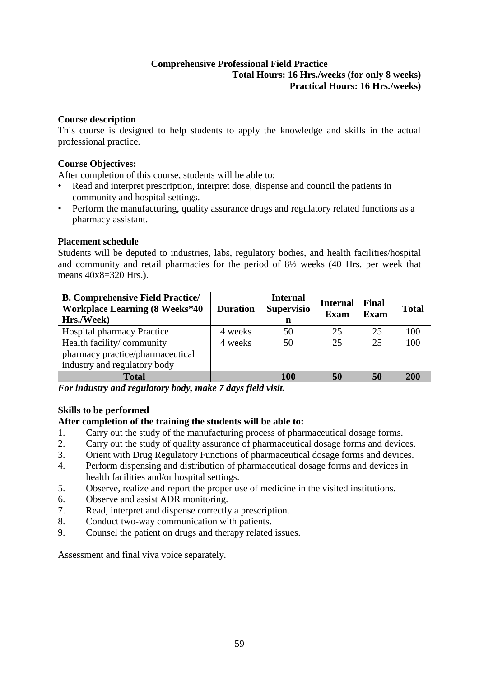### **Comprehensive Professional Field Practice Total Hours: 16 Hrs./weeks (for only 8 weeks) Practical Hours: 16 Hrs./weeks)**

### <span id="page-61-0"></span>**Course description**

This course is designed to help students to apply the knowledge and skills in the actual professional practice.

# **Course Objectives:**

After completion of this course, students will be able to:

- Read and interpret prescription, interpret dose, dispense and council the patients in community and hospital settings.
- Perform the manufacturing, quality assurance drugs and regulatory related functions as a pharmacy assistant.

# **Placement schedule**

Students will be deputed to industries, labs, regulatory bodies, and health facilities/hospital and community and retail pharmacies for the period of 8½ weeks (40 Hrs. per week that means 40x8=320 Hrs.).

| <b>B. Comprehensive Field Practice/</b><br><b>Workplace Learning (8 Weeks*40</b><br>Hrs./Week) | <b>Duration</b> | <b>Internal</b><br><b>Supervisio</b><br>n | <b>Internal</b><br><b>Exam</b> | Final<br><b>Exam</b> | <b>Total</b> |
|------------------------------------------------------------------------------------------------|-----------------|-------------------------------------------|--------------------------------|----------------------|--------------|
| <b>Hospital pharmacy Practice</b>                                                              | 4 weeks         | 50                                        | 25                             | 25                   | 100          |
| Health facility/community                                                                      | 4 weeks         | 50                                        | 25                             | 25                   | 100          |
| pharmacy practice/pharmaceutical                                                               |                 |                                           |                                |                      |              |
| industry and regulatory body                                                                   |                 |                                           |                                |                      |              |
| <b>Total</b>                                                                                   |                 | 100                                       | 50                             | 50                   | 200          |

*For industry and regulatory body, make 7 days field visit.* 

# **Skills to be performed**

# **After completion of the training the students will be able to:**

- 1. Carry out the study of the manufacturing process of pharmaceutical dosage forms.
- 2. Carry out the study of quality assurance of pharmaceutical dosage forms and devices.
- 3. Orient with Drug Regulatory Functions of pharmaceutical dosage forms and devices.
- 4. Perform dispensing and distribution of pharmaceutical dosage forms and devices in health facilities and/or hospital settings.
- 5. Observe, realize and report the proper use of medicine in the visited institutions.
- 6. Observe and assist ADR monitoring.
- 7. Read, interpret and dispense correctly a prescription.
- 8. Conduct two-way communication with patients.
- 9. Counsel the patient on drugs and therapy related issues.

Assessment and final viva voice separately.